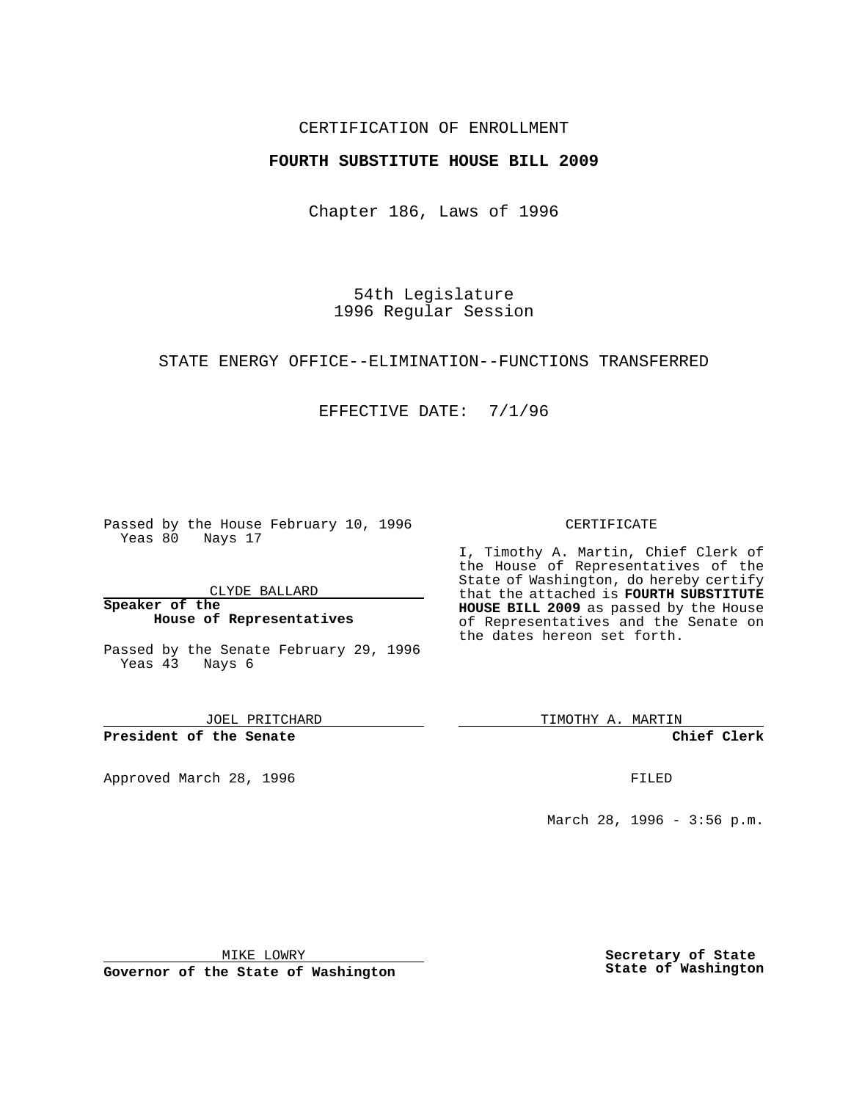### CERTIFICATION OF ENROLLMENT

### **FOURTH SUBSTITUTE HOUSE BILL 2009**

Chapter 186, Laws of 1996

54th Legislature 1996 Regular Session

### STATE ENERGY OFFICE--ELIMINATION--FUNCTIONS TRANSFERRED

## EFFECTIVE DATE: 7/1/96

Passed by the House February 10, 1996 Yeas 80 Nays 17

CLYDE BALLARD

**Speaker of the House of Representatives**

Passed by the Senate February 29, 1996 Yeas 43 Nays 6

JOEL PRITCHARD

**President of the Senate**

Approved March 28, 1996 FILED

### CERTIFICATE

I, Timothy A. Martin, Chief Clerk of the House of Representatives of the State of Washington, do hereby certify that the attached is **FOURTH SUBSTITUTE HOUSE BILL 2009** as passed by the House of Representatives and the Senate on the dates hereon set forth.

TIMOTHY A. MARTIN

**Chief Clerk**

March 28, 1996 - 3:56 p.m.

MIKE LOWRY

**Governor of the State of Washington**

**Secretary of State State of Washington**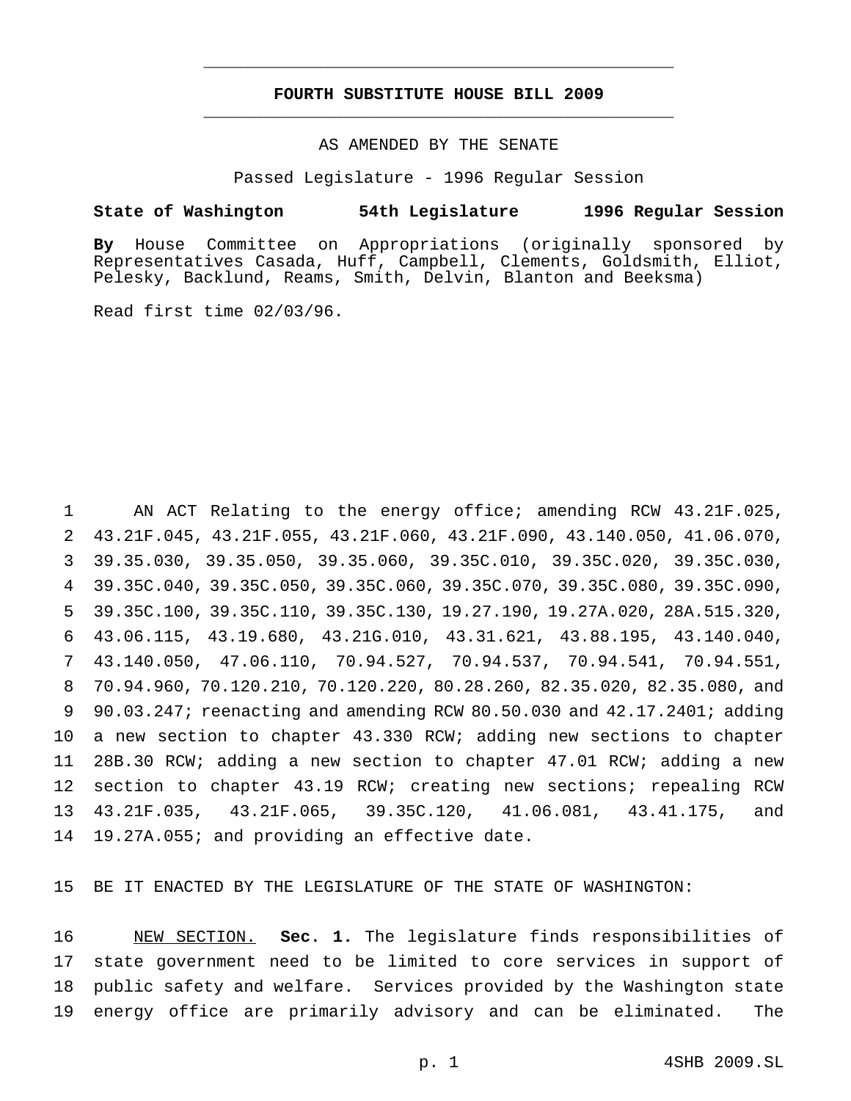## **FOURTH SUBSTITUTE HOUSE BILL 2009** \_\_\_\_\_\_\_\_\_\_\_\_\_\_\_\_\_\_\_\_\_\_\_\_\_\_\_\_\_\_\_\_\_\_\_\_\_\_\_\_\_\_\_\_\_\_\_

\_\_\_\_\_\_\_\_\_\_\_\_\_\_\_\_\_\_\_\_\_\_\_\_\_\_\_\_\_\_\_\_\_\_\_\_\_\_\_\_\_\_\_\_\_\_\_

### AS AMENDED BY THE SENATE

Passed Legislature - 1996 Regular Session

### **State of Washington 54th Legislature 1996 Regular Session**

**By** House Committee on Appropriations (originally sponsored by Representatives Casada, Huff, Campbell, Clements, Goldsmith, Elliot, Pelesky, Backlund, Reams, Smith, Delvin, Blanton and Beeksma)

Read first time 02/03/96.

 AN ACT Relating to the energy office; amending RCW 43.21F.025, 43.21F.045, 43.21F.055, 43.21F.060, 43.21F.090, 43.140.050, 41.06.070, 39.35.030, 39.35.050, 39.35.060, 39.35C.010, 39.35C.020, 39.35C.030, 39.35C.040, 39.35C.050, 39.35C.060, 39.35C.070, 39.35C.080, 39.35C.090, 39.35C.100, 39.35C.110, 39.35C.130, 19.27.190, 19.27A.020, 28A.515.320, 43.06.115, 43.19.680, 43.21G.010, 43.31.621, 43.88.195, 43.140.040, 43.140.050, 47.06.110, 70.94.527, 70.94.537, 70.94.541, 70.94.551, 70.94.960, 70.120.210, 70.120.220, 80.28.260, 82.35.020, 82.35.080, and 90.03.247; reenacting and amending RCW 80.50.030 and 42.17.2401; adding a new section to chapter 43.330 RCW; adding new sections to chapter 28B.30 RCW; adding a new section to chapter 47.01 RCW; adding a new section to chapter 43.19 RCW; creating new sections; repealing RCW 43.21F.035, 43.21F.065, 39.35C.120, 41.06.081, 43.41.175, and 19.27A.055; and providing an effective date.

BE IT ENACTED BY THE LEGISLATURE OF THE STATE OF WASHINGTON:

 NEW SECTION. **Sec. 1.** The legislature finds responsibilities of state government need to be limited to core services in support of public safety and welfare. Services provided by the Washington state energy office are primarily advisory and can be eliminated. The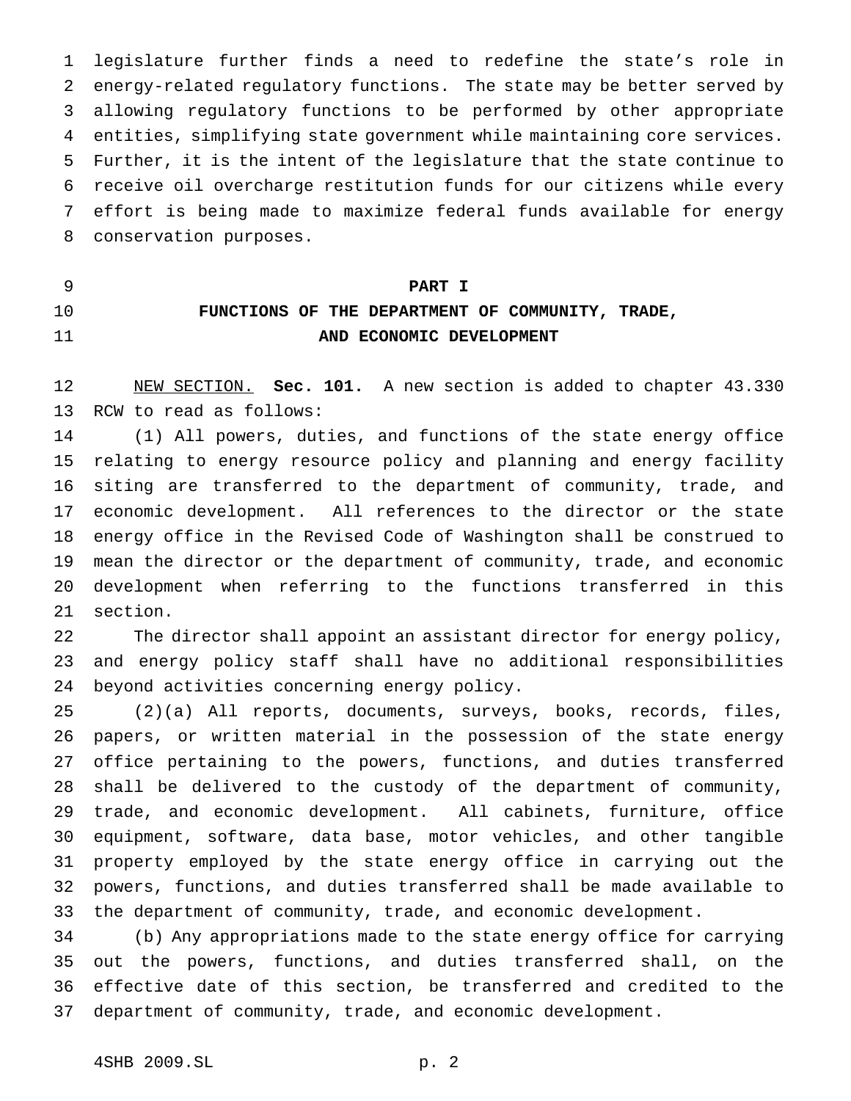legislature further finds a need to redefine the state's role in energy-related regulatory functions. The state may be better served by allowing regulatory functions to be performed by other appropriate entities, simplifying state government while maintaining core services. Further, it is the intent of the legislature that the state continue to receive oil overcharge restitution funds for our citizens while every effort is being made to maximize federal funds available for energy conservation purposes.

## **PART I**

# **FUNCTIONS OF THE DEPARTMENT OF COMMUNITY, TRADE, AND ECONOMIC DEVELOPMENT**

 NEW SECTION. **Sec. 101.** A new section is added to chapter 43.330 RCW to read as follows:

 (1) All powers, duties, and functions of the state energy office relating to energy resource policy and planning and energy facility siting are transferred to the department of community, trade, and economic development. All references to the director or the state energy office in the Revised Code of Washington shall be construed to mean the director or the department of community, trade, and economic development when referring to the functions transferred in this section.

 The director shall appoint an assistant director for energy policy, and energy policy staff shall have no additional responsibilities beyond activities concerning energy policy.

 (2)(a) All reports, documents, surveys, books, records, files, papers, or written material in the possession of the state energy office pertaining to the powers, functions, and duties transferred shall be delivered to the custody of the department of community, trade, and economic development. All cabinets, furniture, office equipment, software, data base, motor vehicles, and other tangible property employed by the state energy office in carrying out the powers, functions, and duties transferred shall be made available to the department of community, trade, and economic development.

 (b) Any appropriations made to the state energy office for carrying out the powers, functions, and duties transferred shall, on the effective date of this section, be transferred and credited to the department of community, trade, and economic development.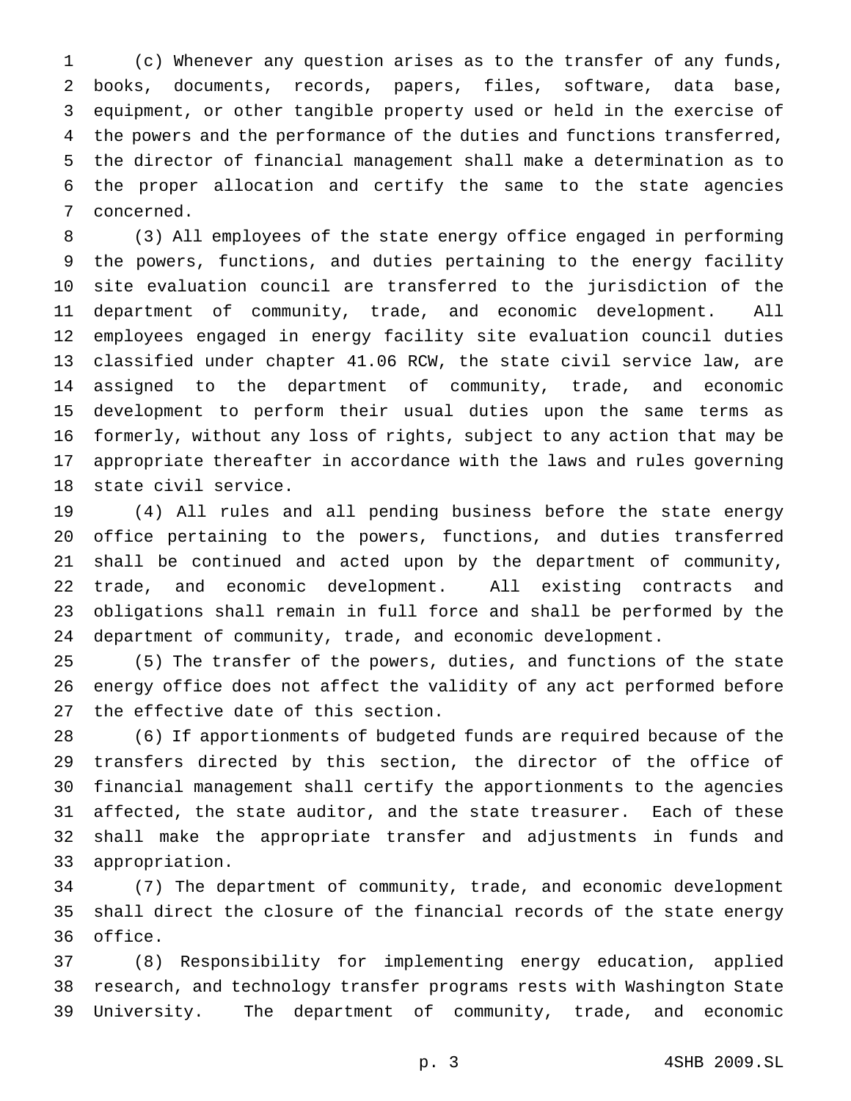(c) Whenever any question arises as to the transfer of any funds, books, documents, records, papers, files, software, data base, equipment, or other tangible property used or held in the exercise of the powers and the performance of the duties and functions transferred, the director of financial management shall make a determination as to the proper allocation and certify the same to the state agencies concerned.

 (3) All employees of the state energy office engaged in performing the powers, functions, and duties pertaining to the energy facility site evaluation council are transferred to the jurisdiction of the department of community, trade, and economic development. All employees engaged in energy facility site evaluation council duties classified under chapter 41.06 RCW, the state civil service law, are assigned to the department of community, trade, and economic development to perform their usual duties upon the same terms as formerly, without any loss of rights, subject to any action that may be appropriate thereafter in accordance with the laws and rules governing state civil service.

 (4) All rules and all pending business before the state energy office pertaining to the powers, functions, and duties transferred shall be continued and acted upon by the department of community, trade, and economic development. All existing contracts and obligations shall remain in full force and shall be performed by the department of community, trade, and economic development.

 (5) The transfer of the powers, duties, and functions of the state energy office does not affect the validity of any act performed before the effective date of this section.

 (6) If apportionments of budgeted funds are required because of the transfers directed by this section, the director of the office of financial management shall certify the apportionments to the agencies affected, the state auditor, and the state treasurer. Each of these shall make the appropriate transfer and adjustments in funds and appropriation.

 (7) The department of community, trade, and economic development shall direct the closure of the financial records of the state energy office.

 (8) Responsibility for implementing energy education, applied research, and technology transfer programs rests with Washington State University. The department of community, trade, and economic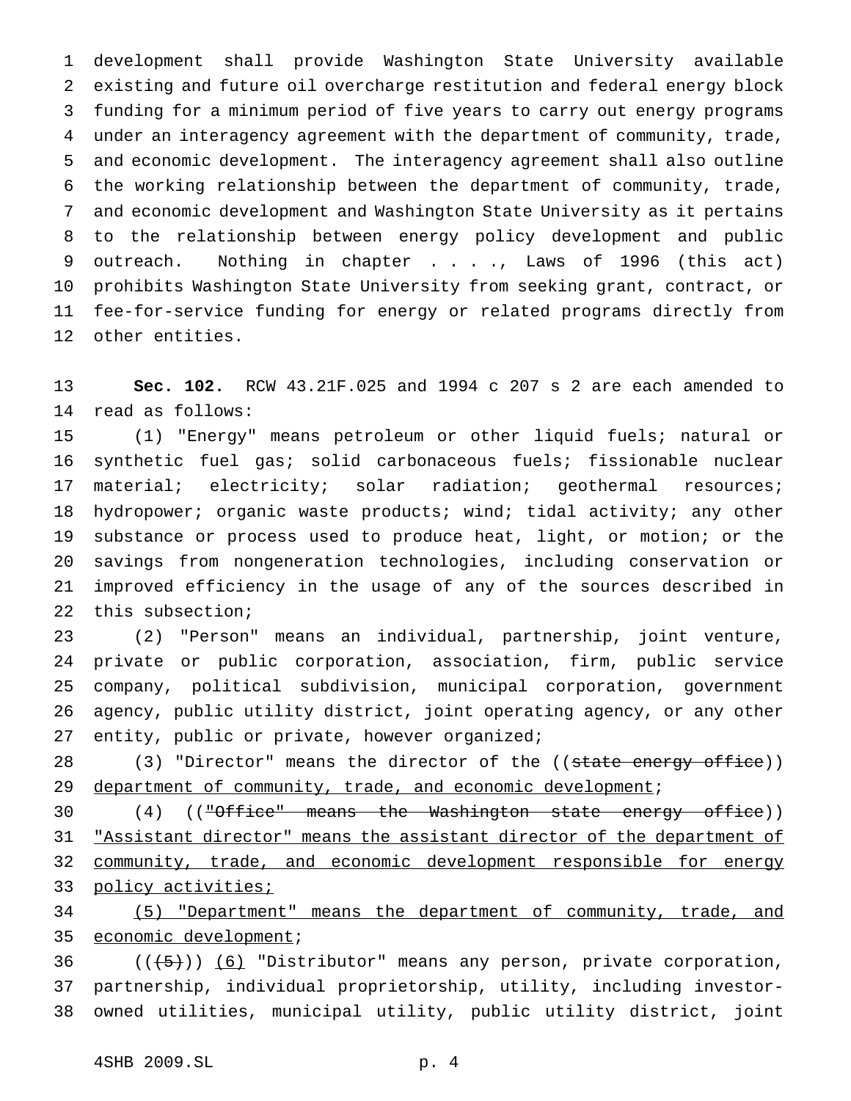development shall provide Washington State University available existing and future oil overcharge restitution and federal energy block funding for a minimum period of five years to carry out energy programs under an interagency agreement with the department of community, trade, and economic development. The interagency agreement shall also outline the working relationship between the department of community, trade, and economic development and Washington State University as it pertains to the relationship between energy policy development and public outreach. Nothing in chapter . . . ., Laws of 1996 (this act) prohibits Washington State University from seeking grant, contract, or fee-for-service funding for energy or related programs directly from other entities.

 **Sec. 102.** RCW 43.21F.025 and 1994 c 207 s 2 are each amended to read as follows:

 (1) "Energy" means petroleum or other liquid fuels; natural or synthetic fuel gas; solid carbonaceous fuels; fissionable nuclear material; electricity; solar radiation; geothermal resources; hydropower; organic waste products; wind; tidal activity; any other substance or process used to produce heat, light, or motion; or the savings from nongeneration technologies, including conservation or improved efficiency in the usage of any of the sources described in this subsection;

 (2) "Person" means an individual, partnership, joint venture, private or public corporation, association, firm, public service company, political subdivision, municipal corporation, government agency, public utility district, joint operating agency, or any other entity, public or private, however organized;

28 (3) "Director" means the director of the ((state energy office)) 29 department of community, trade, and economic development;

30 (4) (("Office" means the Washington state energy office)) 31 "Assistant director" means the assistant director of the department of 32 community, trade, and economic development responsible for energy 33 policy activities;

 (5) "Department" means the department of community, trade, and 35 economic development;

36  $((+5))$   $(6)$  "Distributor" means any person, private corporation, partnership, individual proprietorship, utility, including investor-owned utilities, municipal utility, public utility district, joint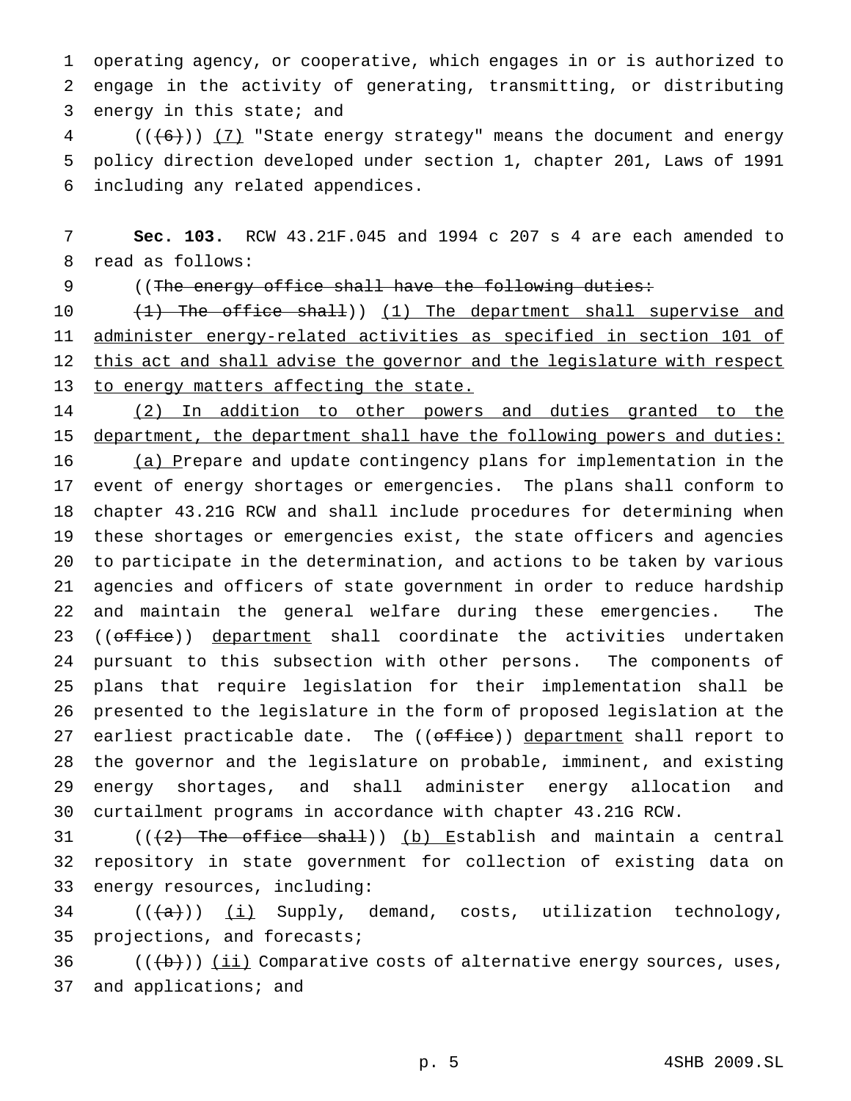operating agency, or cooperative, which engages in or is authorized to engage in the activity of generating, transmitting, or distributing energy in this state; and

 (( $\left(\frac{6}{1}\right)$ ) (7) "State energy strategy" means the document and energy policy direction developed under section 1, chapter 201, Laws of 1991 including any related appendices.

 **Sec. 103.** RCW 43.21F.045 and 1994 c 207 s 4 are each amended to read as follows:

9 ((The energy office shall have the following duties:

10 (1) The office shall)) (1) The department shall supervise and administer energy-related activities as specified in section 101 of this act and shall advise the governor and the legislature with respect 13 to energy matters affecting the state.

 (2) In addition to other powers and duties granted to the 15 department, the department shall have the following powers and duties:

 (a) Prepare and update contingency plans for implementation in the event of energy shortages or emergencies. The plans shall conform to chapter 43.21G RCW and shall include procedures for determining when these shortages or emergencies exist, the state officers and agencies to participate in the determination, and actions to be taken by various agencies and officers of state government in order to reduce hardship and maintain the general welfare during these emergencies. The 23 ((office)) department shall coordinate the activities undertaken pursuant to this subsection with other persons. The components of plans that require legislation for their implementation shall be presented to the legislature in the form of proposed legislation at the 27 earliest practicable date. The ((office)) department shall report to the governor and the legislature on probable, imminent, and existing energy shortages, and shall administer energy allocation and curtailment programs in accordance with chapter 43.21G RCW.

31 ( $(\frac{2}{3})$  The office shall)) (b) Establish and maintain a central repository in state government for collection of existing data on energy resources, including:

 (( $\overline{+a}$ )) <u>(i)</u> Supply, demand, costs, utilization technology, projections, and forecasts;

36  $((+b))$   $(i)$  Comparative costs of alternative energy sources, uses, and applications; and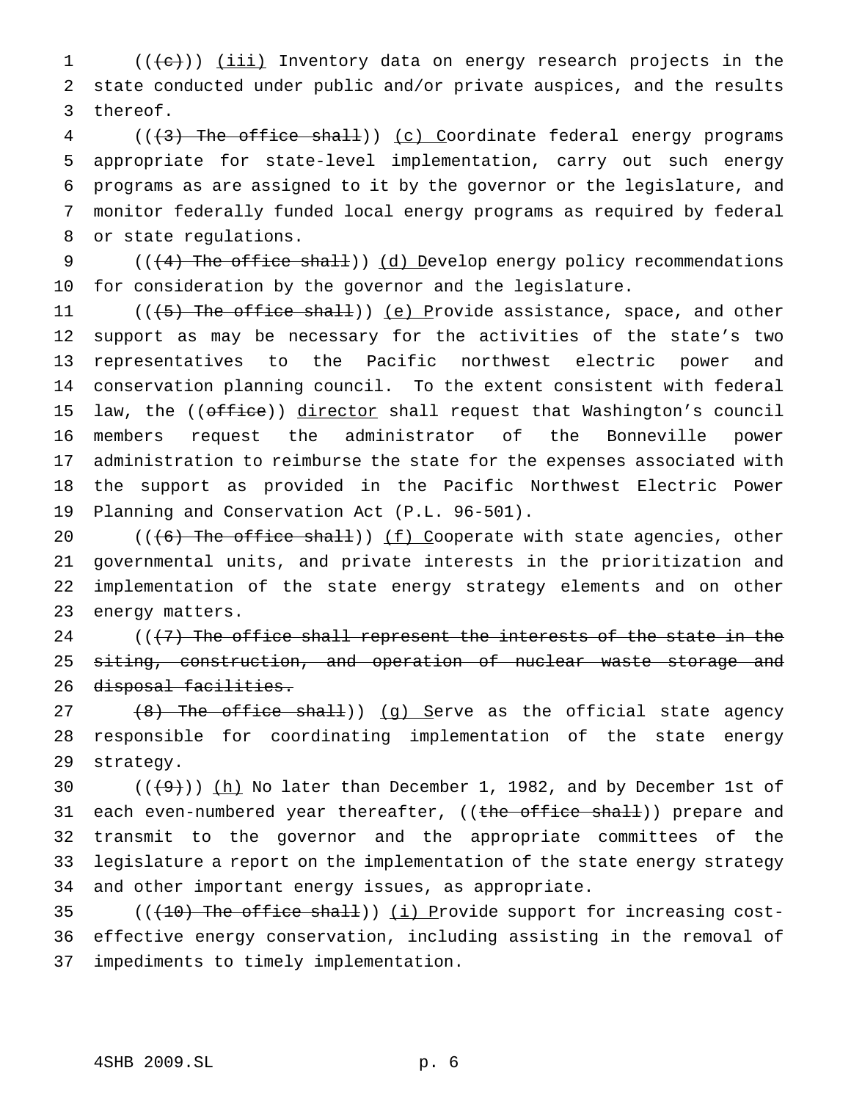1 (((e)) (iii) Inventory data on energy research projects in the state conducted under public and/or private auspices, and the results thereof.

4 (((3) The office shall)) (c) Coordinate federal energy programs appropriate for state-level implementation, carry out such energy programs as are assigned to it by the governor or the legislature, and monitor federally funded local energy programs as required by federal or state regulations.

 $((4)$  The office shall)) (d) Develop energy policy recommendations for consideration by the governor and the legislature.

11 (((5) The office shall)) (e) Provide assistance, space, and other support as may be necessary for the activities of the state's two representatives to the Pacific northwest electric power and conservation planning council. To the extent consistent with federal 15 law, the ((office)) director shall request that Washington's council members request the administrator of the Bonneville power administration to reimburse the state for the expenses associated with the support as provided in the Pacific Northwest Electric Power Planning and Conservation Act (P.L. 96-501).

 $((6)$  The office shall)) (f) Cooperate with state agencies, other governmental units, and private interests in the prioritization and implementation of the state energy strategy elements and on other energy matters.

 $((+7)$  The office shall represent the interests of the state in the 25 <del>siting, construction, and operation of nuclear waste storage and</del> 26 disposal facilities.

27 (8) The office shall)) (g) Serve as the official state agency responsible for coordinating implementation of the state energy strategy.

 $((+9))$   $(h)$  No later than December 1, 1982, and by December 1st of 31 each even-numbered year thereafter, ((the office shall)) prepare and transmit to the governor and the appropriate committees of the legislature a report on the implementation of the state energy strategy and other important energy issues, as appropriate.

35  $((+10)$  The office shall)) (i) Provide support for increasing cost- effective energy conservation, including assisting in the removal of impediments to timely implementation.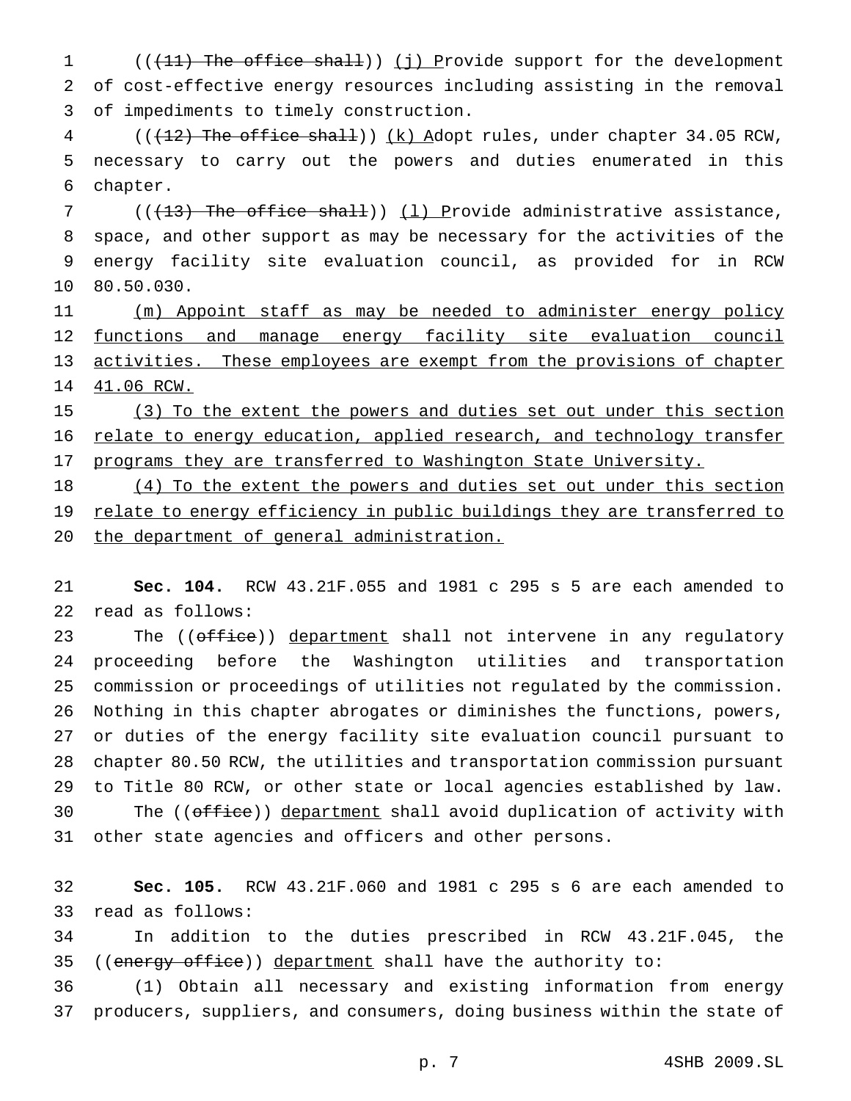1 (((11) The office shall)) (j) Provide support for the development of cost-effective energy resources including assisting in the removal of impediments to timely construction.

4 (( $(12)$ ) The office shall)) (k) Adopt rules, under chapter 34.05 RCW, necessary to carry out the powers and duties enumerated in this chapter.

7 ( $(\overline{+13})$  The office shall))  $(1)$  Provide administrative assistance, space, and other support as may be necessary for the activities of the energy facility site evaluation council, as provided for in RCW 80.50.030.

 (m) Appoint staff as may be needed to administer energy policy 12 functions and manage energy facility site evaluation council 13 activities. These employees are exempt from the provisions of chapter 41.06 RCW.

15 (3) To the extent the powers and duties set out under this section 16 relate to energy education, applied research, and technology transfer 17 programs they are transferred to Washington State University.

18 (4) To the extent the powers and duties set out under this section 19 relate to energy efficiency in public buildings they are transferred to 20 the department of general administration.

 **Sec. 104.** RCW 43.21F.055 and 1981 c 295 s 5 are each amended to read as follows:

23 The ((office)) department shall not intervene in any regulatory proceeding before the Washington utilities and transportation commission or proceedings of utilities not regulated by the commission. Nothing in this chapter abrogates or diminishes the functions, powers, or duties of the energy facility site evaluation council pursuant to chapter 80.50 RCW, the utilities and transportation commission pursuant to Title 80 RCW, or other state or local agencies established by law. 30 The ((office)) department shall avoid duplication of activity with other state agencies and officers and other persons.

 **Sec. 105.** RCW 43.21F.060 and 1981 c 295 s 6 are each amended to read as follows:

 In addition to the duties prescribed in RCW 43.21F.045, the 35 ((energy office)) department shall have the authority to:

 (1) Obtain all necessary and existing information from energy producers, suppliers, and consumers, doing business within the state of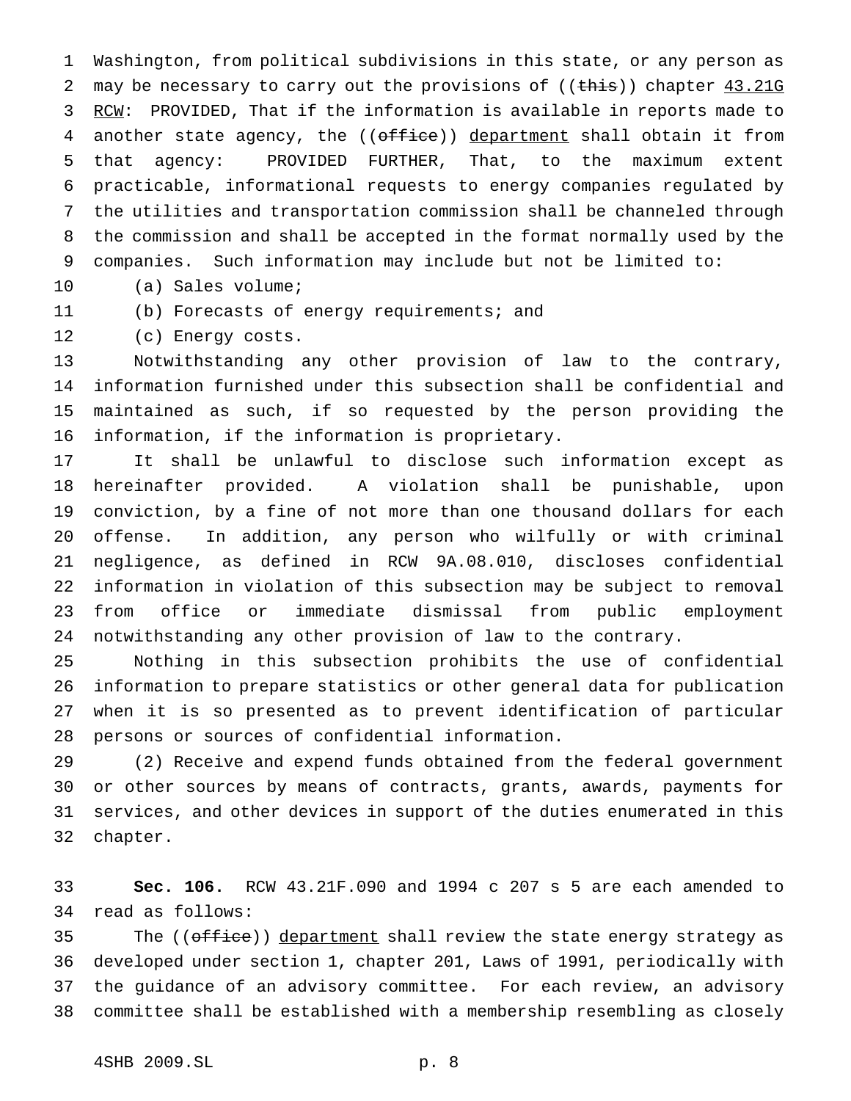Washington, from political subdivisions in this state, or any person as 2 may be necessary to carry out the provisions of  $((\text{this}))$  chapter  $\underline{43.21G}$ 3 RCW: PROVIDED, That if the information is available in reports made to 4 another state agency, the ((office)) department shall obtain it from that agency: PROVIDED FURTHER, That, to the maximum extent practicable, informational requests to energy companies regulated by the utilities and transportation commission shall be channeled through the commission and shall be accepted in the format normally used by the companies. Such information may include but not be limited to:

(a) Sales volume;

(b) Forecasts of energy requirements; and

(c) Energy costs.

 Notwithstanding any other provision of law to the contrary, information furnished under this subsection shall be confidential and maintained as such, if so requested by the person providing the information, if the information is proprietary.

 It shall be unlawful to disclose such information except as hereinafter provided. A violation shall be punishable, upon conviction, by a fine of not more than one thousand dollars for each offense. In addition, any person who wilfully or with criminal negligence, as defined in RCW 9A.08.010, discloses confidential information in violation of this subsection may be subject to removal from office or immediate dismissal from public employment notwithstanding any other provision of law to the contrary.

 Nothing in this subsection prohibits the use of confidential information to prepare statistics or other general data for publication when it is so presented as to prevent identification of particular persons or sources of confidential information.

 (2) Receive and expend funds obtained from the federal government or other sources by means of contracts, grants, awards, payments for services, and other devices in support of the duties enumerated in this chapter.

 **Sec. 106.** RCW 43.21F.090 and 1994 c 207 s 5 are each amended to read as follows:

35 The ((office)) department shall review the state energy strategy as developed under section 1, chapter 201, Laws of 1991, periodically with the guidance of an advisory committee. For each review, an advisory committee shall be established with a membership resembling as closely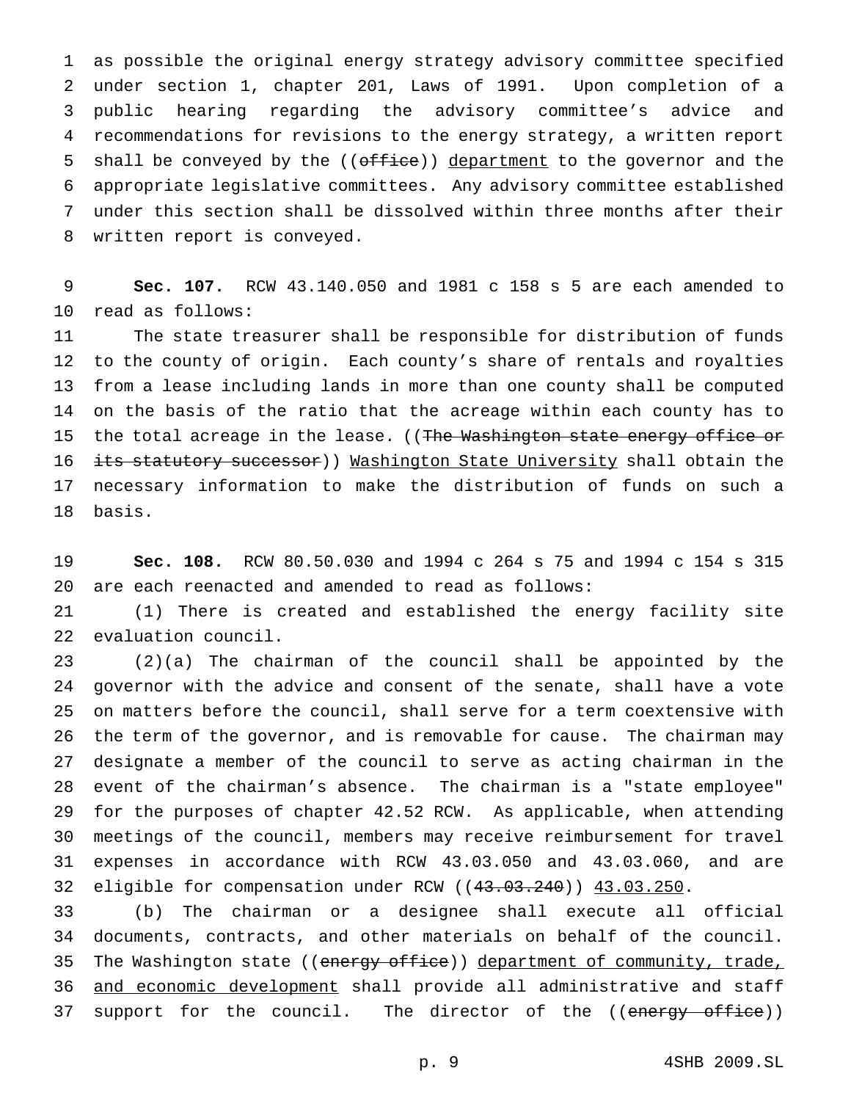as possible the original energy strategy advisory committee specified under section 1, chapter 201, Laws of 1991. Upon completion of a public hearing regarding the advisory committee's advice and recommendations for revisions to the energy strategy, a written report 5 shall be conveyed by the ((office)) department to the governor and the appropriate legislative committees. Any advisory committee established under this section shall be dissolved within three months after their written report is conveyed.

 **Sec. 107.** RCW 43.140.050 and 1981 c 158 s 5 are each amended to read as follows:

 The state treasurer shall be responsible for distribution of funds to the county of origin. Each county's share of rentals and royalties from a lease including lands in more than one county shall be computed on the basis of the ratio that the acreage within each county has to 15 the total acreage in the lease. ((The Washington state energy office or 16 its statutory successor)) Mashington State University shall obtain the necessary information to make the distribution of funds on such a basis.

 **Sec. 108.** RCW 80.50.030 and 1994 c 264 s 75 and 1994 c 154 s 315 are each reenacted and amended to read as follows:

 (1) There is created and established the energy facility site evaluation council.

 (2)(a) The chairman of the council shall be appointed by the governor with the advice and consent of the senate, shall have a vote on matters before the council, shall serve for a term coextensive with the term of the governor, and is removable for cause. The chairman may designate a member of the council to serve as acting chairman in the event of the chairman's absence. The chairman is a "state employee" for the purposes of chapter 42.52 RCW. As applicable, when attending meetings of the council, members may receive reimbursement for travel expenses in accordance with RCW 43.03.050 and 43.03.060, and are eligible for compensation under RCW ((43.03.240)) 43.03.250.

 (b) The chairman or a designee shall execute all official documents, contracts, and other materials on behalf of the council. 35 The Washington state ((energy office)) department of community, trade, 36 and economic development shall provide all administrative and staff 37 support for the council. The director of the ((energy office))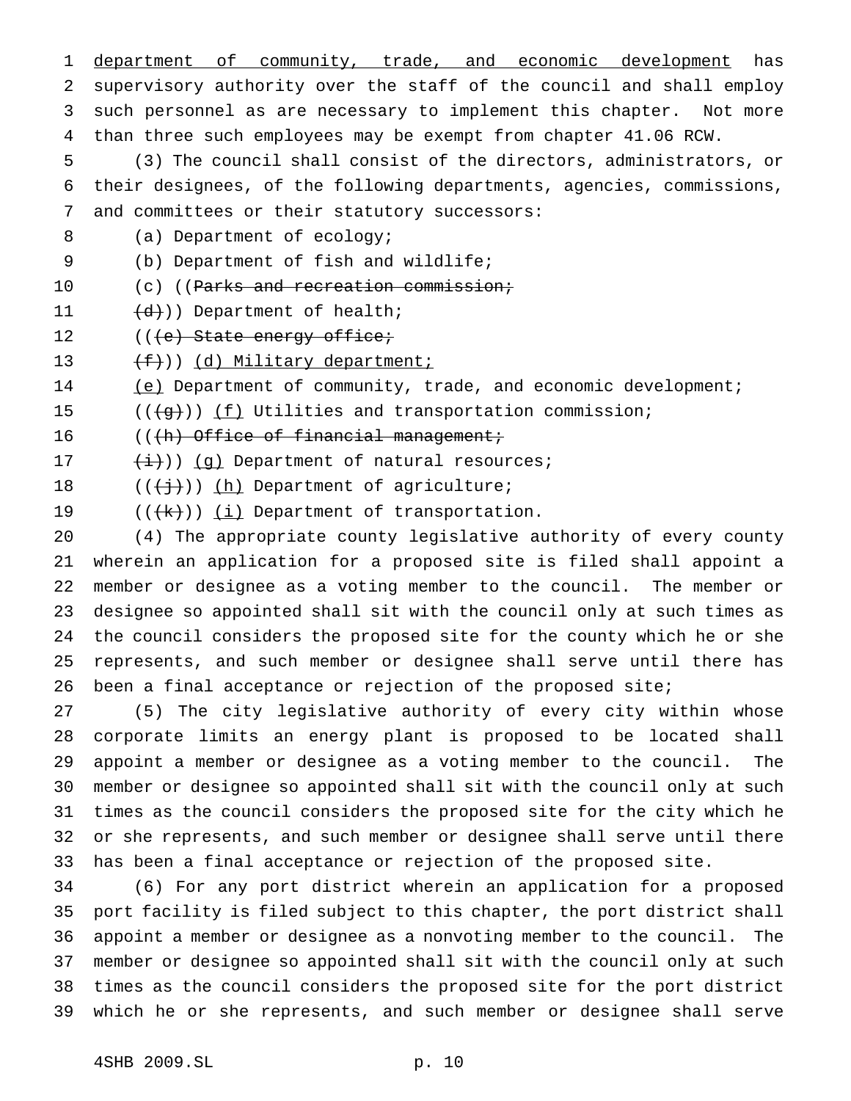1 department of community, trade, and economic development has supervisory authority over the staff of the council and shall employ such personnel as are necessary to implement this chapter. Not more than three such employees may be exempt from chapter 41.06 RCW. (3) The council shall consist of the directors, administrators, or their designees, of the following departments, agencies, commissions, and committees or their statutory successors: 8 (a) Department of ecology; (b) Department of fish and wildlife; 10 (c) ((Parks and recreation commission; 11 (d))) Department of health; 12 (((e) State energy office;  $(f)$ ) (d) Military department; 14 (e) Department of community, trade, and economic development;  $((\{g\}) \mid \underline{f})$  Utilities and transportation commission; 16 (((h) Office of financial management;  $(\frac{1}{1})$ ) (q) Department of natural resources;  $((+\frac{1}{2}))(\underline{h})$  Department of agriculture;  $((+k))$   $(i)$  Department of transportation. (4) The appropriate county legislative authority of every county wherein an application for a proposed site is filed shall appoint a member or designee as a voting member to the council. The member or designee so appointed shall sit with the council only at such times as the council considers the proposed site for the county which he or she represents, and such member or designee shall serve until there has 26 been a final acceptance or rejection of the proposed site; (5) The city legislative authority of every city within whose corporate limits an energy plant is proposed to be located shall appoint a member or designee as a voting member to the council. The member or designee so appointed shall sit with the council only at such times as the council considers the proposed site for the city which he or she represents, and such member or designee shall serve until there

has been a final acceptance or rejection of the proposed site.

 (6) For any port district wherein an application for a proposed port facility is filed subject to this chapter, the port district shall appoint a member or designee as a nonvoting member to the council. The member or designee so appointed shall sit with the council only at such times as the council considers the proposed site for the port district which he or she represents, and such member or designee shall serve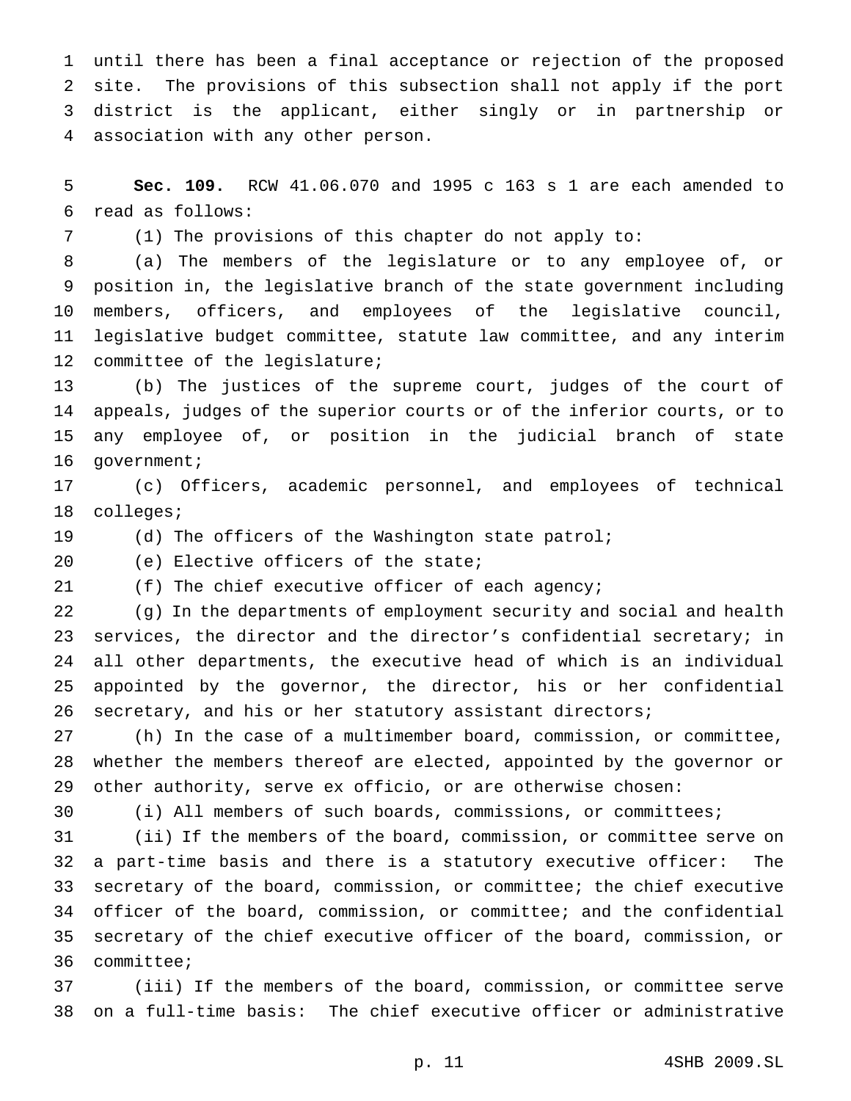until there has been a final acceptance or rejection of the proposed site. The provisions of this subsection shall not apply if the port district is the applicant, either singly or in partnership or association with any other person.

 **Sec. 109.** RCW 41.06.070 and 1995 c 163 s 1 are each amended to read as follows:

(1) The provisions of this chapter do not apply to:

 (a) The members of the legislature or to any employee of, or position in, the legislative branch of the state government including members, officers, and employees of the legislative council, legislative budget committee, statute law committee, and any interim committee of the legislature;

 (b) The justices of the supreme court, judges of the court of appeals, judges of the superior courts or of the inferior courts, or to any employee of, or position in the judicial branch of state government;

 (c) Officers, academic personnel, and employees of technical colleges;

(d) The officers of the Washington state patrol;

(e) Elective officers of the state;

(f) The chief executive officer of each agency;

 (g) In the departments of employment security and social and health services, the director and the director's confidential secretary; in all other departments, the executive head of which is an individual appointed by the governor, the director, his or her confidential secretary, and his or her statutory assistant directors;

 (h) In the case of a multimember board, commission, or committee, whether the members thereof are elected, appointed by the governor or other authority, serve ex officio, or are otherwise chosen:

(i) All members of such boards, commissions, or committees;

 (ii) If the members of the board, commission, or committee serve on a part-time basis and there is a statutory executive officer: The secretary of the board, commission, or committee; the chief executive officer of the board, commission, or committee; and the confidential secretary of the chief executive officer of the board, commission, or committee;

 (iii) If the members of the board, commission, or committee serve on a full-time basis: The chief executive officer or administrative

p. 11 4SHB 2009.SL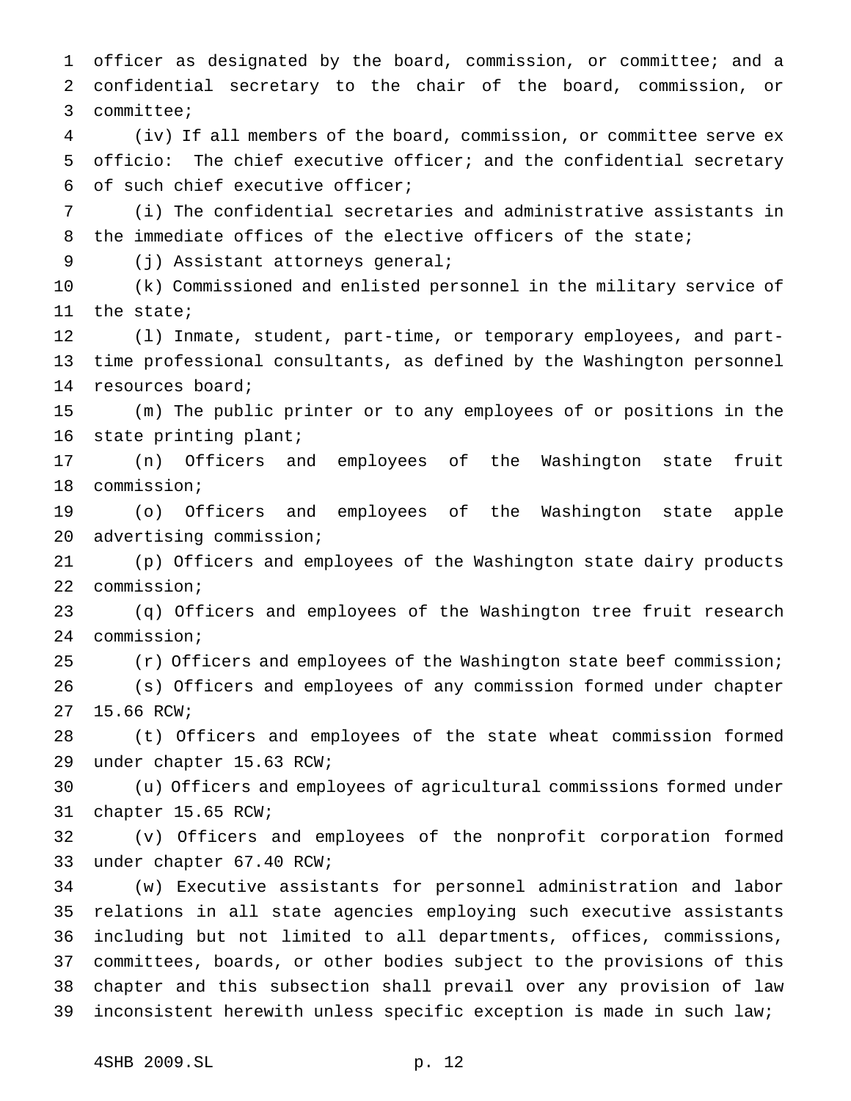officer as designated by the board, commission, or committee; and a confidential secretary to the chair of the board, commission, or committee; (iv) If all members of the board, commission, or committee serve ex officio: The chief executive officer; and the confidential secretary of such chief executive officer; (i) The confidential secretaries and administrative assistants in the immediate offices of the elective officers of the state; (j) Assistant attorneys general; (k) Commissioned and enlisted personnel in the military service of the state; (l) Inmate, student, part-time, or temporary employees, and part- time professional consultants, as defined by the Washington personnel resources board; (m) The public printer or to any employees of or positions in the state printing plant; (n) Officers and employees of the Washington state fruit commission; (o) Officers and employees of the Washington state apple advertising commission; (p) Officers and employees of the Washington state dairy products commission; (q) Officers and employees of the Washington tree fruit research commission; (r) Officers and employees of the Washington state beef commission; (s) Officers and employees of any commission formed under chapter 15.66 RCW; (t) Officers and employees of the state wheat commission formed under chapter 15.63 RCW; (u) Officers and employees of agricultural commissions formed under chapter 15.65 RCW; (v) Officers and employees of the nonprofit corporation formed under chapter 67.40 RCW; (w) Executive assistants for personnel administration and labor relations in all state agencies employing such executive assistants including but not limited to all departments, offices, commissions, committees, boards, or other bodies subject to the provisions of this chapter and this subsection shall prevail over any provision of law inconsistent herewith unless specific exception is made in such law;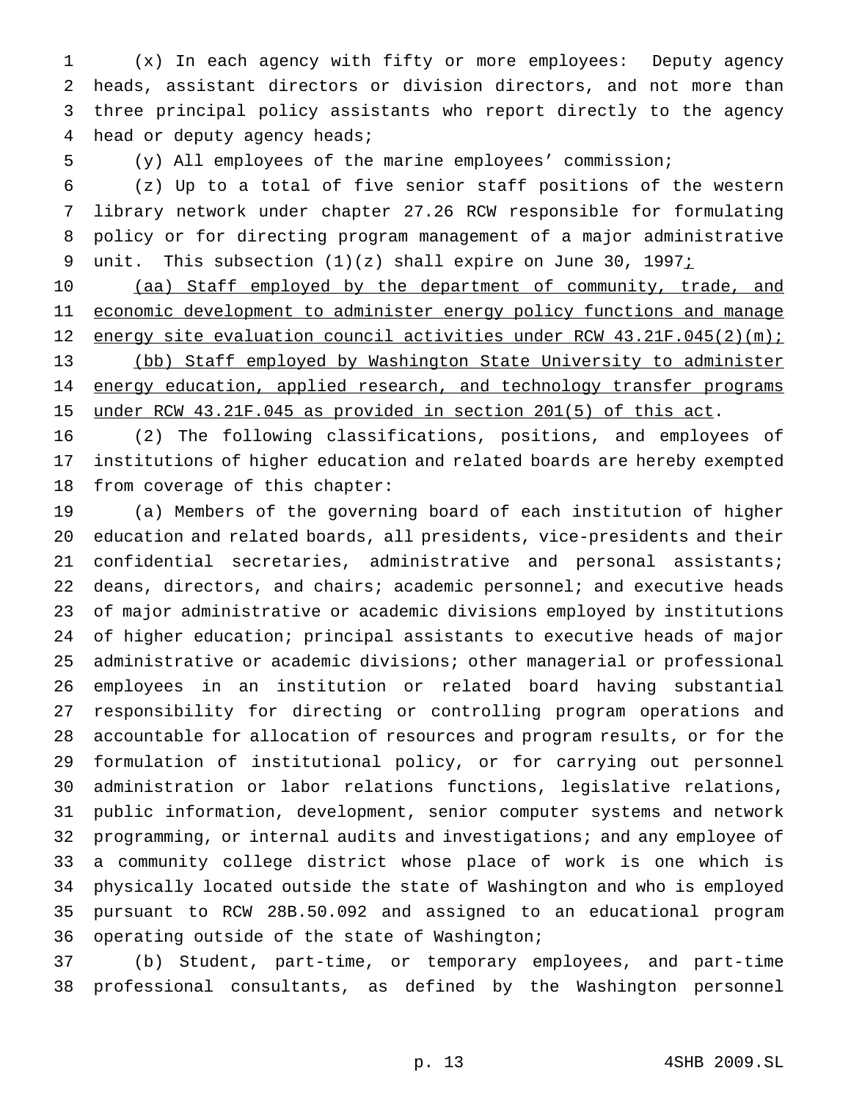(x) In each agency with fifty or more employees: Deputy agency heads, assistant directors or division directors, and not more than three principal policy assistants who report directly to the agency head or deputy agency heads;

(y) All employees of the marine employees' commission;

 (z) Up to a total of five senior staff positions of the western library network under chapter 27.26 RCW responsible for formulating policy or for directing program management of a major administrative 9 unit. This subsection (1)(z) shall expire on June 30, 1997;

10 (aa) Staff employed by the department of community, trade, and 11 economic development to administer energy policy functions and manage 12 energy site evaluation council activities under RCW 43.21F.045(2)(m); 13 (bb) Staff employed by Washington State University to administer 14 energy education, applied research, and technology transfer programs under RCW 43.21F.045 as provided in section 201(5) of this act.

 (2) The following classifications, positions, and employees of institutions of higher education and related boards are hereby exempted from coverage of this chapter:

 (a) Members of the governing board of each institution of higher education and related boards, all presidents, vice-presidents and their 21 confidential secretaries, administrative and personal assistants; deans, directors, and chairs; academic personnel; and executive heads of major administrative or academic divisions employed by institutions of higher education; principal assistants to executive heads of major administrative or academic divisions; other managerial or professional employees in an institution or related board having substantial responsibility for directing or controlling program operations and accountable for allocation of resources and program results, or for the formulation of institutional policy, or for carrying out personnel administration or labor relations functions, legislative relations, public information, development, senior computer systems and network programming, or internal audits and investigations; and any employee of a community college district whose place of work is one which is physically located outside the state of Washington and who is employed pursuant to RCW 28B.50.092 and assigned to an educational program operating outside of the state of Washington;

 (b) Student, part-time, or temporary employees, and part-time professional consultants, as defined by the Washington personnel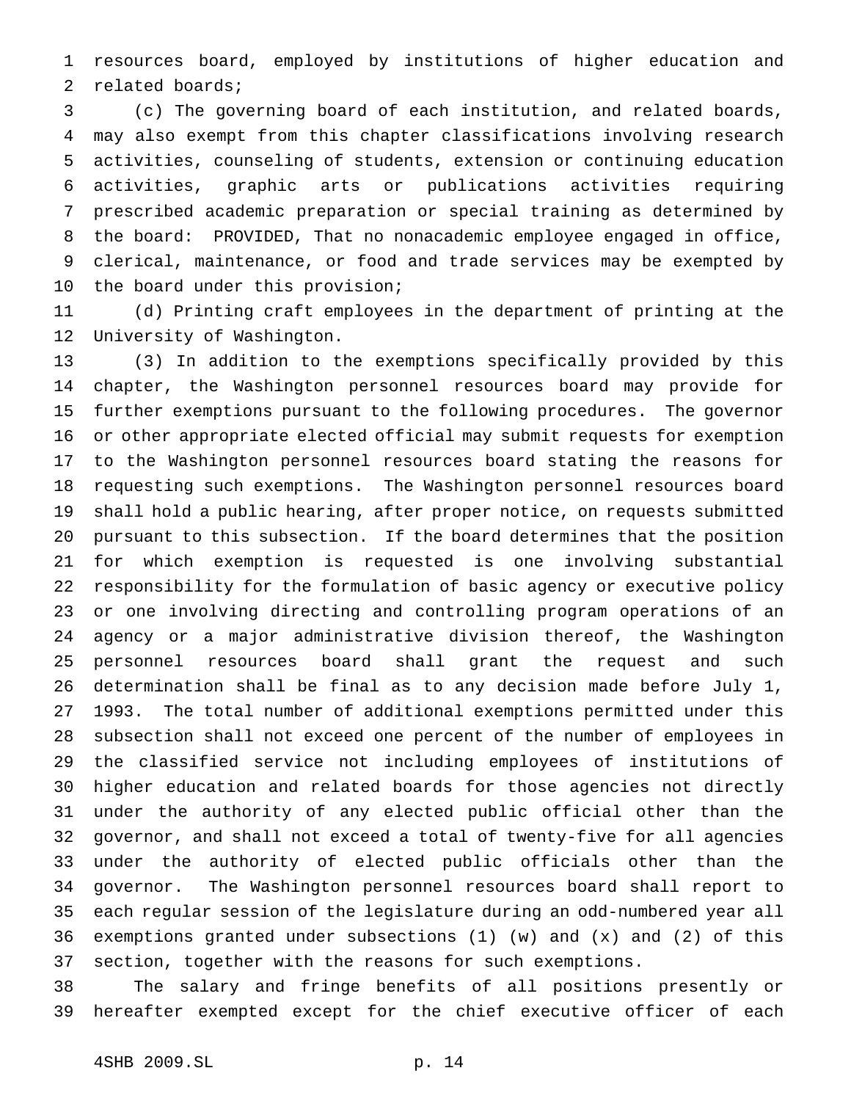resources board, employed by institutions of higher education and related boards;

 (c) The governing board of each institution, and related boards, may also exempt from this chapter classifications involving research activities, counseling of students, extension or continuing education activities, graphic arts or publications activities requiring prescribed academic preparation or special training as determined by the board: PROVIDED, That no nonacademic employee engaged in office, clerical, maintenance, or food and trade services may be exempted by the board under this provision;

 (d) Printing craft employees in the department of printing at the University of Washington.

 (3) In addition to the exemptions specifically provided by this chapter, the Washington personnel resources board may provide for further exemptions pursuant to the following procedures. The governor or other appropriate elected official may submit requests for exemption to the Washington personnel resources board stating the reasons for requesting such exemptions. The Washington personnel resources board shall hold a public hearing, after proper notice, on requests submitted pursuant to this subsection. If the board determines that the position for which exemption is requested is one involving substantial responsibility for the formulation of basic agency or executive policy or one involving directing and controlling program operations of an agency or a major administrative division thereof, the Washington personnel resources board shall grant the request and such determination shall be final as to any decision made before July 1, 1993. The total number of additional exemptions permitted under this subsection shall not exceed one percent of the number of employees in the classified service not including employees of institutions of higher education and related boards for those agencies not directly under the authority of any elected public official other than the governor, and shall not exceed a total of twenty-five for all agencies under the authority of elected public officials other than the governor. The Washington personnel resources board shall report to each regular session of the legislature during an odd-numbered year all exemptions granted under subsections (1) (w) and (x) and (2) of this section, together with the reasons for such exemptions.

 The salary and fringe benefits of all positions presently or hereafter exempted except for the chief executive officer of each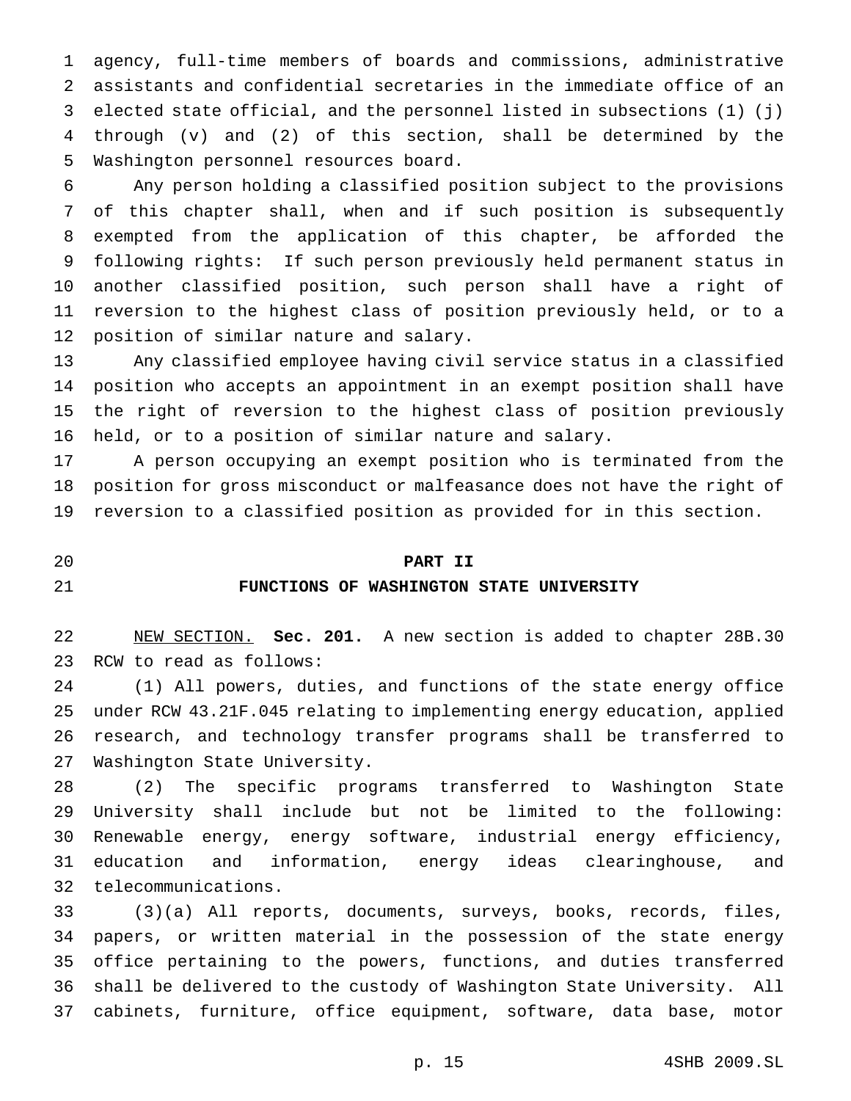agency, full-time members of boards and commissions, administrative assistants and confidential secretaries in the immediate office of an elected state official, and the personnel listed in subsections (1) (j) through (v) and (2) of this section, shall be determined by the Washington personnel resources board.

 Any person holding a classified position subject to the provisions of this chapter shall, when and if such position is subsequently exempted from the application of this chapter, be afforded the following rights: If such person previously held permanent status in another classified position, such person shall have a right of reversion to the highest class of position previously held, or to a position of similar nature and salary.

 Any classified employee having civil service status in a classified position who accepts an appointment in an exempt position shall have the right of reversion to the highest class of position previously held, or to a position of similar nature and salary.

 A person occupying an exempt position who is terminated from the position for gross misconduct or malfeasance does not have the right of reversion to a classified position as provided for in this section.

### **PART II**

## **FUNCTIONS OF WASHINGTON STATE UNIVERSITY**

 NEW SECTION. **Sec. 201.** A new section is added to chapter 28B.30 RCW to read as follows:

 (1) All powers, duties, and functions of the state energy office under RCW 43.21F.045 relating to implementing energy education, applied research, and technology transfer programs shall be transferred to Washington State University.

 (2) The specific programs transferred to Washington State University shall include but not be limited to the following: Renewable energy, energy software, industrial energy efficiency, education and information, energy ideas clearinghouse, and telecommunications.

 (3)(a) All reports, documents, surveys, books, records, files, papers, or written material in the possession of the state energy office pertaining to the powers, functions, and duties transferred shall be delivered to the custody of Washington State University. All cabinets, furniture, office equipment, software, data base, motor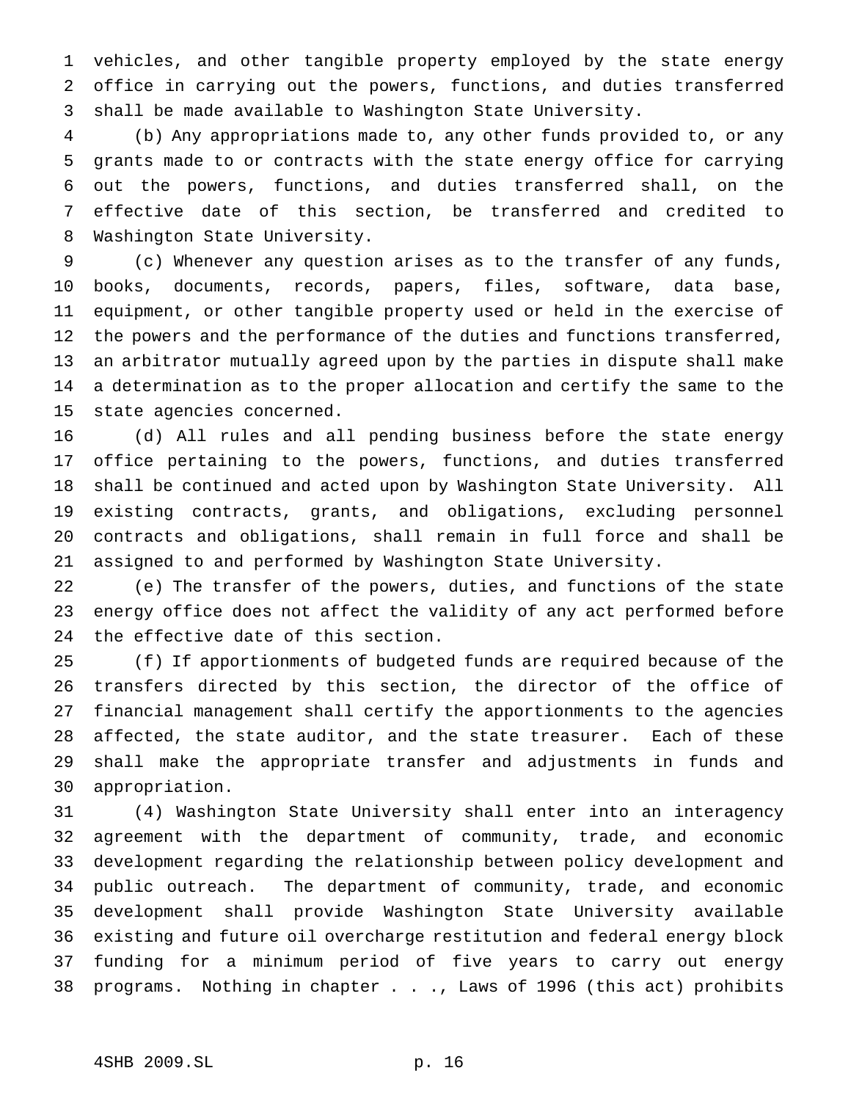vehicles, and other tangible property employed by the state energy office in carrying out the powers, functions, and duties transferred shall be made available to Washington State University.

 (b) Any appropriations made to, any other funds provided to, or any grants made to or contracts with the state energy office for carrying out the powers, functions, and duties transferred shall, on the effective date of this section, be transferred and credited to Washington State University.

 (c) Whenever any question arises as to the transfer of any funds, books, documents, records, papers, files, software, data base, equipment, or other tangible property used or held in the exercise of 12 the powers and the performance of the duties and functions transferred, an arbitrator mutually agreed upon by the parties in dispute shall make a determination as to the proper allocation and certify the same to the state agencies concerned.

 (d) All rules and all pending business before the state energy office pertaining to the powers, functions, and duties transferred shall be continued and acted upon by Washington State University. All existing contracts, grants, and obligations, excluding personnel contracts and obligations, shall remain in full force and shall be assigned to and performed by Washington State University.

 (e) The transfer of the powers, duties, and functions of the state energy office does not affect the validity of any act performed before the effective date of this section.

 (f) If apportionments of budgeted funds are required because of the transfers directed by this section, the director of the office of financial management shall certify the apportionments to the agencies affected, the state auditor, and the state treasurer. Each of these shall make the appropriate transfer and adjustments in funds and appropriation.

 (4) Washington State University shall enter into an interagency agreement with the department of community, trade, and economic development regarding the relationship between policy development and public outreach. The department of community, trade, and economic development shall provide Washington State University available existing and future oil overcharge restitution and federal energy block funding for a minimum period of five years to carry out energy programs. Nothing in chapter . . ., Laws of 1996 (this act) prohibits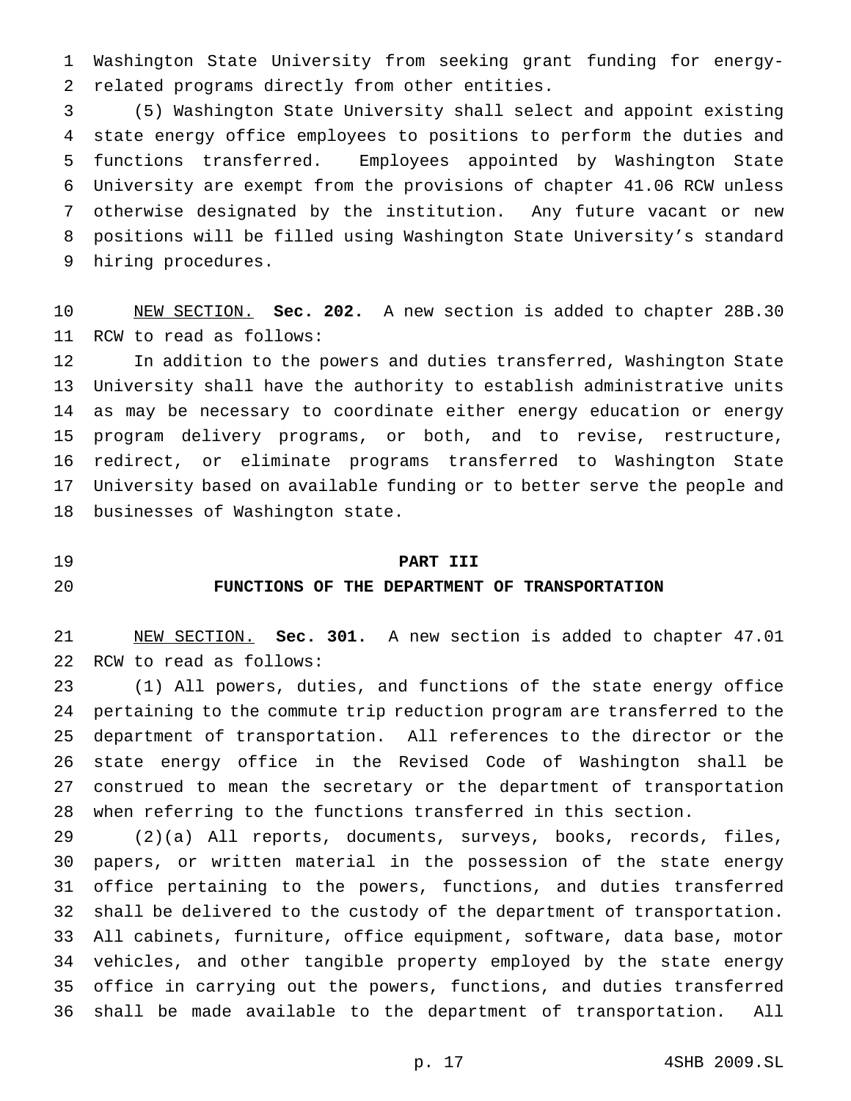Washington State University from seeking grant funding for energy-related programs directly from other entities.

 (5) Washington State University shall select and appoint existing state energy office employees to positions to perform the duties and functions transferred. Employees appointed by Washington State University are exempt from the provisions of chapter 41.06 RCW unless otherwise designated by the institution. Any future vacant or new positions will be filled using Washington State University's standard hiring procedures.

 NEW SECTION. **Sec. 202.** A new section is added to chapter 28B.30 RCW to read as follows:

 In addition to the powers and duties transferred, Washington State University shall have the authority to establish administrative units as may be necessary to coordinate either energy education or energy program delivery programs, or both, and to revise, restructure, redirect, or eliminate programs transferred to Washington State University based on available funding or to better serve the people and businesses of Washington state.

### **PART III**

### **FUNCTIONS OF THE DEPARTMENT OF TRANSPORTATION**

 NEW SECTION. **Sec. 301.** A new section is added to chapter 47.01 RCW to read as follows:

 (1) All powers, duties, and functions of the state energy office pertaining to the commute trip reduction program are transferred to the department of transportation. All references to the director or the state energy office in the Revised Code of Washington shall be construed to mean the secretary or the department of transportation when referring to the functions transferred in this section.

 (2)(a) All reports, documents, surveys, books, records, files, papers, or written material in the possession of the state energy office pertaining to the powers, functions, and duties transferred shall be delivered to the custody of the department of transportation. All cabinets, furniture, office equipment, software, data base, motor vehicles, and other tangible property employed by the state energy office in carrying out the powers, functions, and duties transferred shall be made available to the department of transportation. All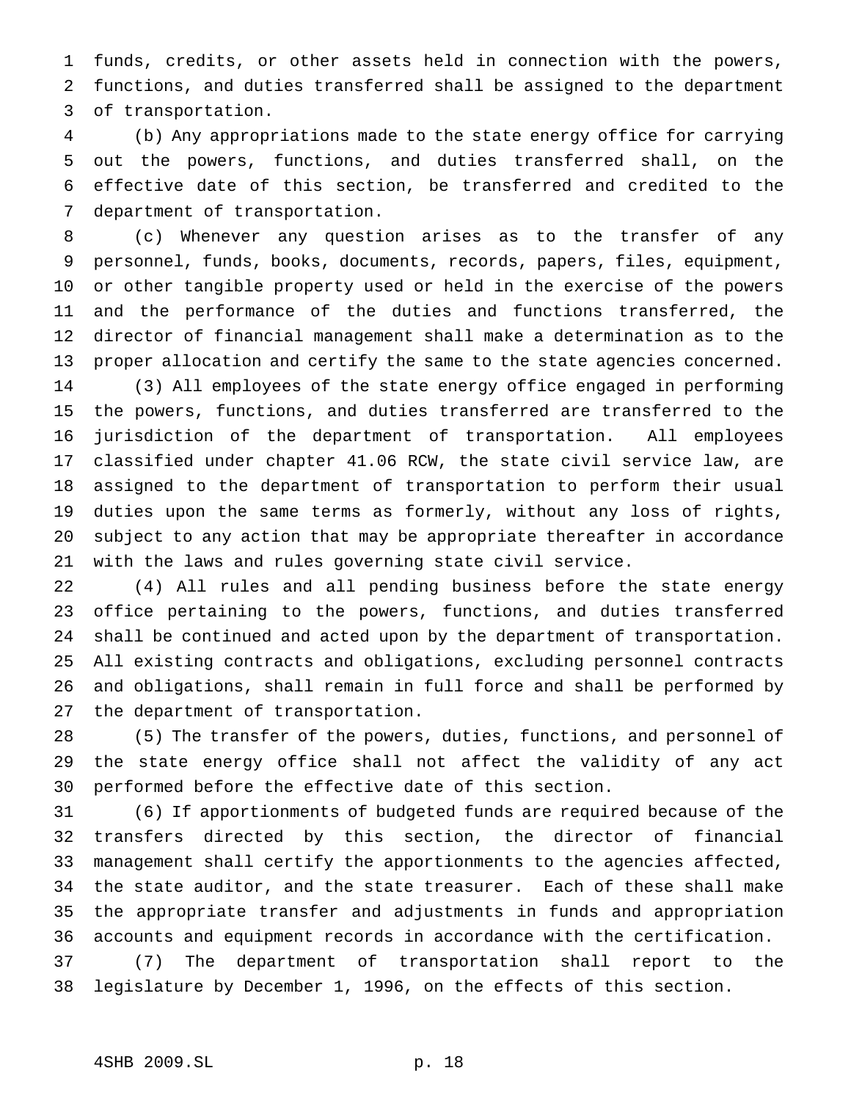funds, credits, or other assets held in connection with the powers, functions, and duties transferred shall be assigned to the department of transportation.

 (b) Any appropriations made to the state energy office for carrying out the powers, functions, and duties transferred shall, on the effective date of this section, be transferred and credited to the department of transportation.

 (c) Whenever any question arises as to the transfer of any personnel, funds, books, documents, records, papers, files, equipment, or other tangible property used or held in the exercise of the powers and the performance of the duties and functions transferred, the director of financial management shall make a determination as to the proper allocation and certify the same to the state agencies concerned. (3) All employees of the state energy office engaged in performing the powers, functions, and duties transferred are transferred to the jurisdiction of the department of transportation. All employees classified under chapter 41.06 RCW, the state civil service law, are assigned to the department of transportation to perform their usual duties upon the same terms as formerly, without any loss of rights, subject to any action that may be appropriate thereafter in accordance with the laws and rules governing state civil service.

 (4) All rules and all pending business before the state energy office pertaining to the powers, functions, and duties transferred shall be continued and acted upon by the department of transportation. All existing contracts and obligations, excluding personnel contracts and obligations, shall remain in full force and shall be performed by the department of transportation.

 (5) The transfer of the powers, duties, functions, and personnel of the state energy office shall not affect the validity of any act performed before the effective date of this section.

 (6) If apportionments of budgeted funds are required because of the transfers directed by this section, the director of financial management shall certify the apportionments to the agencies affected, the state auditor, and the state treasurer. Each of these shall make the appropriate transfer and adjustments in funds and appropriation accounts and equipment records in accordance with the certification. (7) The department of transportation shall report to the

legislature by December 1, 1996, on the effects of this section.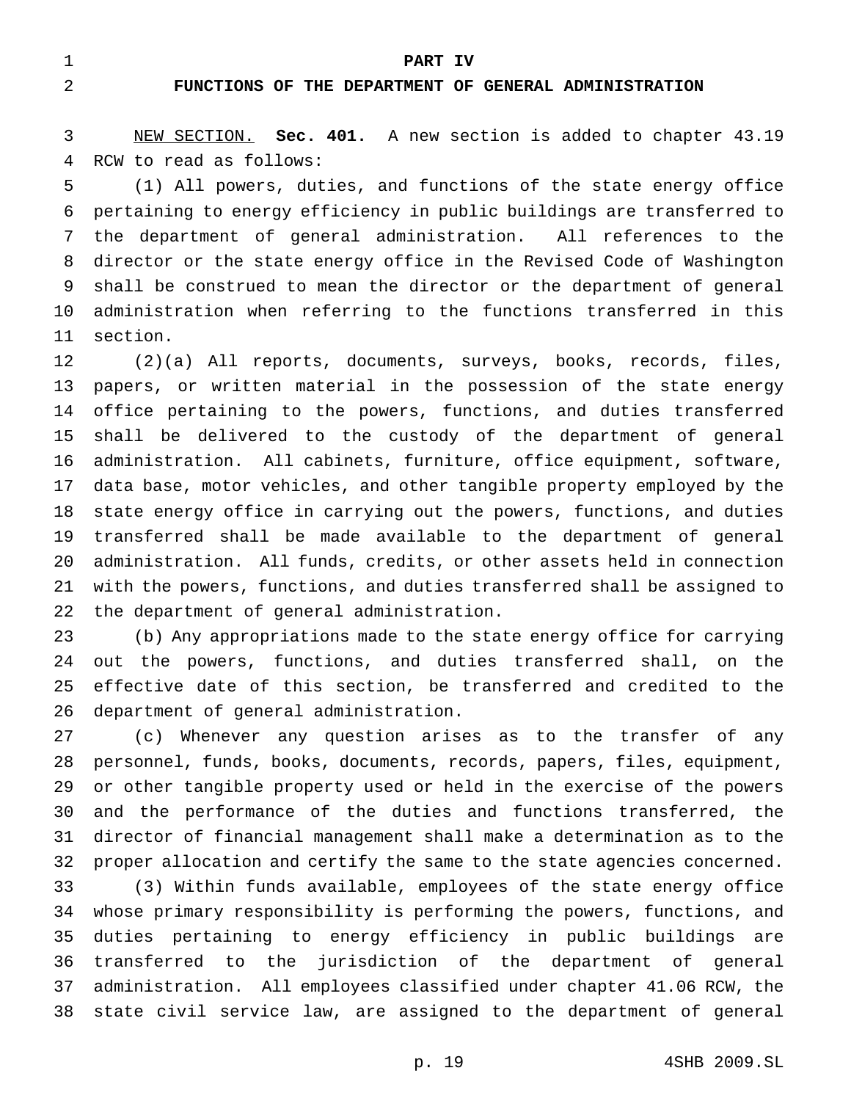**PART IV**

## **FUNCTIONS OF THE DEPARTMENT OF GENERAL ADMINISTRATION**

 NEW SECTION. **Sec. 401.** A new section is added to chapter 43.19 RCW to read as follows:

 (1) All powers, duties, and functions of the state energy office pertaining to energy efficiency in public buildings are transferred to the department of general administration. All references to the director or the state energy office in the Revised Code of Washington shall be construed to mean the director or the department of general administration when referring to the functions transferred in this section.

 (2)(a) All reports, documents, surveys, books, records, files, papers, or written material in the possession of the state energy office pertaining to the powers, functions, and duties transferred shall be delivered to the custody of the department of general administration. All cabinets, furniture, office equipment, software, data base, motor vehicles, and other tangible property employed by the state energy office in carrying out the powers, functions, and duties transferred shall be made available to the department of general administration. All funds, credits, or other assets held in connection with the powers, functions, and duties transferred shall be assigned to the department of general administration.

 (b) Any appropriations made to the state energy office for carrying out the powers, functions, and duties transferred shall, on the effective date of this section, be transferred and credited to the department of general administration.

 (c) Whenever any question arises as to the transfer of any personnel, funds, books, documents, records, papers, files, equipment, or other tangible property used or held in the exercise of the powers and the performance of the duties and functions transferred, the director of financial management shall make a determination as to the proper allocation and certify the same to the state agencies concerned.

 (3) Within funds available, employees of the state energy office whose primary responsibility is performing the powers, functions, and duties pertaining to energy efficiency in public buildings are transferred to the jurisdiction of the department of general administration. All employees classified under chapter 41.06 RCW, the state civil service law, are assigned to the department of general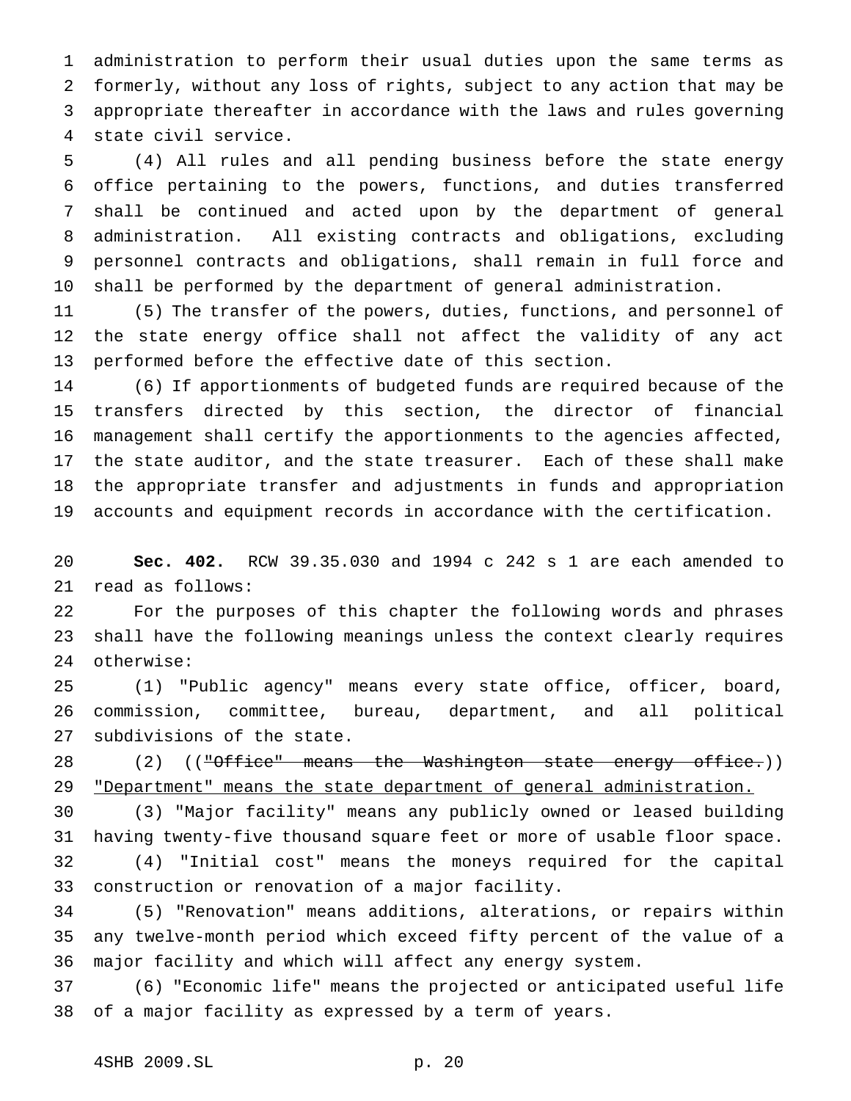administration to perform their usual duties upon the same terms as formerly, without any loss of rights, subject to any action that may be appropriate thereafter in accordance with the laws and rules governing state civil service.

 (4) All rules and all pending business before the state energy office pertaining to the powers, functions, and duties transferred shall be continued and acted upon by the department of general administration. All existing contracts and obligations, excluding personnel contracts and obligations, shall remain in full force and shall be performed by the department of general administration.

 (5) The transfer of the powers, duties, functions, and personnel of the state energy office shall not affect the validity of any act performed before the effective date of this section.

 (6) If apportionments of budgeted funds are required because of the transfers directed by this section, the director of financial management shall certify the apportionments to the agencies affected, the state auditor, and the state treasurer. Each of these shall make the appropriate transfer and adjustments in funds and appropriation accounts and equipment records in accordance with the certification.

 **Sec. 402.** RCW 39.35.030 and 1994 c 242 s 1 are each amended to read as follows:

 For the purposes of this chapter the following words and phrases shall have the following meanings unless the context clearly requires otherwise:

 (1) "Public agency" means every state office, officer, board, commission, committee, bureau, department, and all political subdivisions of the state.

28 (2) (("Office" means the Washington state energy office.)) 29 "Department" means the state department of general administration.

 (3) "Major facility" means any publicly owned or leased building having twenty-five thousand square feet or more of usable floor space. (4) "Initial cost" means the moneys required for the capital

construction or renovation of a major facility.

 (5) "Renovation" means additions, alterations, or repairs within any twelve-month period which exceed fifty percent of the value of a major facility and which will affect any energy system.

 (6) "Economic life" means the projected or anticipated useful life of a major facility as expressed by a term of years.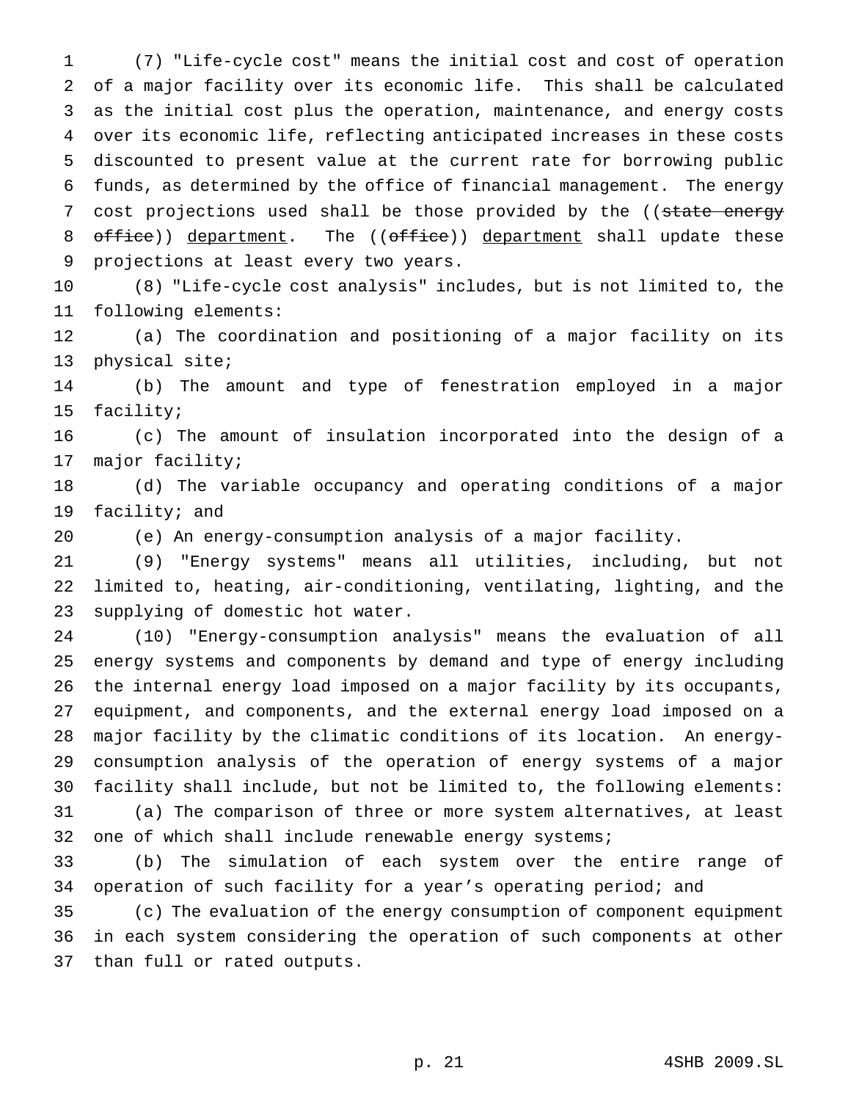(7) "Life-cycle cost" means the initial cost and cost of operation of a major facility over its economic life. This shall be calculated as the initial cost plus the operation, maintenance, and energy costs over its economic life, reflecting anticipated increases in these costs discounted to present value at the current rate for borrowing public funds, as determined by the office of financial management. The energy 7 cost projections used shall be those provided by the ((state energy 8 office)) department. The ((office)) department shall update these projections at least every two years.

 (8) "Life-cycle cost analysis" includes, but is not limited to, the following elements:

 (a) The coordination and positioning of a major facility on its physical site;

 (b) The amount and type of fenestration employed in a major facility;

 (c) The amount of insulation incorporated into the design of a major facility;

 (d) The variable occupancy and operating conditions of a major facility; and

(e) An energy-consumption analysis of a major facility.

 (9) "Energy systems" means all utilities, including, but not limited to, heating, air-conditioning, ventilating, lighting, and the supplying of domestic hot water.

 (10) "Energy-consumption analysis" means the evaluation of all energy systems and components by demand and type of energy including the internal energy load imposed on a major facility by its occupants, equipment, and components, and the external energy load imposed on a major facility by the climatic conditions of its location. An energy- consumption analysis of the operation of energy systems of a major facility shall include, but not be limited to, the following elements: (a) The comparison of three or more system alternatives, at least 32 one of which shall include renewable energy systems;

 (b) The simulation of each system over the entire range of operation of such facility for a year's operating period; and

 (c) The evaluation of the energy consumption of component equipment in each system considering the operation of such components at other than full or rated outputs.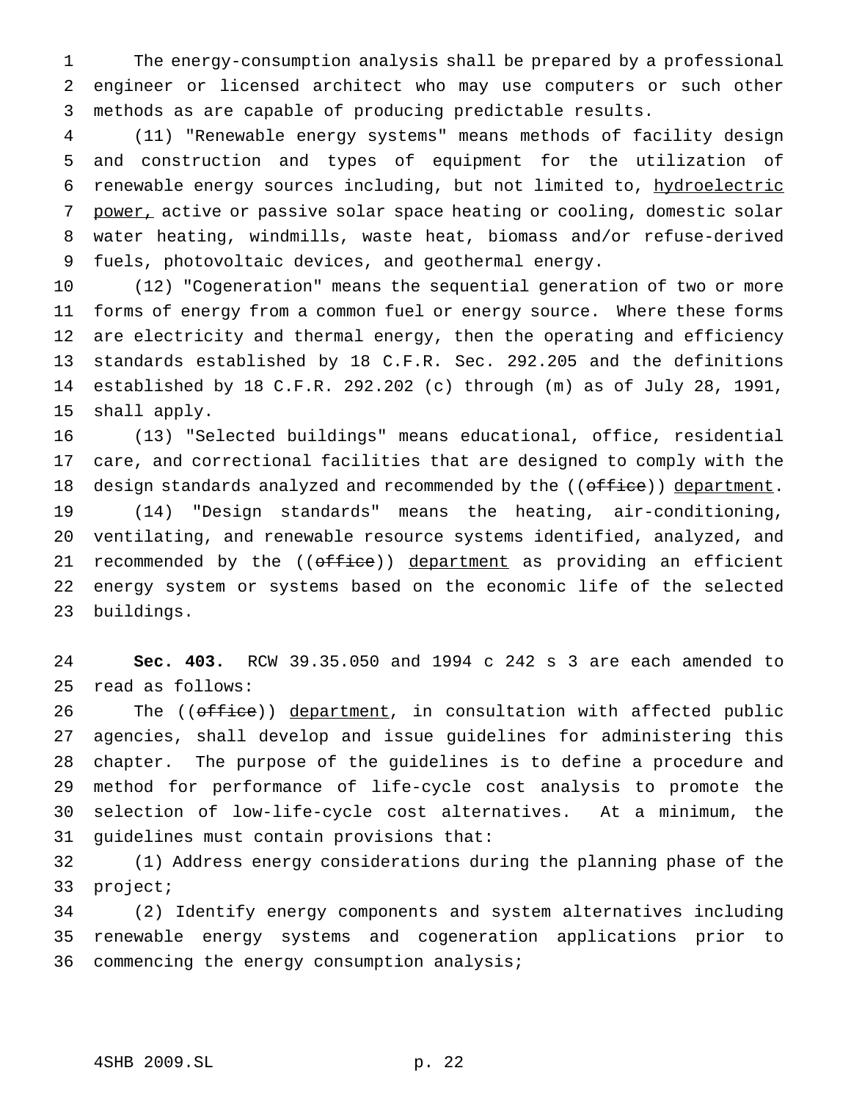The energy-consumption analysis shall be prepared by a professional engineer or licensed architect who may use computers or such other methods as are capable of producing predictable results.

 (11) "Renewable energy systems" means methods of facility design and construction and types of equipment for the utilization of renewable energy sources including, but not limited to, hydroelectric 7 power, active or passive solar space heating or cooling, domestic solar water heating, windmills, waste heat, biomass and/or refuse-derived fuels, photovoltaic devices, and geothermal energy.

 (12) "Cogeneration" means the sequential generation of two or more forms of energy from a common fuel or energy source. Where these forms are electricity and thermal energy, then the operating and efficiency standards established by 18 C.F.R. Sec. 292.205 and the definitions established by 18 C.F.R. 292.202 (c) through (m) as of July 28, 1991, shall apply.

 (13) "Selected buildings" means educational, office, residential care, and correctional facilities that are designed to comply with the 18 design standards analyzed and recommended by the ((office)) department. (14) "Design standards" means the heating, air-conditioning, ventilating, and renewable resource systems identified, analyzed, and 21 recommended by the  $($   $(\text{offset}$  $))$  department as providing an efficient energy system or systems based on the economic life of the selected buildings.

 **Sec. 403.** RCW 39.35.050 and 1994 c 242 s 3 are each amended to read as follows:

26 The ((office)) department, in consultation with affected public agencies, shall develop and issue guidelines for administering this chapter. The purpose of the guidelines is to define a procedure and method for performance of life-cycle cost analysis to promote the selection of low-life-cycle cost alternatives. At a minimum, the guidelines must contain provisions that:

 (1) Address energy considerations during the planning phase of the project;

 (2) Identify energy components and system alternatives including renewable energy systems and cogeneration applications prior to commencing the energy consumption analysis;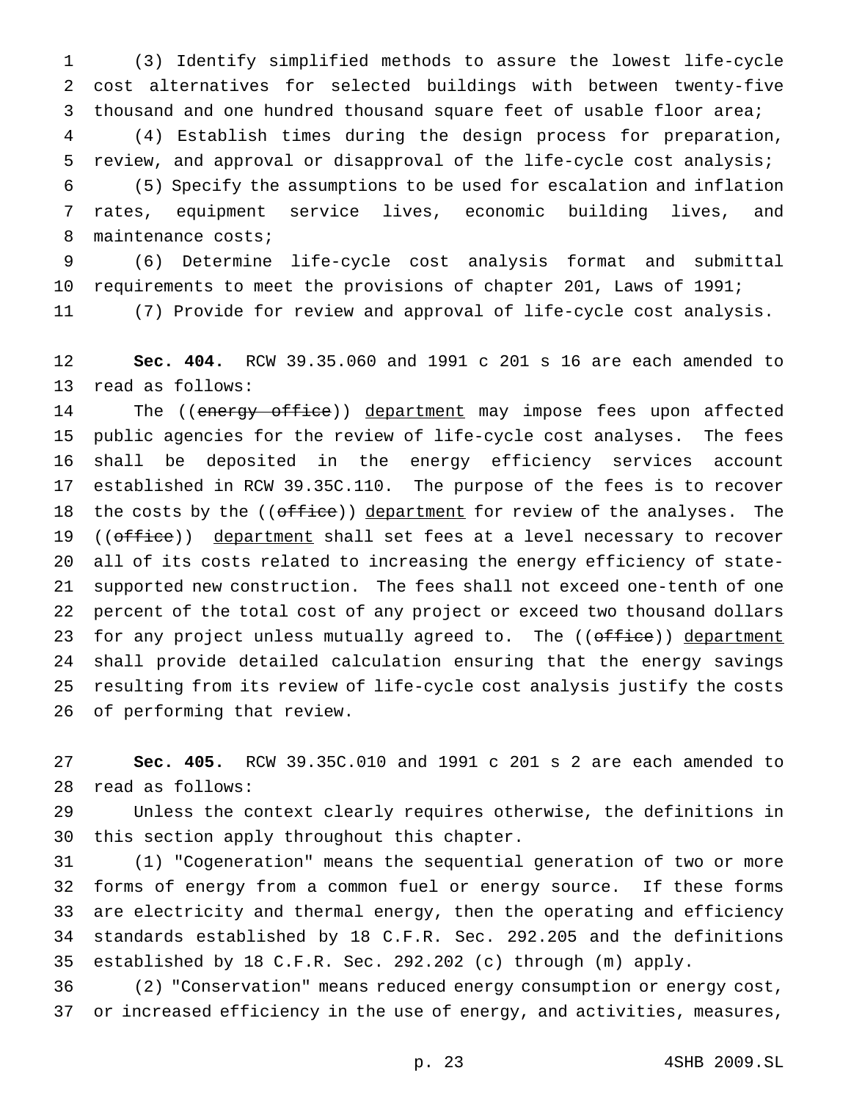(3) Identify simplified methods to assure the lowest life-cycle cost alternatives for selected buildings with between twenty-five thousand and one hundred thousand square feet of usable floor area; (4) Establish times during the design process for preparation, review, and approval or disapproval of the life-cycle cost analysis; (5) Specify the assumptions to be used for escalation and inflation rates, equipment service lives, economic building lives, and 8 maintenance costs;

 (6) Determine life-cycle cost analysis format and submittal requirements to meet the provisions of chapter 201, Laws of 1991; (7) Provide for review and approval of life-cycle cost analysis.

 **Sec. 404.** RCW 39.35.060 and 1991 c 201 s 16 are each amended to read as follows:

14 The ((energy office)) department may impose fees upon affected public agencies for the review of life-cycle cost analyses. The fees shall be deposited in the energy efficiency services account established in RCW 39.35C.110. The purpose of the fees is to recover 18 the costs by the ((office)) department for review of the analyses. The 19 ((office)) department shall set fees at a level necessary to recover all of its costs related to increasing the energy efficiency of state- supported new construction. The fees shall not exceed one-tenth of one percent of the total cost of any project or exceed two thousand dollars 23 for any project unless mutually agreed to. The ((office)) department shall provide detailed calculation ensuring that the energy savings resulting from its review of life-cycle cost analysis justify the costs of performing that review.

 **Sec. 405.** RCW 39.35C.010 and 1991 c 201 s 2 are each amended to read as follows:

 Unless the context clearly requires otherwise, the definitions in this section apply throughout this chapter.

 (1) "Cogeneration" means the sequential generation of two or more forms of energy from a common fuel or energy source. If these forms are electricity and thermal energy, then the operating and efficiency standards established by 18 C.F.R. Sec. 292.205 and the definitions established by 18 C.F.R. Sec. 292.202 (c) through (m) apply.

 (2) "Conservation" means reduced energy consumption or energy cost, or increased efficiency in the use of energy, and activities, measures,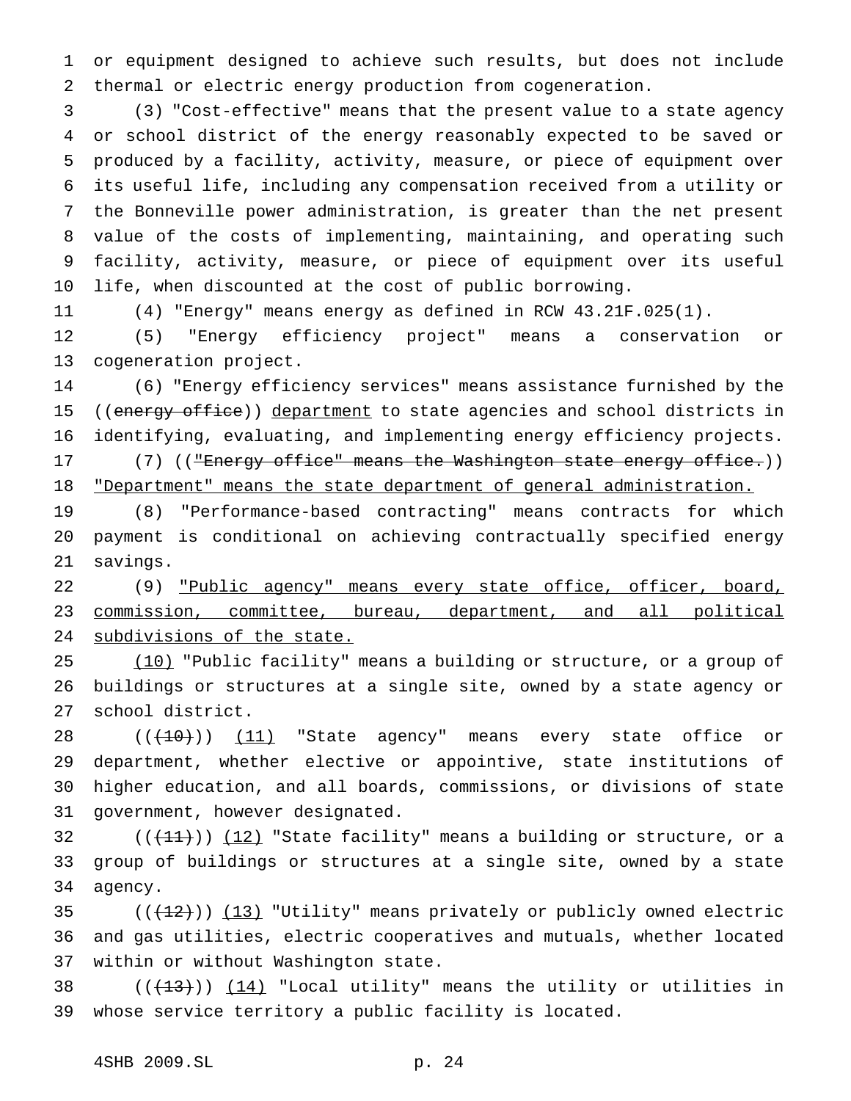or equipment designed to achieve such results, but does not include thermal or electric energy production from cogeneration.

 (3) "Cost-effective" means that the present value to a state agency or school district of the energy reasonably expected to be saved or produced by a facility, activity, measure, or piece of equipment over its useful life, including any compensation received from a utility or the Bonneville power administration, is greater than the net present value of the costs of implementing, maintaining, and operating such facility, activity, measure, or piece of equipment over its useful life, when discounted at the cost of public borrowing.

(4) "Energy" means energy as defined in RCW 43.21F.025(1).

 (5) "Energy efficiency project" means a conservation or cogeneration project.

 (6) "Energy efficiency services" means assistance furnished by the 15 ((energy office)) department to state agencies and school districts in identifying, evaluating, and implementing energy efficiency projects. 17 (7) ((<del>"Energy office" means the Washington state energy office.</del>))

18 "Department" means the state department of general administration.

 (8) "Performance-based contracting" means contracts for which payment is conditional on achieving contractually specified energy savings.

22 (9) "Public agency" means every state office, officer, board, commission, committee, bureau, department, and all political subdivisions of the state.

25 (10) "Public facility" means a building or structure, or a group of buildings or structures at a single site, owned by a state agency or school district.

28 ((<del>(10)</del>)) <u>(11)</u> "State agency" means every state office or department, whether elective or appointive, state institutions of higher education, and all boards, commissions, or divisions of state government, however designated.

32  $((+11))$   $(12)$  "State facility" means a building or structure, or a group of buildings or structures at a single site, owned by a state agency.

35  $((+12))$   $(13)$  "Utility" means privately or publicly owned electric and gas utilities, electric cooperatives and mutuals, whether located within or without Washington state.

38  $((+13))$   $(14)$  "Local utility" means the utility or utilities in whose service territory a public facility is located.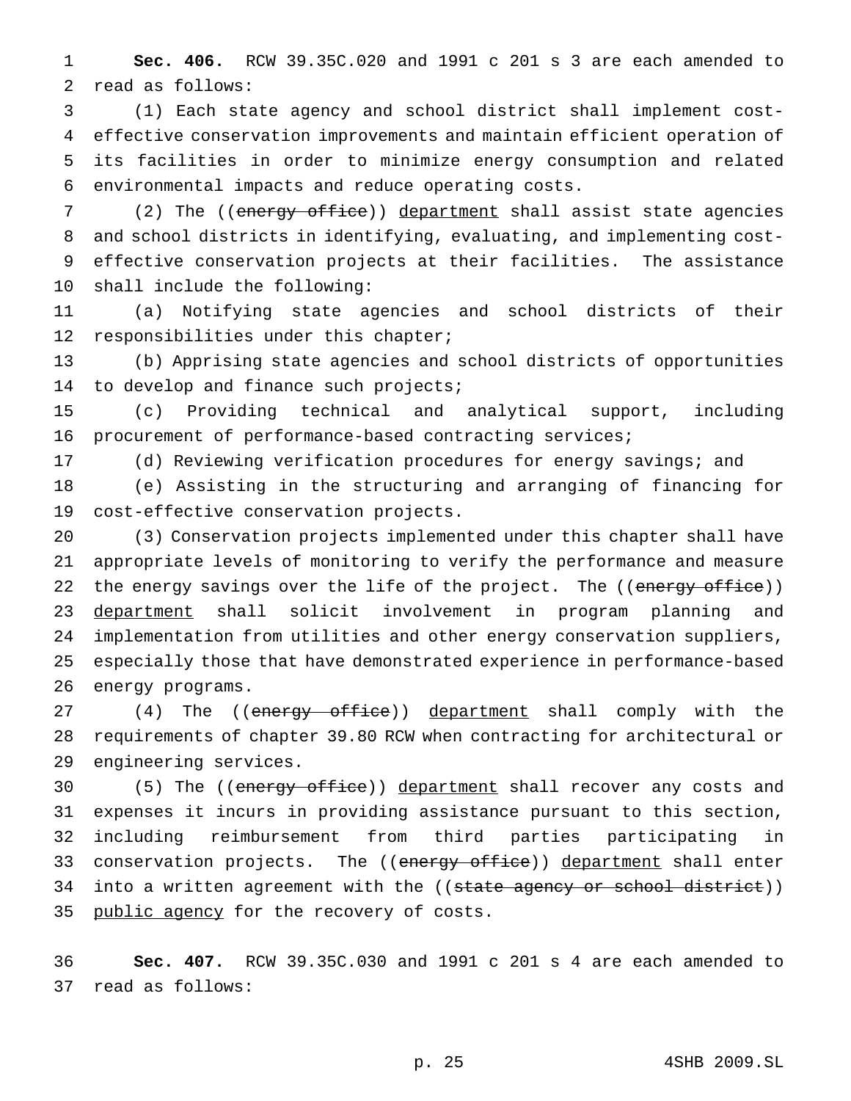**Sec. 406.** RCW 39.35C.020 and 1991 c 201 s 3 are each amended to read as follows:

 (1) Each state agency and school district shall implement cost- effective conservation improvements and maintain efficient operation of its facilities in order to minimize energy consumption and related environmental impacts and reduce operating costs.

7 (2) The ((energy office)) department shall assist state agencies and school districts in identifying, evaluating, and implementing cost- effective conservation projects at their facilities. The assistance shall include the following:

 (a) Notifying state agencies and school districts of their 12 responsibilities under this chapter;

 (b) Apprising state agencies and school districts of opportunities 14 to develop and finance such projects;

 (c) Providing technical and analytical support, including procurement of performance-based contracting services;

(d) Reviewing verification procedures for energy savings; and

 (e) Assisting in the structuring and arranging of financing for cost-effective conservation projects.

 (3) Conservation projects implemented under this chapter shall have appropriate levels of monitoring to verify the performance and measure 22 the energy savings over the life of the project. The ((energy office)) 23 department shall solicit involvement in program planning and implementation from utilities and other energy conservation suppliers, especially those that have demonstrated experience in performance-based energy programs.

27 (4) The ((energy office)) department shall comply with the requirements of chapter 39.80 RCW when contracting for architectural or engineering services.

30 (5) The ((energy office)) department shall recover any costs and expenses it incurs in providing assistance pursuant to this section, including reimbursement from third parties participating in 33 conservation projects. The ((energy office)) department shall enter 34 into a written agreement with the ((state agency or school district)) 35 public agency for the recovery of costs.

 **Sec. 407.** RCW 39.35C.030 and 1991 c 201 s 4 are each amended to read as follows: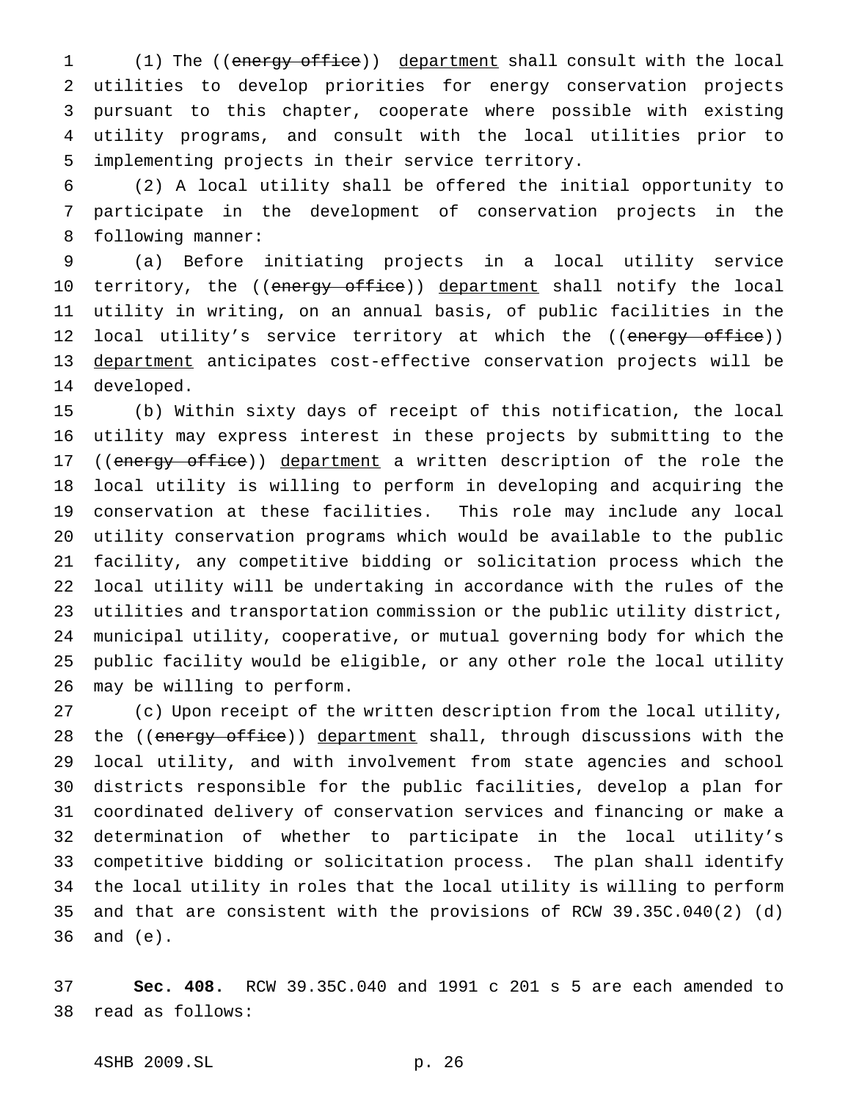1 (1) The ((energy office)) department shall consult with the local utilities to develop priorities for energy conservation projects pursuant to this chapter, cooperate where possible with existing utility programs, and consult with the local utilities prior to implementing projects in their service territory.

 (2) A local utility shall be offered the initial opportunity to participate in the development of conservation projects in the following manner:

 (a) Before initiating projects in a local utility service 10 territory, the ((energy office)) department shall notify the local utility in writing, on an annual basis, of public facilities in the 12 local utility's service territory at which the ((energy office)) department anticipates cost-effective conservation projects will be developed.

 (b) Within sixty days of receipt of this notification, the local utility may express interest in these projects by submitting to the 17 ((energy office)) department a written description of the role the local utility is willing to perform in developing and acquiring the conservation at these facilities. This role may include any local utility conservation programs which would be available to the public facility, any competitive bidding or solicitation process which the local utility will be undertaking in accordance with the rules of the utilities and transportation commission or the public utility district, municipal utility, cooperative, or mutual governing body for which the public facility would be eligible, or any other role the local utility may be willing to perform.

 (c) Upon receipt of the written description from the local utility, 28 the ((energy office)) department shall, through discussions with the local utility, and with involvement from state agencies and school districts responsible for the public facilities, develop a plan for coordinated delivery of conservation services and financing or make a determination of whether to participate in the local utility's competitive bidding or solicitation process. The plan shall identify the local utility in roles that the local utility is willing to perform and that are consistent with the provisions of RCW 39.35C.040(2) (d) and (e).

 **Sec. 408.** RCW 39.35C.040 and 1991 c 201 s 5 are each amended to read as follows: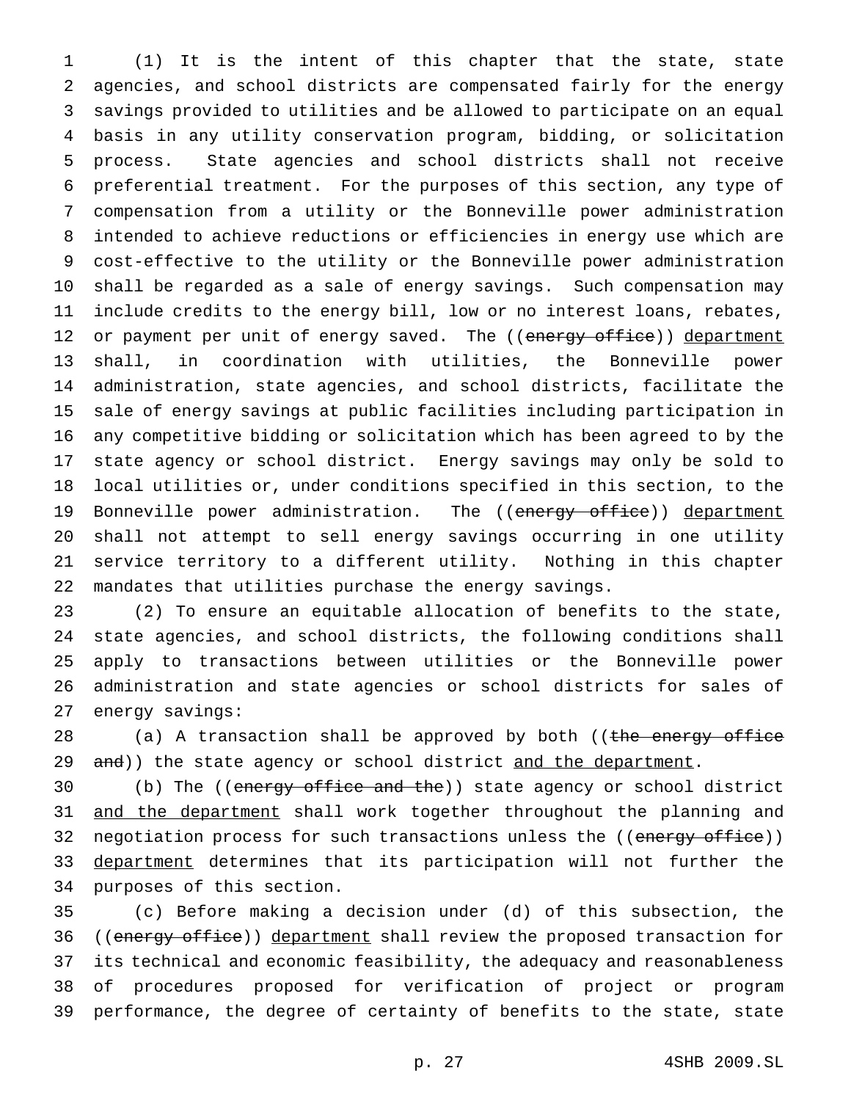(1) It is the intent of this chapter that the state, state agencies, and school districts are compensated fairly for the energy savings provided to utilities and be allowed to participate on an equal basis in any utility conservation program, bidding, or solicitation process. State agencies and school districts shall not receive preferential treatment. For the purposes of this section, any type of compensation from a utility or the Bonneville power administration intended to achieve reductions or efficiencies in energy use which are cost-effective to the utility or the Bonneville power administration shall be regarded as a sale of energy savings. Such compensation may include credits to the energy bill, low or no interest loans, rebates, 12 or payment per unit of energy saved. The ((energy office)) department shall, in coordination with utilities, the Bonneville power administration, state agencies, and school districts, facilitate the sale of energy savings at public facilities including participation in any competitive bidding or solicitation which has been agreed to by the state agency or school district. Energy savings may only be sold to local utilities or, under conditions specified in this section, to the 19 Bonneville power administration. The ((energy office)) department shall not attempt to sell energy savings occurring in one utility service territory to a different utility. Nothing in this chapter mandates that utilities purchase the energy savings.

 (2) To ensure an equitable allocation of benefits to the state, state agencies, and school districts, the following conditions shall apply to transactions between utilities or the Bonneville power administration and state agencies or school districts for sales of energy savings:

28 (a) A transaction shall be approved by both ((the energy office 29 and)) the state agency or school district and the department.

30 (b) The ((energy office and the)) state agency or school district 31 and the department shall work together throughout the planning and 32 negotiation process for such transactions unless the ((energy office)) 33 <u>department</u> determines that its participation will not further the purposes of this section.

 (c) Before making a decision under (d) of this subsection, the 36 ((energy office)) department shall review the proposed transaction for its technical and economic feasibility, the adequacy and reasonableness of procedures proposed for verification of project or program performance, the degree of certainty of benefits to the state, state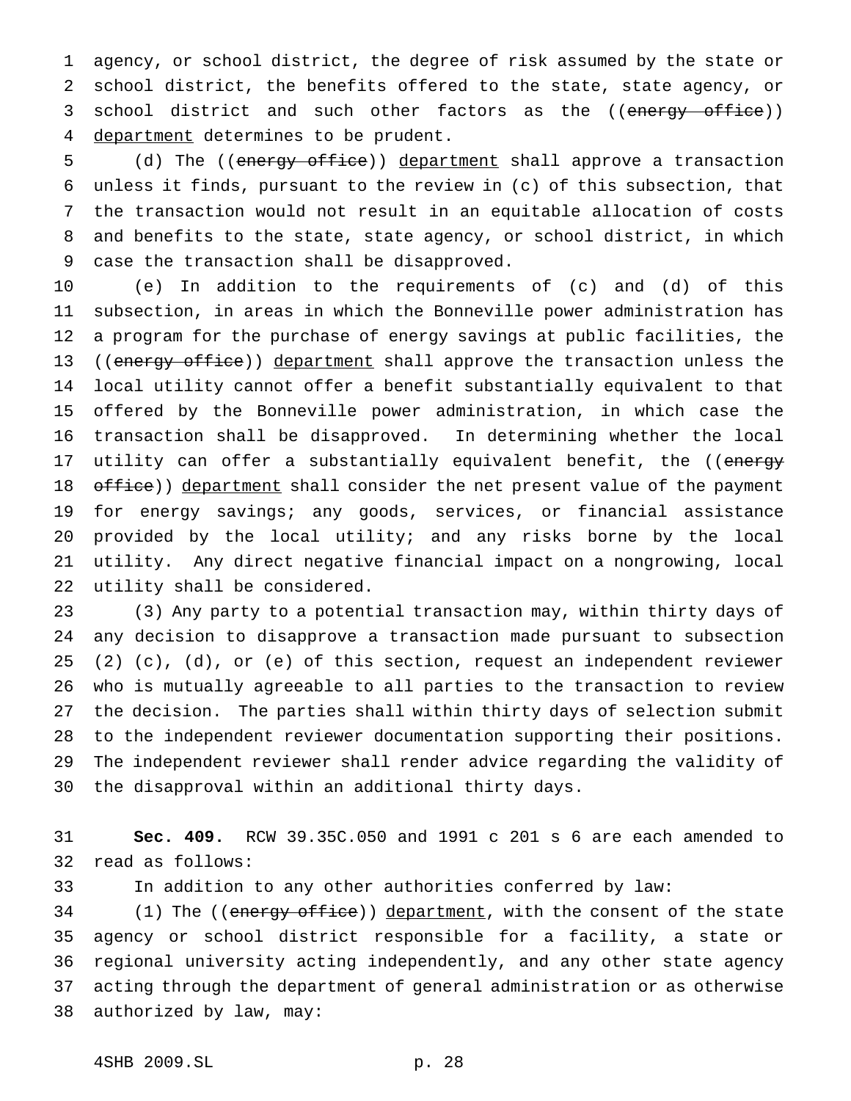agency, or school district, the degree of risk assumed by the state or school district, the benefits offered to the state, state agency, or 3 school district and such other factors as the ((energy office)) 4 department determines to be prudent.

5 (d) The ((energy office)) department shall approve a transaction unless it finds, pursuant to the review in (c) of this subsection, that the transaction would not result in an equitable allocation of costs and benefits to the state, state agency, or school district, in which case the transaction shall be disapproved.

 (e) In addition to the requirements of (c) and (d) of this subsection, in areas in which the Bonneville power administration has a program for the purchase of energy savings at public facilities, the 13 ((energy office)) department shall approve the transaction unless the local utility cannot offer a benefit substantially equivalent to that offered by the Bonneville power administration, in which case the transaction shall be disapproved. In determining whether the local 17 utility can offer a substantially equivalent benefit, the ((energy 18 office)) department shall consider the net present value of the payment for energy savings; any goods, services, or financial assistance provided by the local utility; and any risks borne by the local utility. Any direct negative financial impact on a nongrowing, local utility shall be considered.

 (3) Any party to a potential transaction may, within thirty days of any decision to disapprove a transaction made pursuant to subsection (2) (c), (d), or (e) of this section, request an independent reviewer who is mutually agreeable to all parties to the transaction to review the decision. The parties shall within thirty days of selection submit to the independent reviewer documentation supporting their positions. The independent reviewer shall render advice regarding the validity of the disapproval within an additional thirty days.

 **Sec. 409.** RCW 39.35C.050 and 1991 c 201 s 6 are each amended to read as follows:

In addition to any other authorities conferred by law:

34 (1) The ((energy office)) department, with the consent of the state agency or school district responsible for a facility, a state or regional university acting independently, and any other state agency acting through the department of general administration or as otherwise authorized by law, may: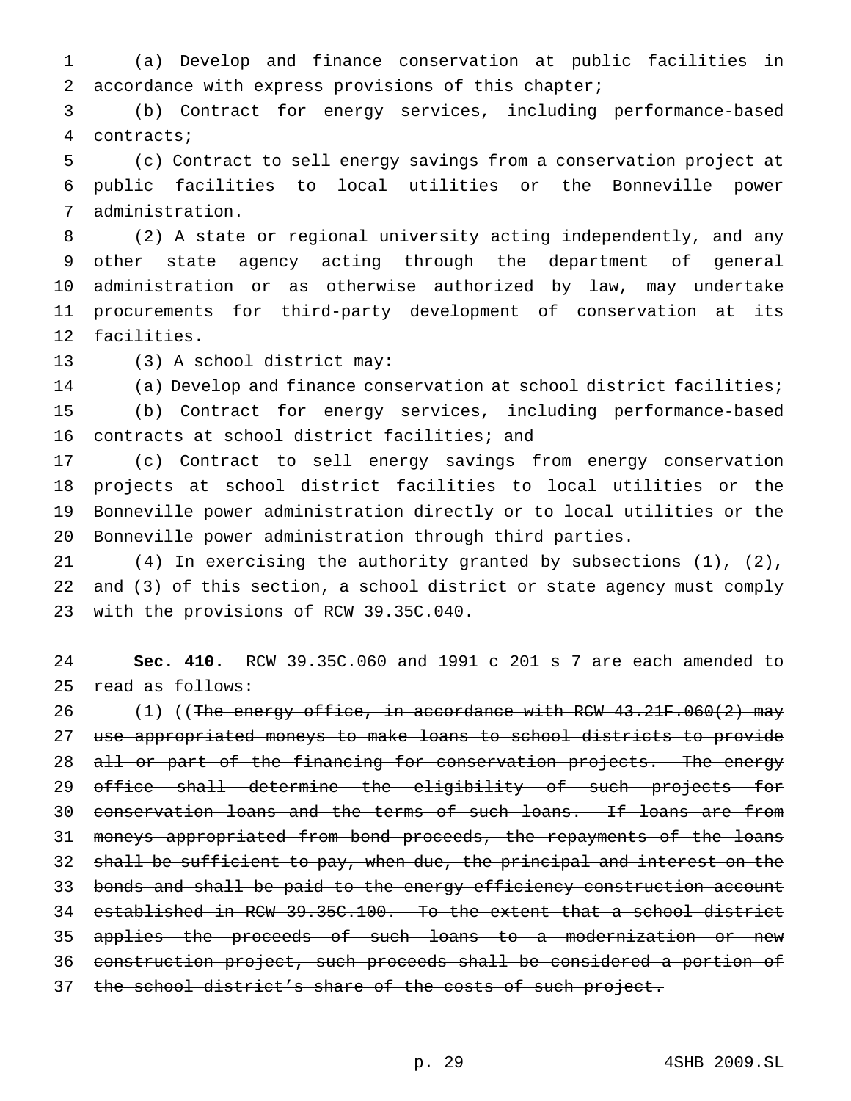(a) Develop and finance conservation at public facilities in accordance with express provisions of this chapter;

 (b) Contract for energy services, including performance-based contracts;

 (c) Contract to sell energy savings from a conservation project at public facilities to local utilities or the Bonneville power administration.

 (2) A state or regional university acting independently, and any other state agency acting through the department of general administration or as otherwise authorized by law, may undertake procurements for third-party development of conservation at its facilities.

(3) A school district may:

 (a) Develop and finance conservation at school district facilities; (b) Contract for energy services, including performance-based contracts at school district facilities; and

 (c) Contract to sell energy savings from energy conservation projects at school district facilities to local utilities or the Bonneville power administration directly or to local utilities or the Bonneville power administration through third parties.

 (4) In exercising the authority granted by subsections (1), (2), and (3) of this section, a school district or state agency must comply with the provisions of RCW 39.35C.040.

 **Sec. 410.** RCW 39.35C.060 and 1991 c 201 s 7 are each amended to read as follows:

 $(1)$  ((The energy office, in accordance with RCW 43.21F.060(2) may use appropriated moneys to make loans to school districts to provide 28 all or part of the financing for conservation projects. The energy 29 office shall determine the eligibility of such projects for conservation loans and the terms of such loans. If loans are from moneys appropriated from bond proceeds, the repayments of the loans shall be sufficient to pay, when due, the principal and interest on the bonds and shall be paid to the energy efficiency construction account established in RCW 39.35C.100. To the extent that a school district 35 applies the proceeds of such loans to a modernization or new construction project, such proceeds shall be considered a portion of 37 the school district's share of the costs of such project.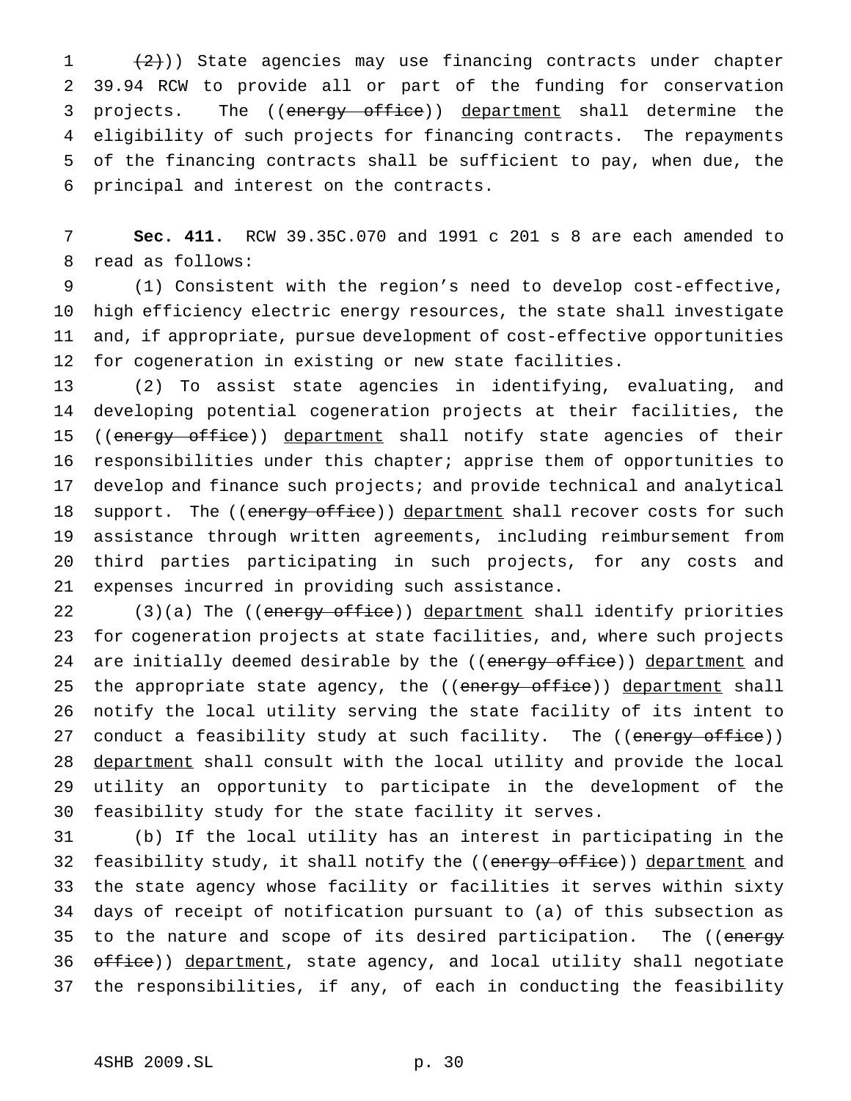$(2)$ )) State agencies may use financing contracts under chapter 39.94 RCW to provide all or part of the funding for conservation 3 projects. The ((energy office)) department shall determine the eligibility of such projects for financing contracts. The repayments of the financing contracts shall be sufficient to pay, when due, the principal and interest on the contracts.

 **Sec. 411.** RCW 39.35C.070 and 1991 c 201 s 8 are each amended to read as follows:

 (1) Consistent with the region's need to develop cost-effective, high efficiency electric energy resources, the state shall investigate and, if appropriate, pursue development of cost-effective opportunities for cogeneration in existing or new state facilities.

 (2) To assist state agencies in identifying, evaluating, and developing potential cogeneration projects at their facilities, the 15 ((energy office)) department shall notify state agencies of their responsibilities under this chapter; apprise them of opportunities to develop and finance such projects; and provide technical and analytical 18 support. The ((energy office)) department shall recover costs for such assistance through written agreements, including reimbursement from third parties participating in such projects, for any costs and expenses incurred in providing such assistance.

22 (3)(a) The ((energy office)) department shall identify priorities for cogeneration projects at state facilities, and, where such projects 24 are initially deemed desirable by the ((energy office)) department and 25 the appropriate state agency, the ((energy office)) department shall notify the local utility serving the state facility of its intent to 27 conduct a feasibility study at such facility. The ((energy office)) 28 department shall consult with the local utility and provide the local utility an opportunity to participate in the development of the feasibility study for the state facility it serves.

 (b) If the local utility has an interest in participating in the 32 feasibility study, it shall notify the ((energy office)) department and the state agency whose facility or facilities it serves within sixty days of receipt of notification pursuant to (a) of this subsection as 35 to the nature and scope of its desired participation. The ((energy 36 office)) department, state agency, and local utility shall negotiate the responsibilities, if any, of each in conducting the feasibility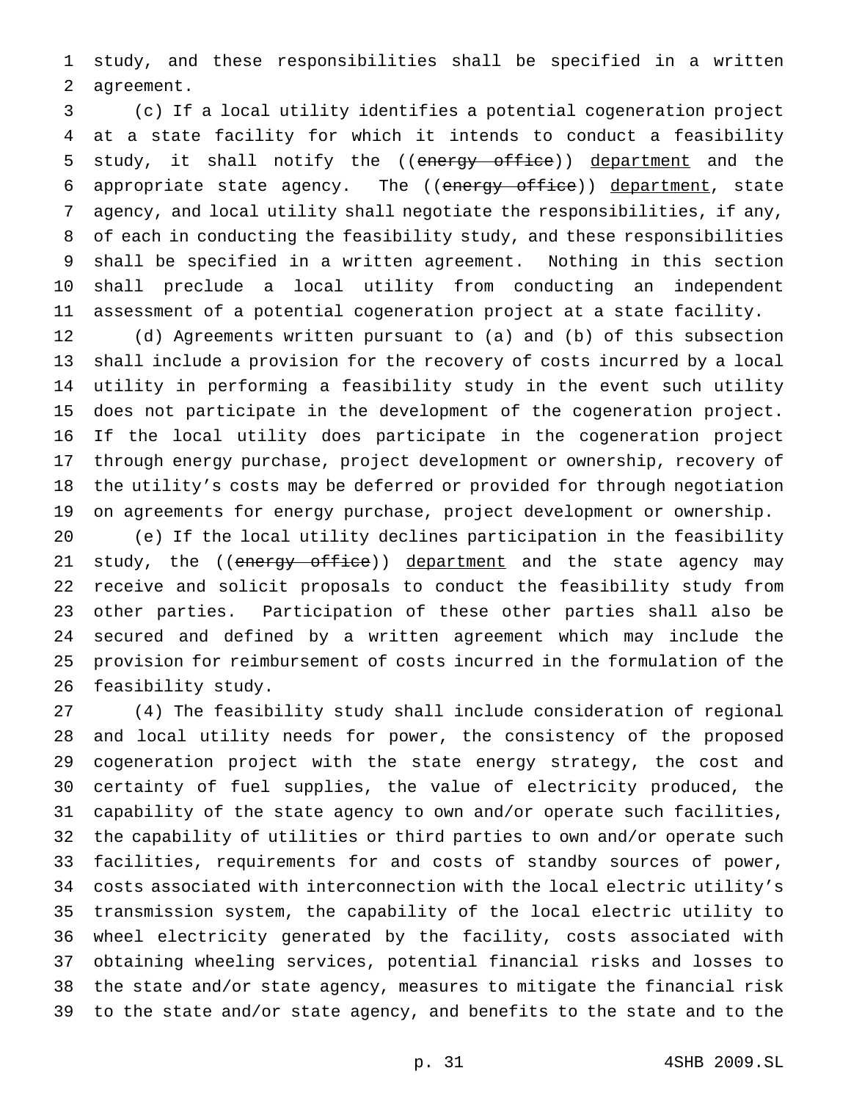study, and these responsibilities shall be specified in a written agreement.

 (c) If a local utility identifies a potential cogeneration project at a state facility for which it intends to conduct a feasibility 5 study, it shall notify the ((energy office)) department and the 6 appropriate state agency. The ((energy office)) department, state agency, and local utility shall negotiate the responsibilities, if any, of each in conducting the feasibility study, and these responsibilities shall be specified in a written agreement. Nothing in this section shall preclude a local utility from conducting an independent assessment of a potential cogeneration project at a state facility.

 (d) Agreements written pursuant to (a) and (b) of this subsection shall include a provision for the recovery of costs incurred by a local utility in performing a feasibility study in the event such utility does not participate in the development of the cogeneration project. If the local utility does participate in the cogeneration project through energy purchase, project development or ownership, recovery of the utility's costs may be deferred or provided for through negotiation on agreements for energy purchase, project development or ownership.

 (e) If the local utility declines participation in the feasibility 21 study, the ((energy office)) department and the state agency may receive and solicit proposals to conduct the feasibility study from other parties. Participation of these other parties shall also be secured and defined by a written agreement which may include the provision for reimbursement of costs incurred in the formulation of the feasibility study.

 (4) The feasibility study shall include consideration of regional and local utility needs for power, the consistency of the proposed cogeneration project with the state energy strategy, the cost and certainty of fuel supplies, the value of electricity produced, the capability of the state agency to own and/or operate such facilities, the capability of utilities or third parties to own and/or operate such facilities, requirements for and costs of standby sources of power, costs associated with interconnection with the local electric utility's transmission system, the capability of the local electric utility to wheel electricity generated by the facility, costs associated with obtaining wheeling services, potential financial risks and losses to the state and/or state agency, measures to mitigate the financial risk to the state and/or state agency, and benefits to the state and to the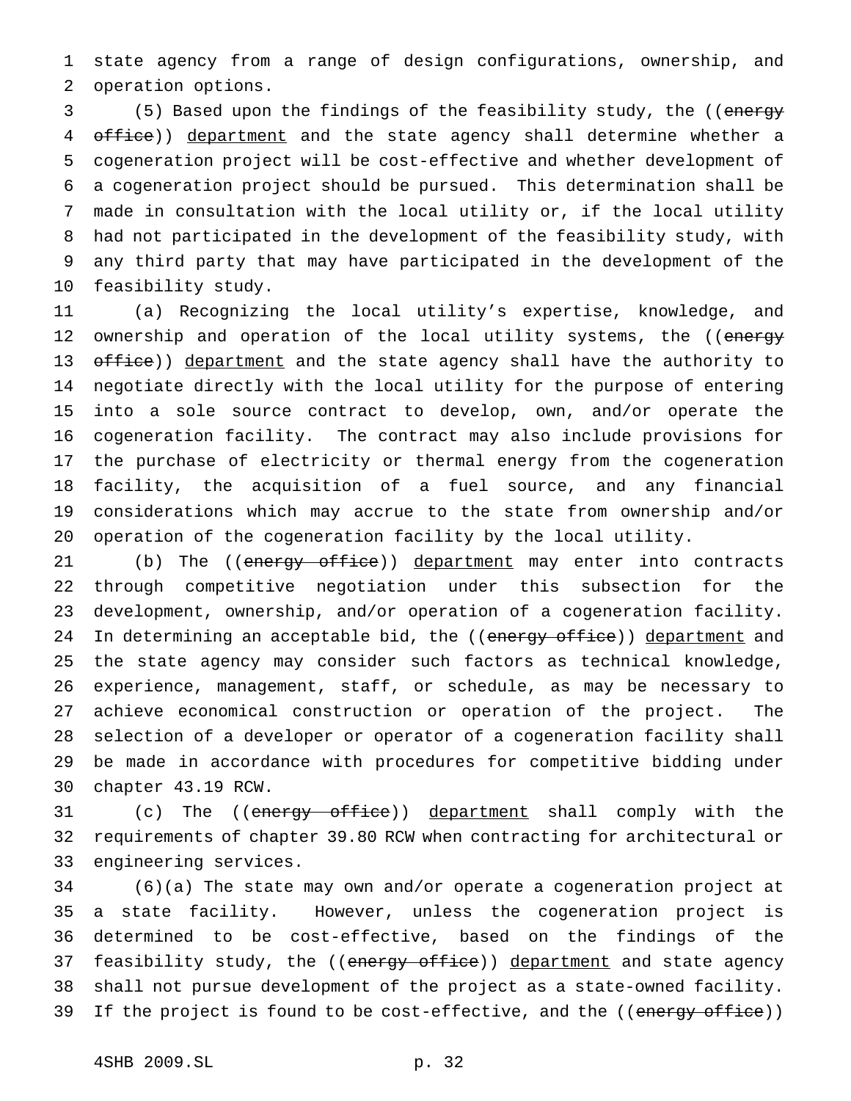state agency from a range of design configurations, ownership, and operation options.

 (5) Based upon the findings of the feasibility study, the ((energy 4 office)) department and the state agency shall determine whether a cogeneration project will be cost-effective and whether development of a cogeneration project should be pursued. This determination shall be made in consultation with the local utility or, if the local utility had not participated in the development of the feasibility study, with any third party that may have participated in the development of the feasibility study.

 (a) Recognizing the local utility's expertise, knowledge, and 12 ownership and operation of the local utility systems, the ((energy 13 office)) department and the state agency shall have the authority to negotiate directly with the local utility for the purpose of entering into a sole source contract to develop, own, and/or operate the cogeneration facility. The contract may also include provisions for the purchase of electricity or thermal energy from the cogeneration facility, the acquisition of a fuel source, and any financial considerations which may accrue to the state from ownership and/or operation of the cogeneration facility by the local utility.

21 (b) The ((energy office)) department may enter into contracts through competitive negotiation under this subsection for the development, ownership, and/or operation of a cogeneration facility. 24 In determining an acceptable bid, the ((energy office)) department and the state agency may consider such factors as technical knowledge, experience, management, staff, or schedule, as may be necessary to achieve economical construction or operation of the project. The selection of a developer or operator of a cogeneration facility shall be made in accordance with procedures for competitive bidding under chapter 43.19 RCW.

31 (c) The ((energy office)) department shall comply with the requirements of chapter 39.80 RCW when contracting for architectural or engineering services.

 (6)(a) The state may own and/or operate a cogeneration project at a state facility. However, unless the cogeneration project is determined to be cost-effective, based on the findings of the 37 feasibility study, the ((energy office)) department and state agency shall not pursue development of the project as a state-owned facility. 39 If the project is found to be cost-effective, and the ((energy office))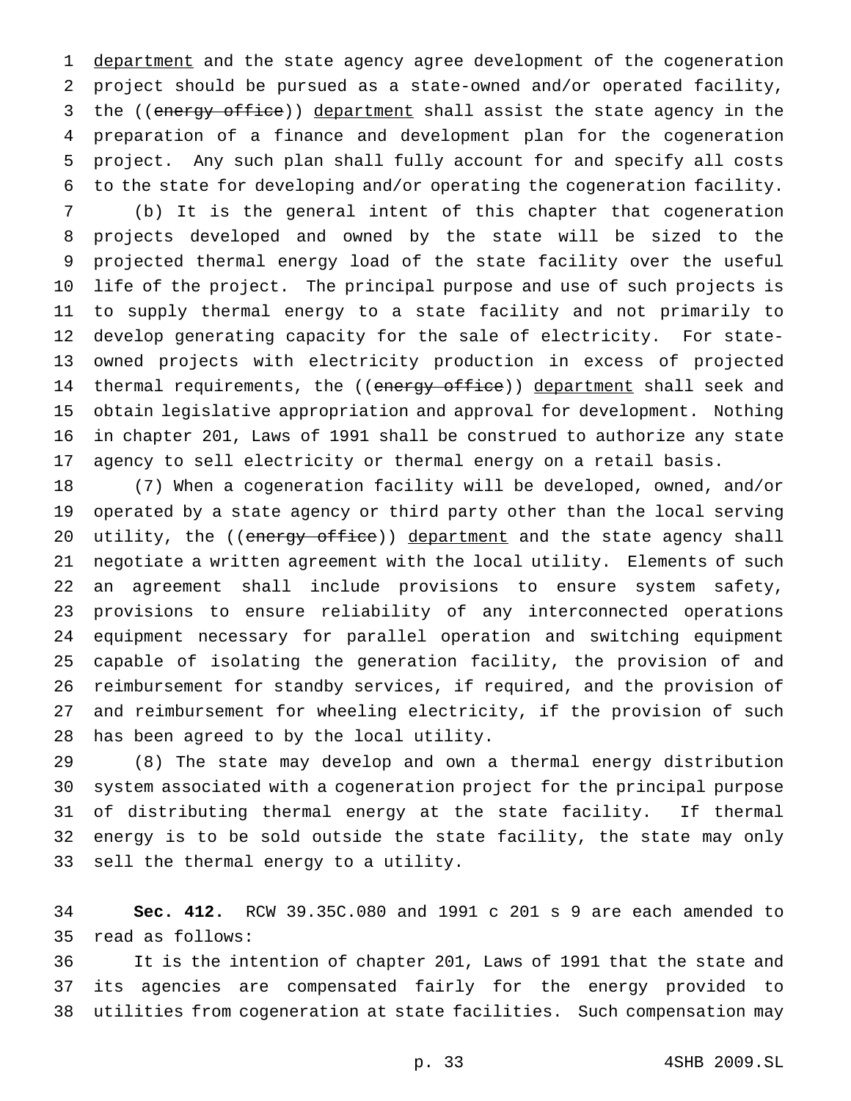1 department and the state agency agree development of the cogeneration project should be pursued as a state-owned and/or operated facility, 3 the ((energy office)) department shall assist the state agency in the preparation of a finance and development plan for the cogeneration project. Any such plan shall fully account for and specify all costs to the state for developing and/or operating the cogeneration facility.

 (b) It is the general intent of this chapter that cogeneration projects developed and owned by the state will be sized to the projected thermal energy load of the state facility over the useful life of the project. The principal purpose and use of such projects is to supply thermal energy to a state facility and not primarily to develop generating capacity for the sale of electricity. For state- owned projects with electricity production in excess of projected 14 thermal requirements, the ((energy office)) department shall seek and obtain legislative appropriation and approval for development. Nothing in chapter 201, Laws of 1991 shall be construed to authorize any state agency to sell electricity or thermal energy on a retail basis.

 (7) When a cogeneration facility will be developed, owned, and/or operated by a state agency or third party other than the local serving 20 utility, the ((energy office)) department and the state agency shall negotiate a written agreement with the local utility. Elements of such an agreement shall include provisions to ensure system safety, provisions to ensure reliability of any interconnected operations equipment necessary for parallel operation and switching equipment capable of isolating the generation facility, the provision of and reimbursement for standby services, if required, and the provision of and reimbursement for wheeling electricity, if the provision of such has been agreed to by the local utility.

 (8) The state may develop and own a thermal energy distribution system associated with a cogeneration project for the principal purpose of distributing thermal energy at the state facility. If thermal energy is to be sold outside the state facility, the state may only sell the thermal energy to a utility.

 **Sec. 412.** RCW 39.35C.080 and 1991 c 201 s 9 are each amended to read as follows:

 It is the intention of chapter 201, Laws of 1991 that the state and its agencies are compensated fairly for the energy provided to utilities from cogeneration at state facilities. Such compensation may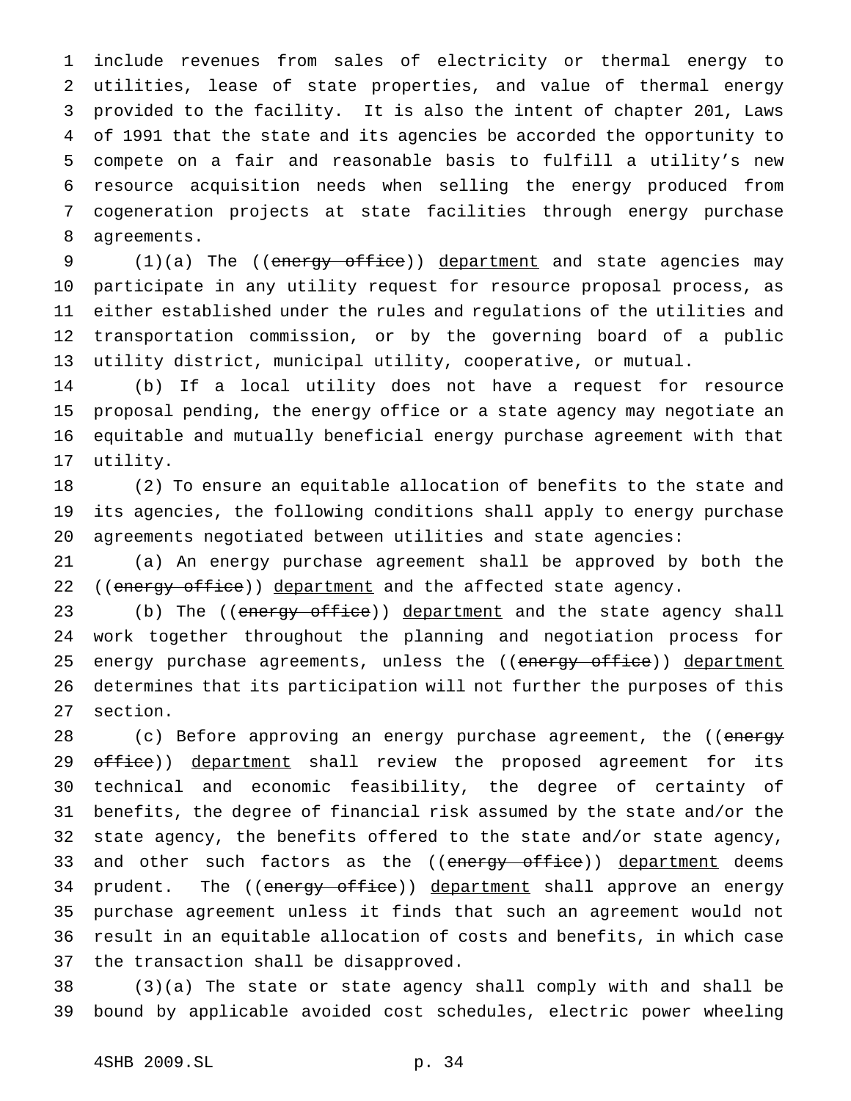include revenues from sales of electricity or thermal energy to utilities, lease of state properties, and value of thermal energy provided to the facility. It is also the intent of chapter 201, Laws of 1991 that the state and its agencies be accorded the opportunity to compete on a fair and reasonable basis to fulfill a utility's new resource acquisition needs when selling the energy produced from cogeneration projects at state facilities through energy purchase agreements.

9 (1)(a) The ((energy office)) department and state agencies may participate in any utility request for resource proposal process, as either established under the rules and regulations of the utilities and transportation commission, or by the governing board of a public utility district, municipal utility, cooperative, or mutual.

 (b) If a local utility does not have a request for resource proposal pending, the energy office or a state agency may negotiate an equitable and mutually beneficial energy purchase agreement with that utility.

 (2) To ensure an equitable allocation of benefits to the state and its agencies, the following conditions shall apply to energy purchase agreements negotiated between utilities and state agencies:

 (a) An energy purchase agreement shall be approved by both the 22 ((energy office)) department and the affected state agency.

23 (b) The ((energy office)) department and the state agency shall work together throughout the planning and negotiation process for 25 energy purchase agreements, unless the ((energy office)) department determines that its participation will not further the purposes of this section.

28 (c) Before approving an energy purchase agreement, the ((energy 29 office)) department shall review the proposed agreement for its technical and economic feasibility, the degree of certainty of benefits, the degree of financial risk assumed by the state and/or the state agency, the benefits offered to the state and/or state agency, 33 and other such factors as the ((energy office)) department deems 34 prudent. The ((energy office)) department shall approve an energy purchase agreement unless it finds that such an agreement would not result in an equitable allocation of costs and benefits, in which case the transaction shall be disapproved.

 (3)(a) The state or state agency shall comply with and shall be bound by applicable avoided cost schedules, electric power wheeling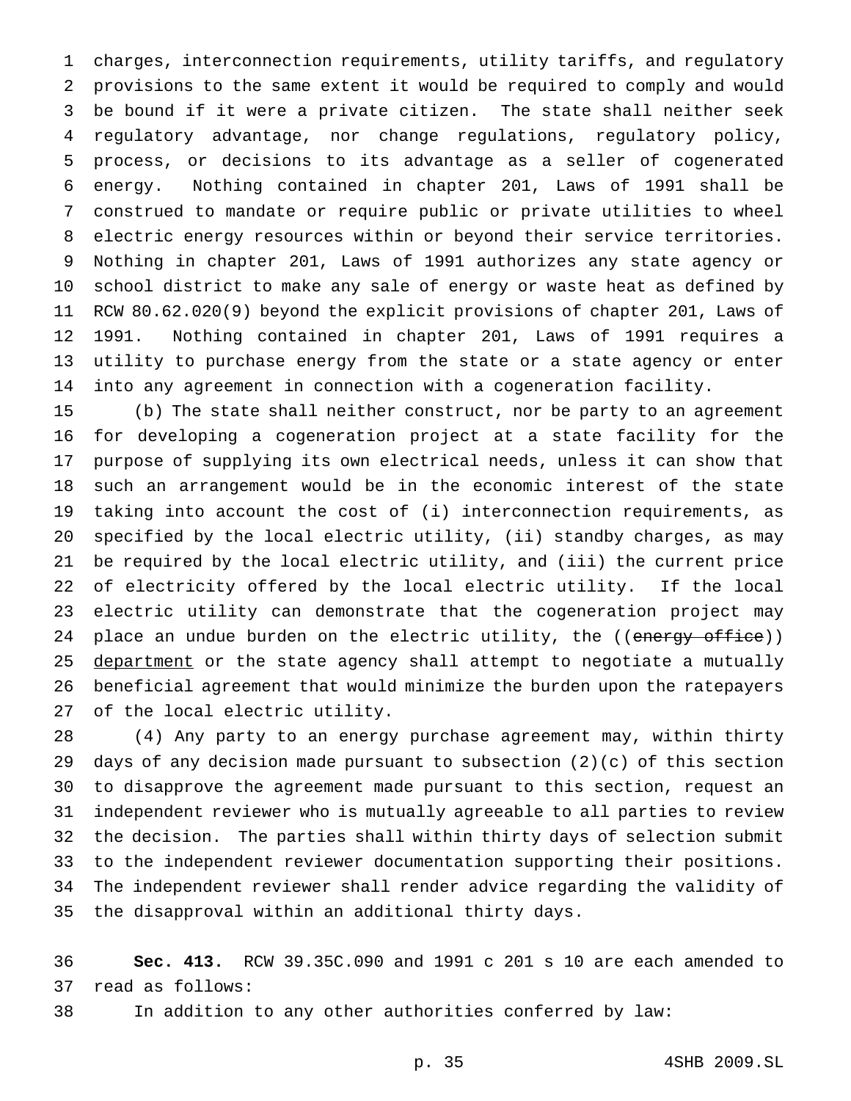charges, interconnection requirements, utility tariffs, and regulatory provisions to the same extent it would be required to comply and would be bound if it were a private citizen. The state shall neither seek regulatory advantage, nor change regulations, regulatory policy, process, or decisions to its advantage as a seller of cogenerated energy. Nothing contained in chapter 201, Laws of 1991 shall be construed to mandate or require public or private utilities to wheel electric energy resources within or beyond their service territories. Nothing in chapter 201, Laws of 1991 authorizes any state agency or school district to make any sale of energy or waste heat as defined by RCW 80.62.020(9) beyond the explicit provisions of chapter 201, Laws of 1991. Nothing contained in chapter 201, Laws of 1991 requires a utility to purchase energy from the state or a state agency or enter into any agreement in connection with a cogeneration facility.

 (b) The state shall neither construct, nor be party to an agreement for developing a cogeneration project at a state facility for the purpose of supplying its own electrical needs, unless it can show that such an arrangement would be in the economic interest of the state taking into account the cost of (i) interconnection requirements, as specified by the local electric utility, (ii) standby charges, as may be required by the local electric utility, and (iii) the current price of electricity offered by the local electric utility. If the local electric utility can demonstrate that the cogeneration project may 24 place an undue burden on the electric utility, the ((energy office)) 25 department or the state agency shall attempt to negotiate a mutually beneficial agreement that would minimize the burden upon the ratepayers of the local electric utility.

 (4) Any party to an energy purchase agreement may, within thirty days of any decision made pursuant to subsection (2)(c) of this section to disapprove the agreement made pursuant to this section, request an independent reviewer who is mutually agreeable to all parties to review the decision. The parties shall within thirty days of selection submit to the independent reviewer documentation supporting their positions. The independent reviewer shall render advice regarding the validity of the disapproval within an additional thirty days.

 **Sec. 413.** RCW 39.35C.090 and 1991 c 201 s 10 are each amended to read as follows:

In addition to any other authorities conferred by law:

p. 35 4SHB 2009.SL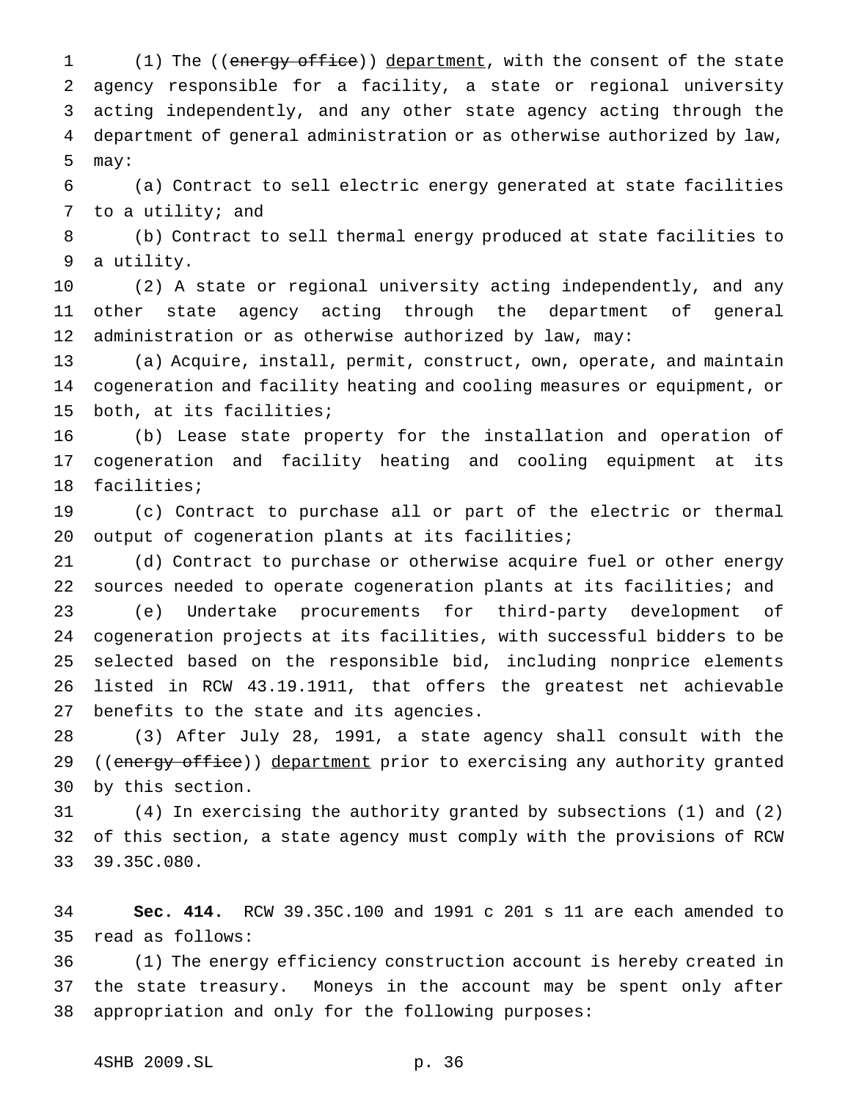1 (1) The ((energy office)) department, with the consent of the state agency responsible for a facility, a state or regional university acting independently, and any other state agency acting through the department of general administration or as otherwise authorized by law, may:

 (a) Contract to sell electric energy generated at state facilities 7 to a utility; and

 (b) Contract to sell thermal energy produced at state facilities to a utility.

 (2) A state or regional university acting independently, and any other state agency acting through the department of general administration or as otherwise authorized by law, may:

 (a) Acquire, install, permit, construct, own, operate, and maintain cogeneration and facility heating and cooling measures or equipment, or both, at its facilities;

 (b) Lease state property for the installation and operation of cogeneration and facility heating and cooling equipment at its facilities;

 (c) Contract to purchase all or part of the electric or thermal 20 output of cogeneration plants at its facilities;

 (d) Contract to purchase or otherwise acquire fuel or other energy sources needed to operate cogeneration plants at its facilities; and (e) Undertake procurements for third-party development of cogeneration projects at its facilities, with successful bidders to be selected based on the responsible bid, including nonprice elements listed in RCW 43.19.1911, that offers the greatest net achievable benefits to the state and its agencies.

 (3) After July 28, 1991, a state agency shall consult with the 29 ((energy office)) department prior to exercising any authority granted by this section.

 (4) In exercising the authority granted by subsections (1) and (2) of this section, a state agency must comply with the provisions of RCW 39.35C.080.

 **Sec. 414.** RCW 39.35C.100 and 1991 c 201 s 11 are each amended to read as follows:

 (1) The energy efficiency construction account is hereby created in the state treasury. Moneys in the account may be spent only after appropriation and only for the following purposes: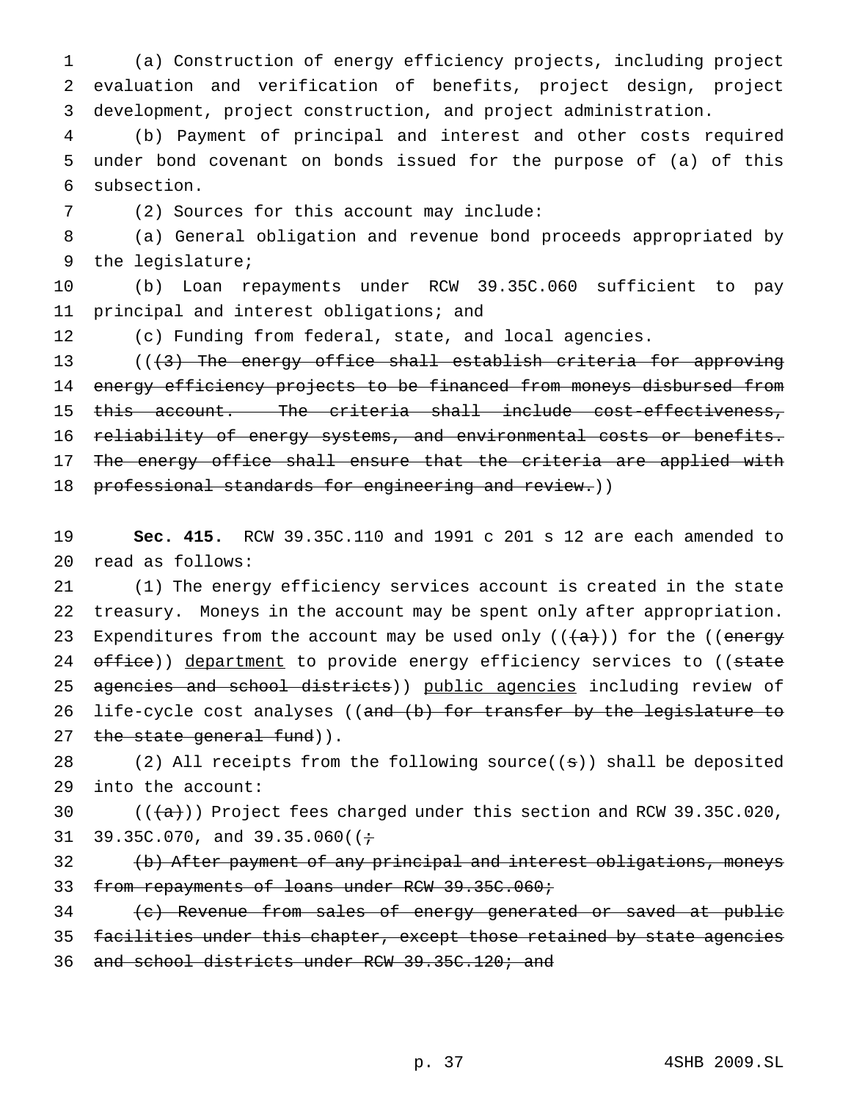(a) Construction of energy efficiency projects, including project evaluation and verification of benefits, project design, project development, project construction, and project administration.

 (b) Payment of principal and interest and other costs required under bond covenant on bonds issued for the purpose of (a) of this subsection.

(2) Sources for this account may include:

 (a) General obligation and revenue bond proceeds appropriated by the legislature;

 (b) Loan repayments under RCW 39.35C.060 sufficient to pay principal and interest obligations; and

(c) Funding from federal, state, and local agencies.

13 (((3) The energy office shall establish criteria for approving energy efficiency projects to be financed from moneys disbursed from this account. The criteria shall include cost-effectiveness, reliability of energy systems, and environmental costs or benefits. 17 The energy office shall ensure that the criteria are applied with 18 professional standards for engineering and review.))

 **Sec. 415.** RCW 39.35C.110 and 1991 c 201 s 12 are each amended to read as follows:

 (1) The energy efficiency services account is created in the state treasury. Moneys in the account may be spent only after appropriation. 23 Expenditures from the account may be used only  $((a+))$  for the ((energy 24 office)) department to provide energy efficiency services to ((state 25 agencies and school districts)) public agencies including review of 26 life-cycle cost analyses ((and (b) for transfer by the legislature to 27 the state general fund)).

28 (2) All receipts from the following source( $(\pm)$ ) shall be deposited into the account:

30  $((+a))$  Project fees charged under this section and RCW 39.35C.020, 31 39.35C.070, and 39.35.060( $(+$ 

 (b) After payment of any principal and interest obligations, moneys 33 from repayments of loans under RCW 39.35C.060;

(c) Revenue from sales of energy generated or saved at public

35 facilities under this chapter, except those retained by state agencies

and school districts under RCW 39.35C.120; and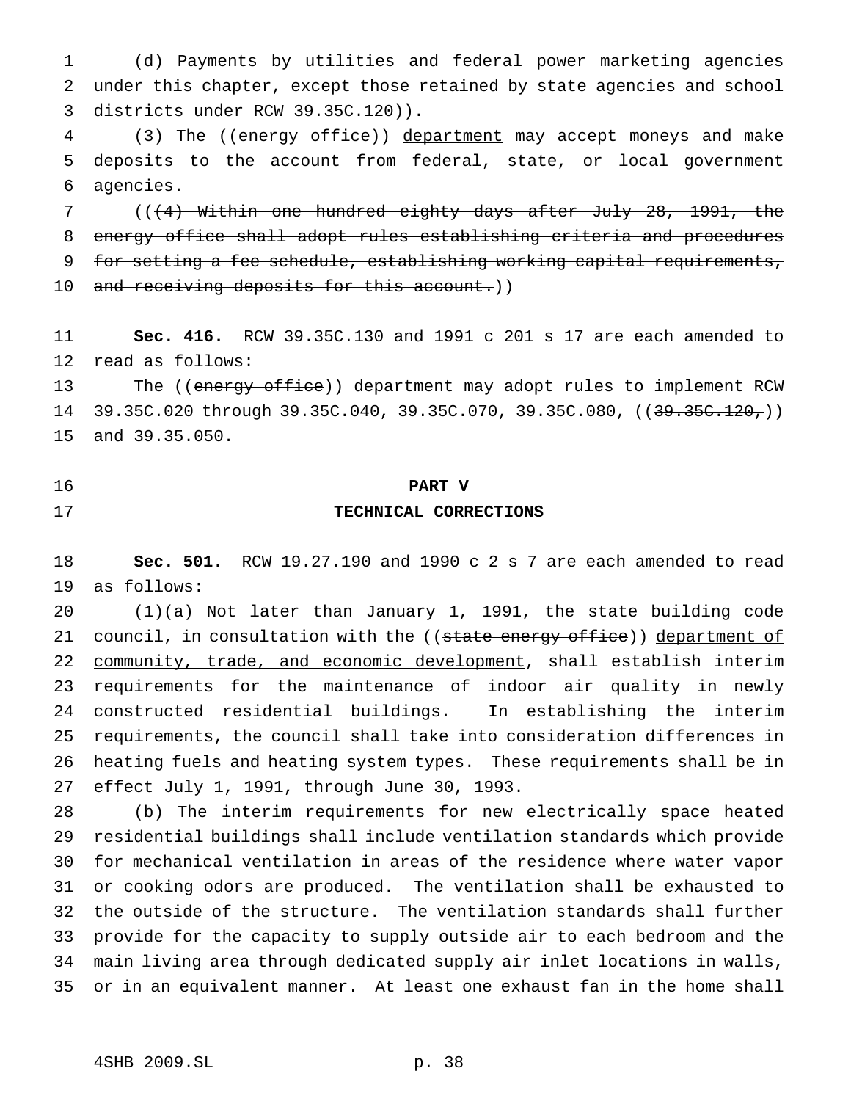(d) Payments by utilities and federal power marketing agencies 2 under this chapter, except those retained by state agencies and school districts under RCW 39.35C.120)).

4 (3) The ((energy office)) department may accept moneys and make deposits to the account from federal, state, or local government agencies.

 (((4) Within one hundred eighty days after July 28, 1991, the energy office shall adopt rules establishing criteria and procedures for setting a fee schedule, establishing working capital requirements, 10 and receiving deposits for this account.))

 **Sec. 416.** RCW 39.35C.130 and 1991 c 201 s 17 are each amended to read as follows:

13 The ((energy office)) department may adopt rules to implement RCW 14 39.35C.020 through 39.35C.040, 39.35C.070, 39.35C.080, ((39.35C.120,)) and 39.35.050.

# **PART V TECHNICAL CORRECTIONS**

 **Sec. 501.** RCW 19.27.190 and 1990 c 2 s 7 are each amended to read as follows:

 (1)(a) Not later than January 1, 1991, the state building code 21 council, in consultation with the ((state energy office)) department of 22 community, trade, and economic development, shall establish interim requirements for the maintenance of indoor air quality in newly constructed residential buildings. In establishing the interim requirements, the council shall take into consideration differences in heating fuels and heating system types. These requirements shall be in effect July 1, 1991, through June 30, 1993.

 (b) The interim requirements for new electrically space heated residential buildings shall include ventilation standards which provide for mechanical ventilation in areas of the residence where water vapor or cooking odors are produced. The ventilation shall be exhausted to the outside of the structure. The ventilation standards shall further provide for the capacity to supply outside air to each bedroom and the main living area through dedicated supply air inlet locations in walls, or in an equivalent manner. At least one exhaust fan in the home shall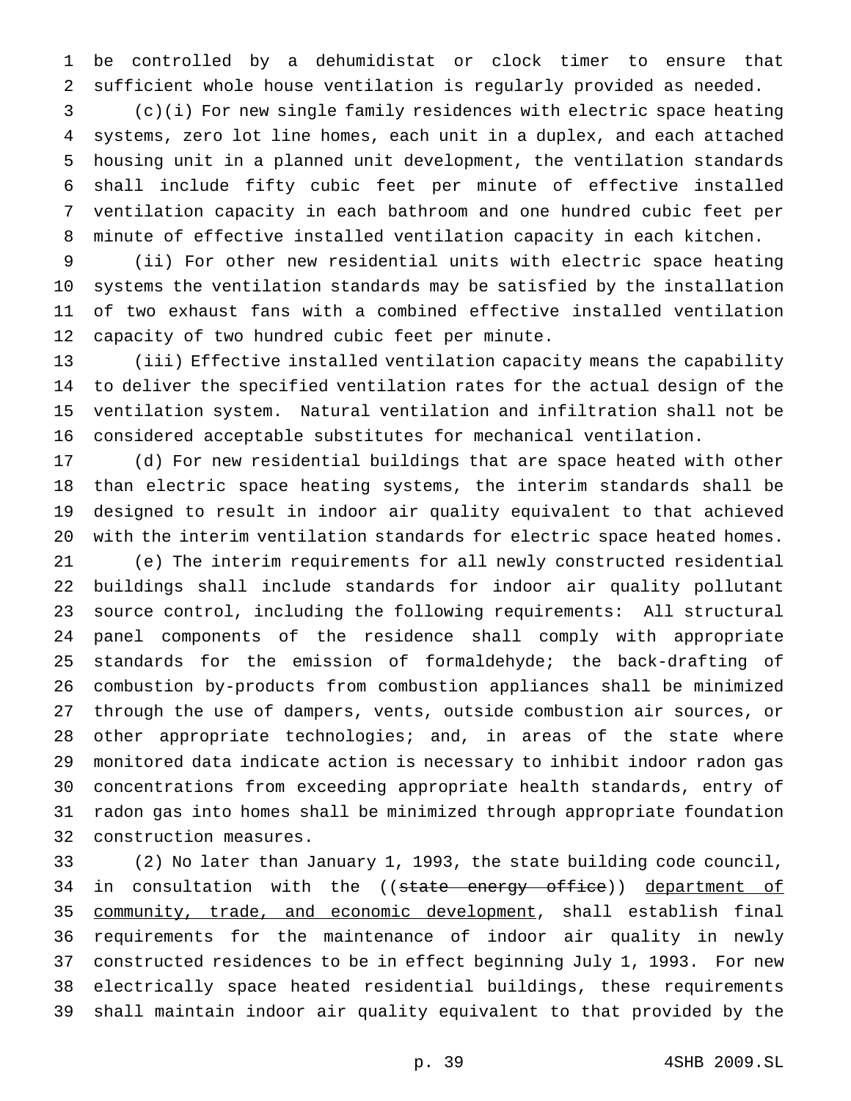be controlled by a dehumidistat or clock timer to ensure that sufficient whole house ventilation is regularly provided as needed.

 (c)(i) For new single family residences with electric space heating systems, zero lot line homes, each unit in a duplex, and each attached housing unit in a planned unit development, the ventilation standards shall include fifty cubic feet per minute of effective installed ventilation capacity in each bathroom and one hundred cubic feet per minute of effective installed ventilation capacity in each kitchen.

 (ii) For other new residential units with electric space heating systems the ventilation standards may be satisfied by the installation of two exhaust fans with a combined effective installed ventilation capacity of two hundred cubic feet per minute.

 (iii) Effective installed ventilation capacity means the capability to deliver the specified ventilation rates for the actual design of the ventilation system. Natural ventilation and infiltration shall not be considered acceptable substitutes for mechanical ventilation.

 (d) For new residential buildings that are space heated with other than electric space heating systems, the interim standards shall be designed to result in indoor air quality equivalent to that achieved with the interim ventilation standards for electric space heated homes.

 (e) The interim requirements for all newly constructed residential buildings shall include standards for indoor air quality pollutant source control, including the following requirements: All structural panel components of the residence shall comply with appropriate standards for the emission of formaldehyde; the back-drafting of combustion by-products from combustion appliances shall be minimized through the use of dampers, vents, outside combustion air sources, or other appropriate technologies; and, in areas of the state where monitored data indicate action is necessary to inhibit indoor radon gas concentrations from exceeding appropriate health standards, entry of radon gas into homes shall be minimized through appropriate foundation construction measures.

 (2) No later than January 1, 1993, the state building code council, 34 in consultation with the ((state energy office)) department of community, trade, and economic development, shall establish final requirements for the maintenance of indoor air quality in newly constructed residences to be in effect beginning July 1, 1993. For new electrically space heated residential buildings, these requirements shall maintain indoor air quality equivalent to that provided by the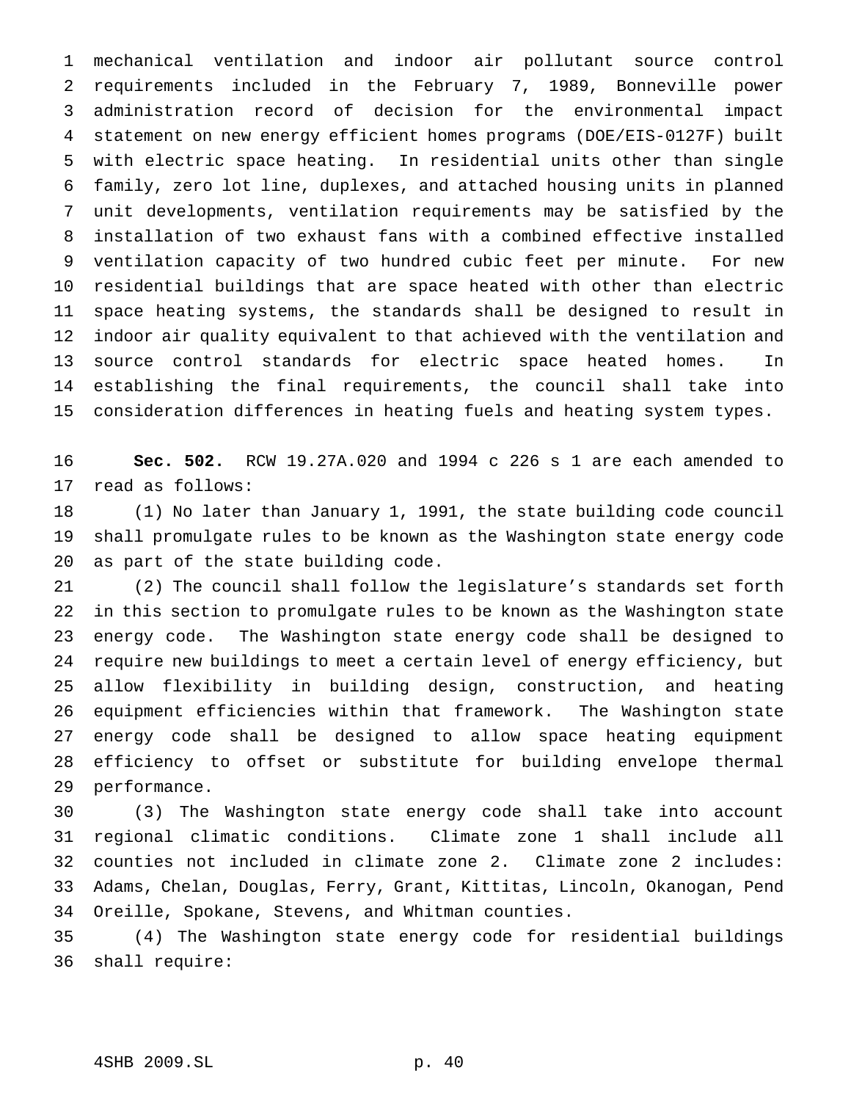mechanical ventilation and indoor air pollutant source control requirements included in the February 7, 1989, Bonneville power administration record of decision for the environmental impact statement on new energy efficient homes programs (DOE/EIS-0127F) built with electric space heating. In residential units other than single family, zero lot line, duplexes, and attached housing units in planned unit developments, ventilation requirements may be satisfied by the installation of two exhaust fans with a combined effective installed ventilation capacity of two hundred cubic feet per minute. For new residential buildings that are space heated with other than electric space heating systems, the standards shall be designed to result in indoor air quality equivalent to that achieved with the ventilation and source control standards for electric space heated homes. In establishing the final requirements, the council shall take into consideration differences in heating fuels and heating system types.

 **Sec. 502.** RCW 19.27A.020 and 1994 c 226 s 1 are each amended to read as follows:

 (1) No later than January 1, 1991, the state building code council shall promulgate rules to be known as the Washington state energy code as part of the state building code.

 (2) The council shall follow the legislature's standards set forth in this section to promulgate rules to be known as the Washington state energy code. The Washington state energy code shall be designed to require new buildings to meet a certain level of energy efficiency, but allow flexibility in building design, construction, and heating equipment efficiencies within that framework. The Washington state energy code shall be designed to allow space heating equipment efficiency to offset or substitute for building envelope thermal performance.

 (3) The Washington state energy code shall take into account regional climatic conditions. Climate zone 1 shall include all counties not included in climate zone 2. Climate zone 2 includes: Adams, Chelan, Douglas, Ferry, Grant, Kittitas, Lincoln, Okanogan, Pend Oreille, Spokane, Stevens, and Whitman counties.

 (4) The Washington state energy code for residential buildings shall require: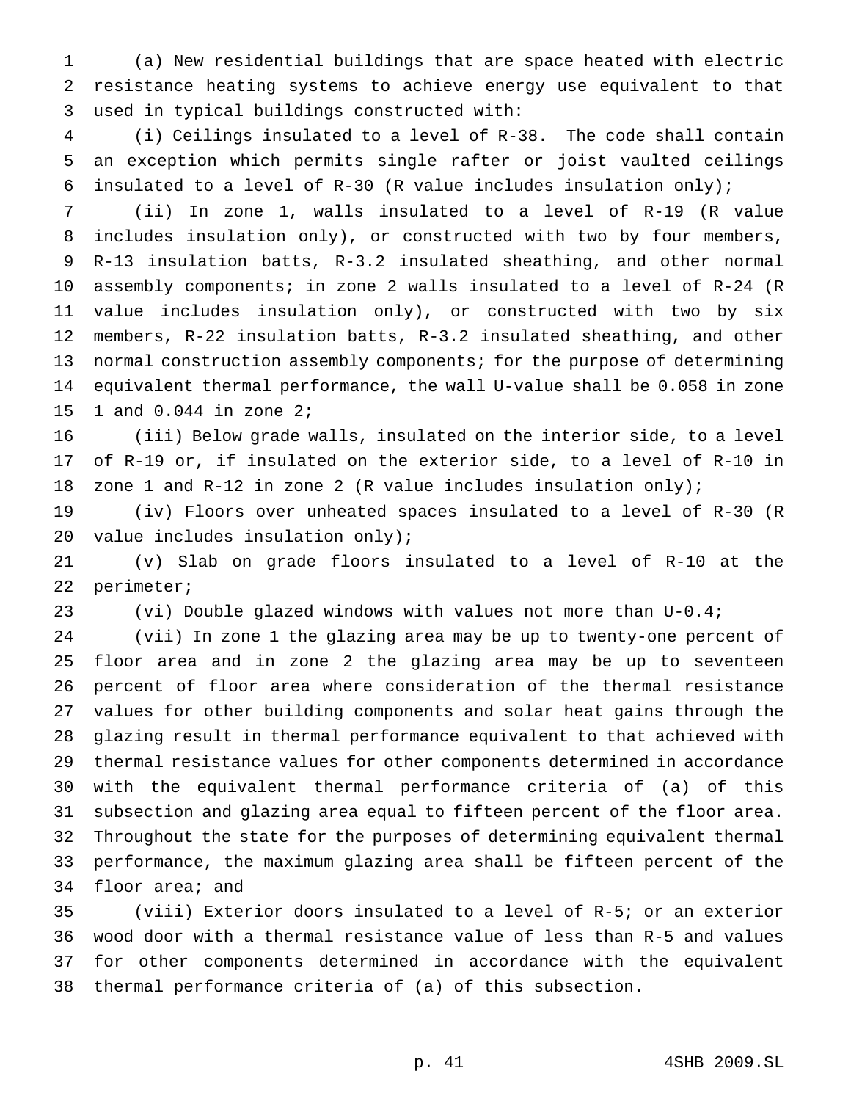(a) New residential buildings that are space heated with electric resistance heating systems to achieve energy use equivalent to that used in typical buildings constructed with:

 (i) Ceilings insulated to a level of R-38. The code shall contain an exception which permits single rafter or joist vaulted ceilings 6 insulated to a level of  $R-30$  (R value includes insulation only);

 (ii) In zone 1, walls insulated to a level of R-19 (R value includes insulation only), or constructed with two by four members, R-13 insulation batts, R-3.2 insulated sheathing, and other normal assembly components; in zone 2 walls insulated to a level of R-24 (R value includes insulation only), or constructed with two by six members, R-22 insulation batts, R-3.2 insulated sheathing, and other 13 normal construction assembly components; for the purpose of determining equivalent thermal performance, the wall U-value shall be 0.058 in zone 1 and 0.044 in zone 2;

 (iii) Below grade walls, insulated on the interior side, to a level of R-19 or, if insulated on the exterior side, to a level of R-10 in zone 1 and R-12 in zone 2 (R value includes insulation only);

 (iv) Floors over unheated spaces insulated to a level of R-30 (R 20 value includes insulation only);

 (v) Slab on grade floors insulated to a level of R-10 at the perimeter;

(vi) Double glazed windows with values not more than U-0.4;

 (vii) In zone 1 the glazing area may be up to twenty-one percent of floor area and in zone 2 the glazing area may be up to seventeen percent of floor area where consideration of the thermal resistance values for other building components and solar heat gains through the glazing result in thermal performance equivalent to that achieved with thermal resistance values for other components determined in accordance with the equivalent thermal performance criteria of (a) of this subsection and glazing area equal to fifteen percent of the floor area. Throughout the state for the purposes of determining equivalent thermal performance, the maximum glazing area shall be fifteen percent of the floor area; and

 (viii) Exterior doors insulated to a level of R-5; or an exterior wood door with a thermal resistance value of less than R-5 and values for other components determined in accordance with the equivalent thermal performance criteria of (a) of this subsection.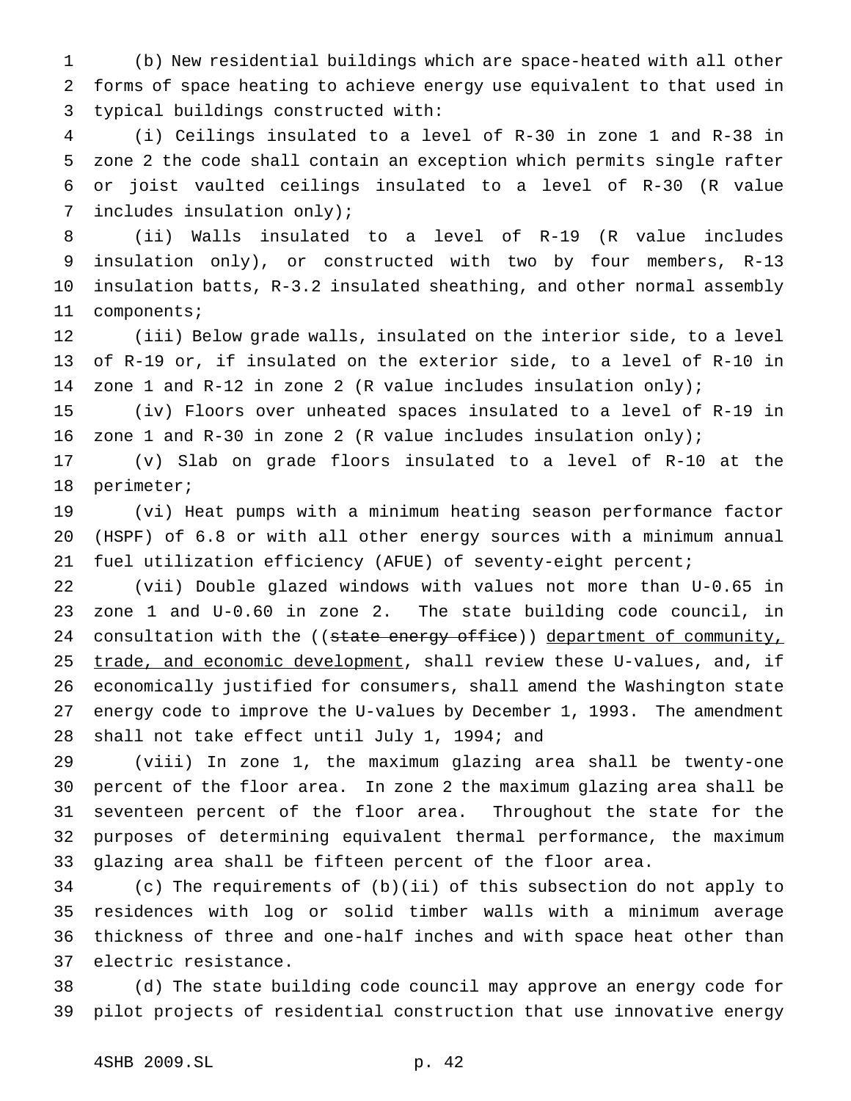(b) New residential buildings which are space-heated with all other forms of space heating to achieve energy use equivalent to that used in typical buildings constructed with:

 (i) Ceilings insulated to a level of R-30 in zone 1 and R-38 in zone 2 the code shall contain an exception which permits single rafter or joist vaulted ceilings insulated to a level of R-30 (R value includes insulation only);

 (ii) Walls insulated to a level of R-19 (R value includes insulation only), or constructed with two by four members, R-13 insulation batts, R-3.2 insulated sheathing, and other normal assembly components;

 (iii) Below grade walls, insulated on the interior side, to a level of R-19 or, if insulated on the exterior side, to a level of R-10 in zone 1 and R-12 in zone 2 (R value includes insulation only);

 (iv) Floors over unheated spaces insulated to a level of R-19 in zone 1 and R-30 in zone 2 (R value includes insulation only);

 (v) Slab on grade floors insulated to a level of R-10 at the perimeter;

 (vi) Heat pumps with a minimum heating season performance factor (HSPF) of 6.8 or with all other energy sources with a minimum annual fuel utilization efficiency (AFUE) of seventy-eight percent;

 (vii) Double glazed windows with values not more than U-0.65 in zone 1 and U-0.60 in zone 2. The state building code council, in 24 consultation with the ((state energy office)) department of community, 25 trade, and economic development, shall review these U-values, and, if economically justified for consumers, shall amend the Washington state energy code to improve the U-values by December 1, 1993. The amendment shall not take effect until July 1, 1994; and

 (viii) In zone 1, the maximum glazing area shall be twenty-one percent of the floor area. In zone 2 the maximum glazing area shall be seventeen percent of the floor area. Throughout the state for the purposes of determining equivalent thermal performance, the maximum glazing area shall be fifteen percent of the floor area.

 (c) The requirements of (b)(ii) of this subsection do not apply to residences with log or solid timber walls with a minimum average thickness of three and one-half inches and with space heat other than electric resistance.

 (d) The state building code council may approve an energy code for pilot projects of residential construction that use innovative energy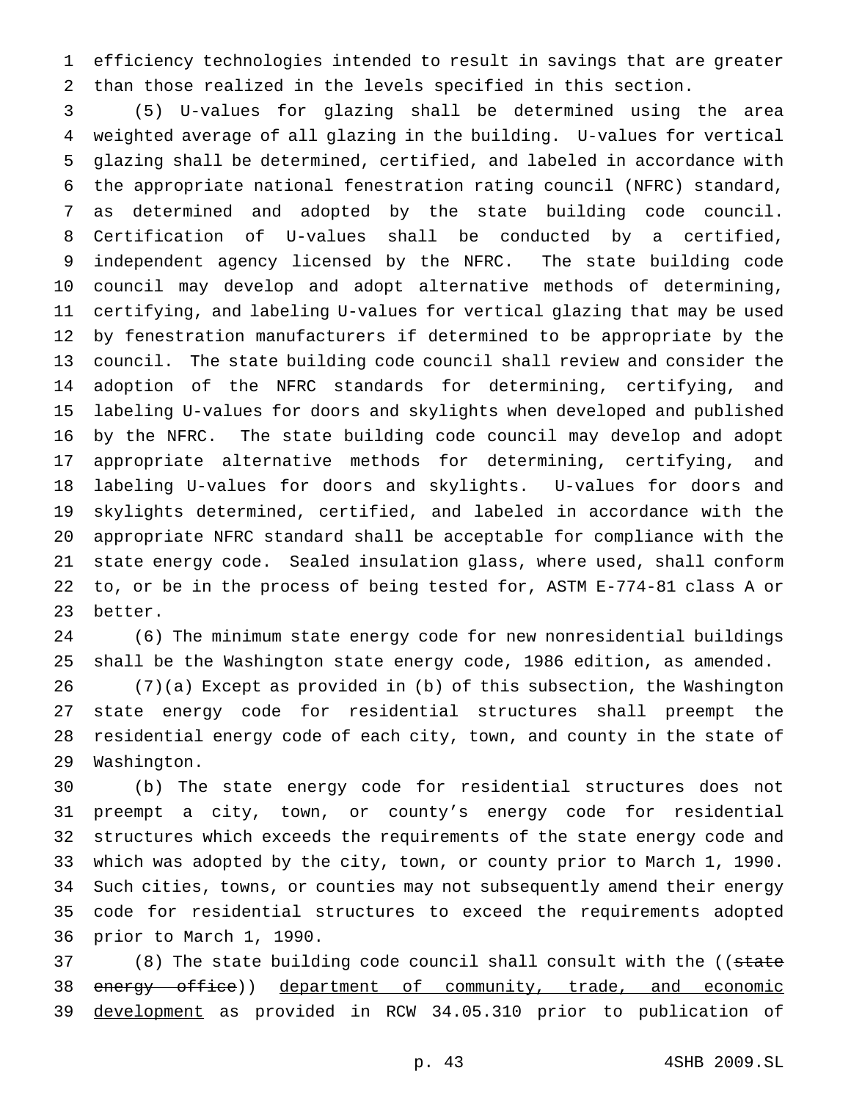efficiency technologies intended to result in savings that are greater than those realized in the levels specified in this section.

 (5) U-values for glazing shall be determined using the area weighted average of all glazing in the building. U-values for vertical glazing shall be determined, certified, and labeled in accordance with the appropriate national fenestration rating council (NFRC) standard, as determined and adopted by the state building code council. Certification of U-values shall be conducted by a certified, independent agency licensed by the NFRC. The state building code council may develop and adopt alternative methods of determining, certifying, and labeling U-values for vertical glazing that may be used by fenestration manufacturers if determined to be appropriate by the council. The state building code council shall review and consider the adoption of the NFRC standards for determining, certifying, and labeling U-values for doors and skylights when developed and published by the NFRC. The state building code council may develop and adopt appropriate alternative methods for determining, certifying, and labeling U-values for doors and skylights. U-values for doors and skylights determined, certified, and labeled in accordance with the appropriate NFRC standard shall be acceptable for compliance with the state energy code. Sealed insulation glass, where used, shall conform to, or be in the process of being tested for, ASTM E-774-81 class A or better.

 (6) The minimum state energy code for new nonresidential buildings shall be the Washington state energy code, 1986 edition, as amended. (7)(a) Except as provided in (b) of this subsection, the Washington state energy code for residential structures shall preempt the residential energy code of each city, town, and county in the state of

Washington.

 (b) The state energy code for residential structures does not preempt a city, town, or county's energy code for residential structures which exceeds the requirements of the state energy code and which was adopted by the city, town, or county prior to March 1, 1990. Such cities, towns, or counties may not subsequently amend their energy code for residential structures to exceed the requirements adopted prior to March 1, 1990.

37 (8) The state building code council shall consult with the ((state 38 energy office)) department of community, trade, and economic development as provided in RCW 34.05.310 prior to publication of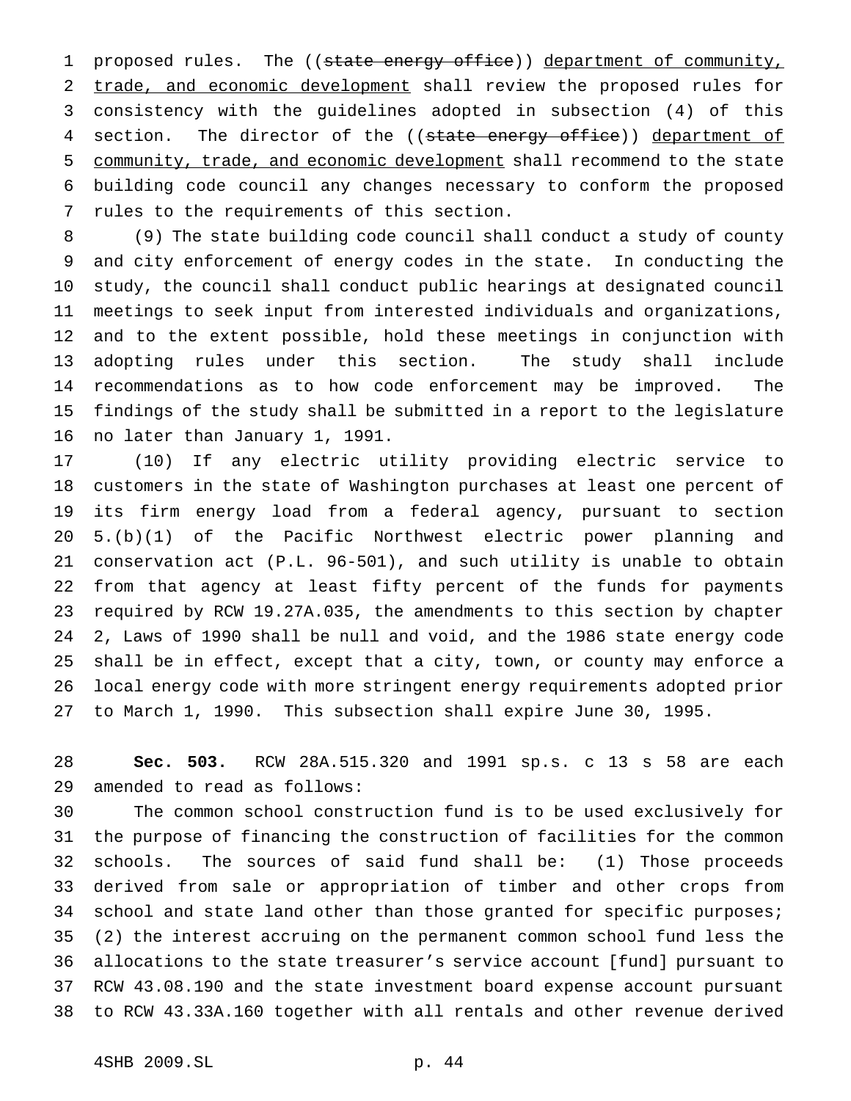1 proposed rules. The ((state energy office)) department of community, 2 trade, and economic development shall review the proposed rules for consistency with the guidelines adopted in subsection (4) of this 4 section. The director of the ((state energy office)) department of community, trade, and economic development shall recommend to the state building code council any changes necessary to conform the proposed rules to the requirements of this section.

 (9) The state building code council shall conduct a study of county and city enforcement of energy codes in the state. In conducting the study, the council shall conduct public hearings at designated council meetings to seek input from interested individuals and organizations, and to the extent possible, hold these meetings in conjunction with adopting rules under this section. The study shall include recommendations as to how code enforcement may be improved. The findings of the study shall be submitted in a report to the legislature no later than January 1, 1991.

 (10) If any electric utility providing electric service to customers in the state of Washington purchases at least one percent of its firm energy load from a federal agency, pursuant to section 5.(b)(1) of the Pacific Northwest electric power planning and conservation act (P.L. 96-501), and such utility is unable to obtain from that agency at least fifty percent of the funds for payments required by RCW 19.27A.035, the amendments to this section by chapter 2, Laws of 1990 shall be null and void, and the 1986 state energy code shall be in effect, except that a city, town, or county may enforce a local energy code with more stringent energy requirements adopted prior to March 1, 1990. This subsection shall expire June 30, 1995.

 **Sec. 503.** RCW 28A.515.320 and 1991 sp.s. c 13 s 58 are each amended to read as follows:

 The common school construction fund is to be used exclusively for the purpose of financing the construction of facilities for the common schools. The sources of said fund shall be: (1) Those proceeds derived from sale or appropriation of timber and other crops from 34 school and state land other than those granted for specific purposes; (2) the interest accruing on the permanent common school fund less the allocations to the state treasurer's service account [fund] pursuant to RCW 43.08.190 and the state investment board expense account pursuant to RCW 43.33A.160 together with all rentals and other revenue derived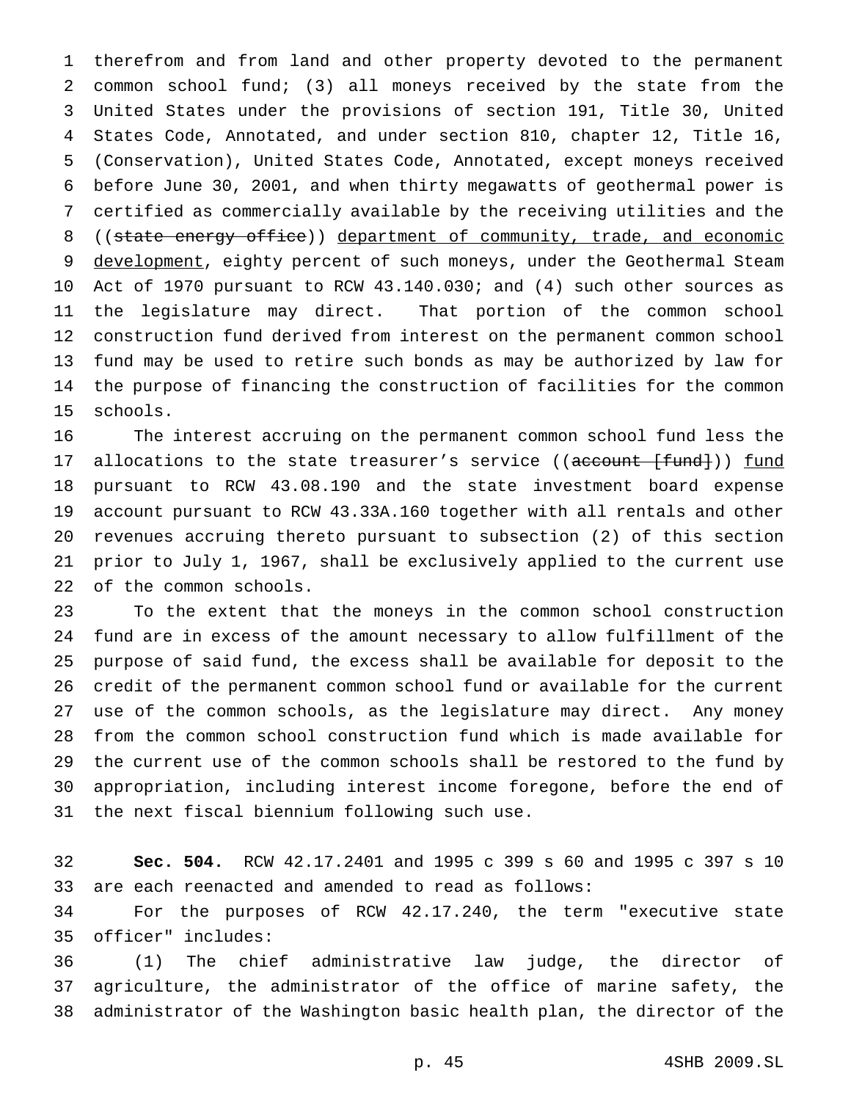therefrom and from land and other property devoted to the permanent common school fund; (3) all moneys received by the state from the United States under the provisions of section 191, Title 30, United States Code, Annotated, and under section 810, chapter 12, Title 16, (Conservation), United States Code, Annotated, except moneys received before June 30, 2001, and when thirty megawatts of geothermal power is certified as commercially available by the receiving utilities and the 8 ((state energy office)) department of community, trade, and economic 9 development, eighty percent of such moneys, under the Geothermal Steam Act of 1970 pursuant to RCW 43.140.030; and (4) such other sources as the legislature may direct. That portion of the common school construction fund derived from interest on the permanent common school fund may be used to retire such bonds as may be authorized by law for the purpose of financing the construction of facilities for the common schools.

 The interest accruing on the permanent common school fund less the 17 allocations to the state treasurer's service ((account [fund])) fund pursuant to RCW 43.08.190 and the state investment board expense account pursuant to RCW 43.33A.160 together with all rentals and other revenues accruing thereto pursuant to subsection (2) of this section prior to July 1, 1967, shall be exclusively applied to the current use of the common schools.

 To the extent that the moneys in the common school construction fund are in excess of the amount necessary to allow fulfillment of the purpose of said fund, the excess shall be available for deposit to the credit of the permanent common school fund or available for the current use of the common schools, as the legislature may direct. Any money from the common school construction fund which is made available for the current use of the common schools shall be restored to the fund by appropriation, including interest income foregone, before the end of the next fiscal biennium following such use.

 **Sec. 504.** RCW 42.17.2401 and 1995 c 399 s 60 and 1995 c 397 s 10 are each reenacted and amended to read as follows:

 For the purposes of RCW 42.17.240, the term "executive state officer" includes:

 (1) The chief administrative law judge, the director of agriculture, the administrator of the office of marine safety, the administrator of the Washington basic health plan, the director of the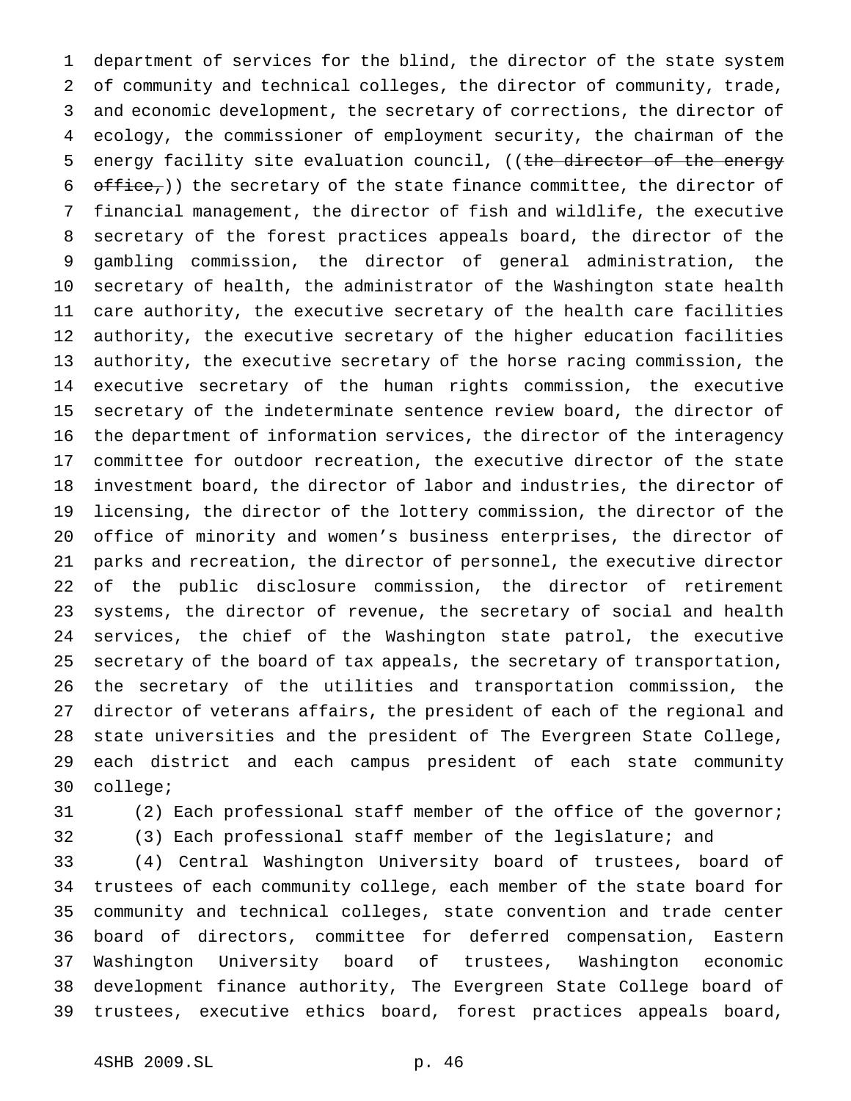department of services for the blind, the director of the state system of community and technical colleges, the director of community, trade, and economic development, the secretary of corrections, the director of ecology, the commissioner of employment security, the chairman of the 5 energy facility site evaluation council, ((the director of the energy  $\sigma$   $\sigma$   $\sigma$   $\sigma$ ) the secretary of the state finance committee, the director of financial management, the director of fish and wildlife, the executive secretary of the forest practices appeals board, the director of the gambling commission, the director of general administration, the secretary of health, the administrator of the Washington state health care authority, the executive secretary of the health care facilities authority, the executive secretary of the higher education facilities authority, the executive secretary of the horse racing commission, the executive secretary of the human rights commission, the executive secretary of the indeterminate sentence review board, the director of the department of information services, the director of the interagency committee for outdoor recreation, the executive director of the state investment board, the director of labor and industries, the director of licensing, the director of the lottery commission, the director of the office of minority and women's business enterprises, the director of parks and recreation, the director of personnel, the executive director of the public disclosure commission, the director of retirement systems, the director of revenue, the secretary of social and health services, the chief of the Washington state patrol, the executive secretary of the board of tax appeals, the secretary of transportation, the secretary of the utilities and transportation commission, the director of veterans affairs, the president of each of the regional and state universities and the president of The Evergreen State College, each district and each campus president of each state community college;

- 
- 

(2) Each professional staff member of the office of the governor;

 (3) Each professional staff member of the legislature; and (4) Central Washington University board of trustees, board of trustees of each community college, each member of the state board for community and technical colleges, state convention and trade center board of directors, committee for deferred compensation, Eastern Washington University board of trustees, Washington economic development finance authority, The Evergreen State College board of trustees, executive ethics board, forest practices appeals board,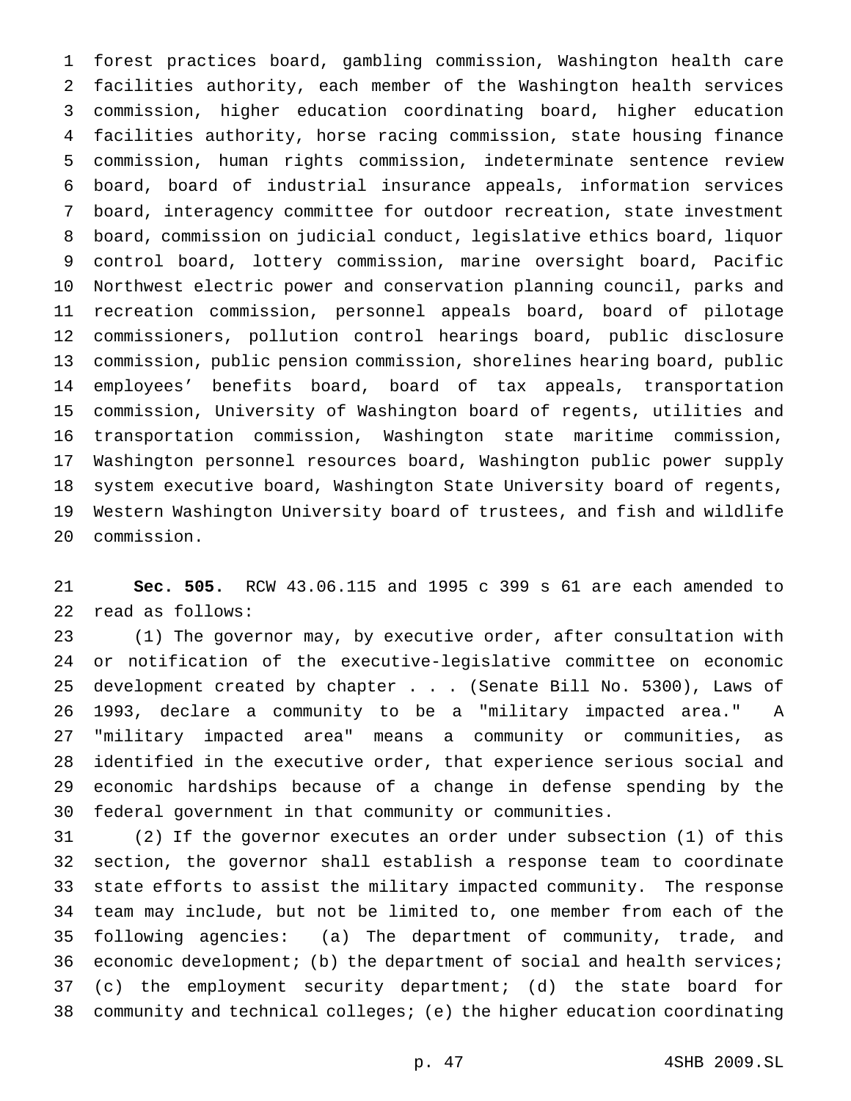forest practices board, gambling commission, Washington health care facilities authority, each member of the Washington health services commission, higher education coordinating board, higher education facilities authority, horse racing commission, state housing finance commission, human rights commission, indeterminate sentence review board, board of industrial insurance appeals, information services board, interagency committee for outdoor recreation, state investment board, commission on judicial conduct, legislative ethics board, liquor control board, lottery commission, marine oversight board, Pacific Northwest electric power and conservation planning council, parks and recreation commission, personnel appeals board, board of pilotage commissioners, pollution control hearings board, public disclosure commission, public pension commission, shorelines hearing board, public employees' benefits board, board of tax appeals, transportation commission, University of Washington board of regents, utilities and transportation commission, Washington state maritime commission, Washington personnel resources board, Washington public power supply system executive board, Washington State University board of regents, Western Washington University board of trustees, and fish and wildlife commission.

 **Sec. 505.** RCW 43.06.115 and 1995 c 399 s 61 are each amended to read as follows:

 (1) The governor may, by executive order, after consultation with or notification of the executive-legislative committee on economic development created by chapter . . . (Senate Bill No. 5300), Laws of 1993, declare a community to be a "military impacted area." A "military impacted area" means a community or communities, as identified in the executive order, that experience serious social and economic hardships because of a change in defense spending by the federal government in that community or communities.

 (2) If the governor executes an order under subsection (1) of this section, the governor shall establish a response team to coordinate state efforts to assist the military impacted community. The response team may include, but not be limited to, one member from each of the following agencies: (a) The department of community, trade, and 36 economic development; (b) the department of social and health services; (c) the employment security department; (d) the state board for community and technical colleges; (e) the higher education coordinating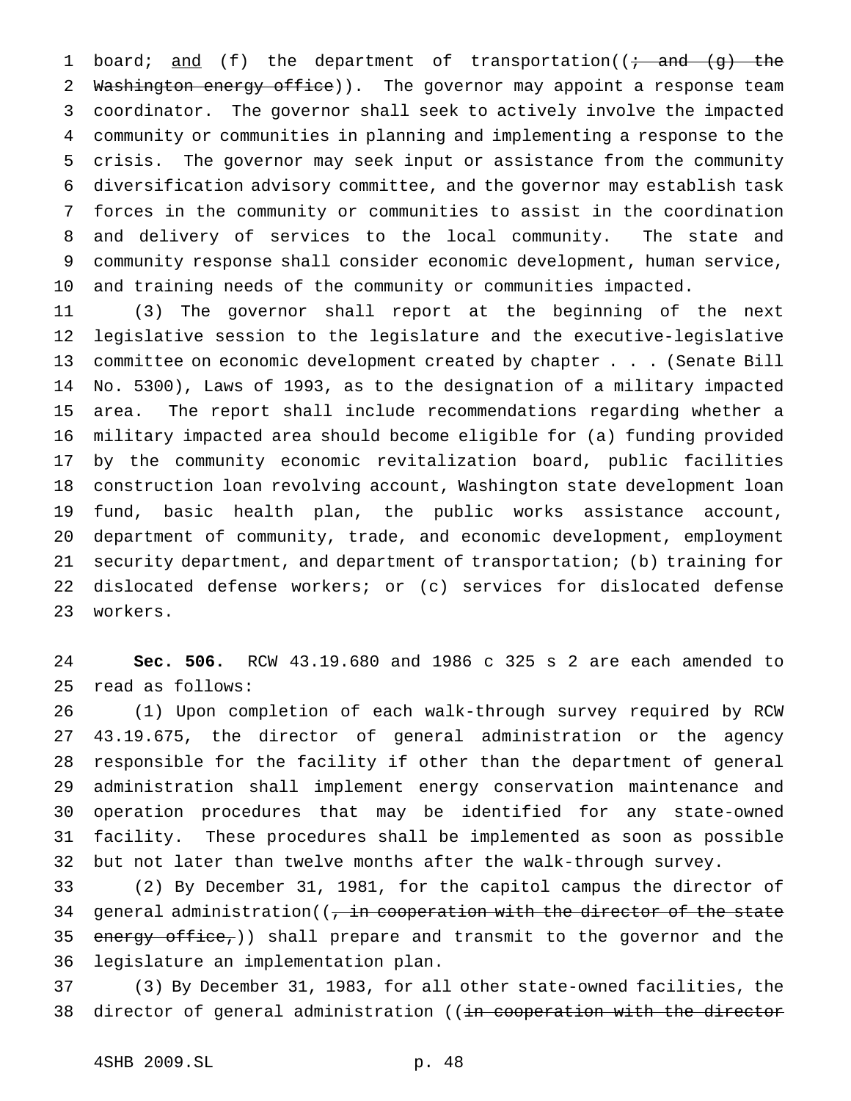1 board; and (f) the department of transportation( $\overline{f}$  and  $\overline{g}$ ) the 2 Washington energy office)). The governor may appoint a response team coordinator. The governor shall seek to actively involve the impacted community or communities in planning and implementing a response to the crisis. The governor may seek input or assistance from the community diversification advisory committee, and the governor may establish task forces in the community or communities to assist in the coordination and delivery of services to the local community. The state and community response shall consider economic development, human service, and training needs of the community or communities impacted.

 (3) The governor shall report at the beginning of the next legislative session to the legislature and the executive-legislative committee on economic development created by chapter . . . (Senate Bill No. 5300), Laws of 1993, as to the designation of a military impacted area. The report shall include recommendations regarding whether a military impacted area should become eligible for (a) funding provided by the community economic revitalization board, public facilities construction loan revolving account, Washington state development loan fund, basic health plan, the public works assistance account, department of community, trade, and economic development, employment security department, and department of transportation; (b) training for dislocated defense workers; or (c) services for dislocated defense workers.

 **Sec. 506.** RCW 43.19.680 and 1986 c 325 s 2 are each amended to read as follows:

 (1) Upon completion of each walk-through survey required by RCW 43.19.675, the director of general administration or the agency responsible for the facility if other than the department of general administration shall implement energy conservation maintenance and operation procedures that may be identified for any state-owned facility. These procedures shall be implemented as soon as possible but not later than twelve months after the walk-through survey.

 (2) By December 31, 1981, for the capitol campus the director of 34 general administration( $\left(\frac{1}{t} + \frac{1}{t} + \frac{1}{t} + \frac{1}{t} + \frac{1}{t} + \frac{1}{t} + \frac{1}{t} + \frac{1}{t} + \frac{1}{t} + \frac{1}{t} + \frac{1}{t} + \frac{1}{t} + \frac{1}{t} + \frac{1}{t} + \frac{1}{t} + \frac{1}{t} + \frac{1}{t} + \frac{1}{t} + \frac{1}{t} + \frac{1}{t} + \frac{1}{t} + \frac{1}{t} + \frac{1}{t} + \frac{1}{t} +$ 35 energy office,)) shall prepare and transmit to the governor and the legislature an implementation plan.

 (3) By December 31, 1983, for all other state-owned facilities, the 38 director of general administration ((in cooperation with the director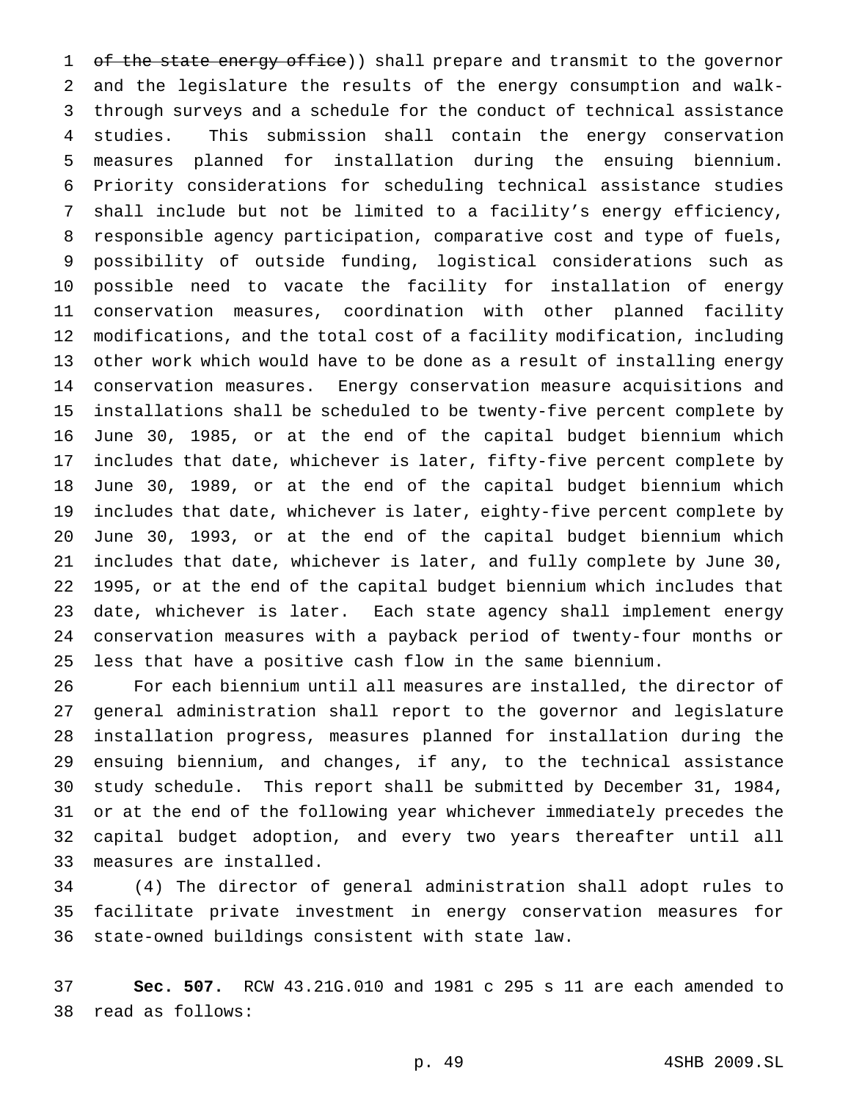1 of the state energy office)) shall prepare and transmit to the governor and the legislature the results of the energy consumption and walk- through surveys and a schedule for the conduct of technical assistance studies. This submission shall contain the energy conservation measures planned for installation during the ensuing biennium. Priority considerations for scheduling technical assistance studies shall include but not be limited to a facility's energy efficiency, responsible agency participation, comparative cost and type of fuels, possibility of outside funding, logistical considerations such as possible need to vacate the facility for installation of energy conservation measures, coordination with other planned facility modifications, and the total cost of a facility modification, including other work which would have to be done as a result of installing energy conservation measures. Energy conservation measure acquisitions and installations shall be scheduled to be twenty-five percent complete by June 30, 1985, or at the end of the capital budget biennium which includes that date, whichever is later, fifty-five percent complete by June 30, 1989, or at the end of the capital budget biennium which includes that date, whichever is later, eighty-five percent complete by June 30, 1993, or at the end of the capital budget biennium which includes that date, whichever is later, and fully complete by June 30, 1995, or at the end of the capital budget biennium which includes that date, whichever is later. Each state agency shall implement energy conservation measures with a payback period of twenty-four months or less that have a positive cash flow in the same biennium.

 For each biennium until all measures are installed, the director of general administration shall report to the governor and legislature installation progress, measures planned for installation during the ensuing biennium, and changes, if any, to the technical assistance study schedule. This report shall be submitted by December 31, 1984, or at the end of the following year whichever immediately precedes the capital budget adoption, and every two years thereafter until all measures are installed.

 (4) The director of general administration shall adopt rules to facilitate private investment in energy conservation measures for state-owned buildings consistent with state law.

 **Sec. 507.** RCW 43.21G.010 and 1981 c 295 s 11 are each amended to read as follows: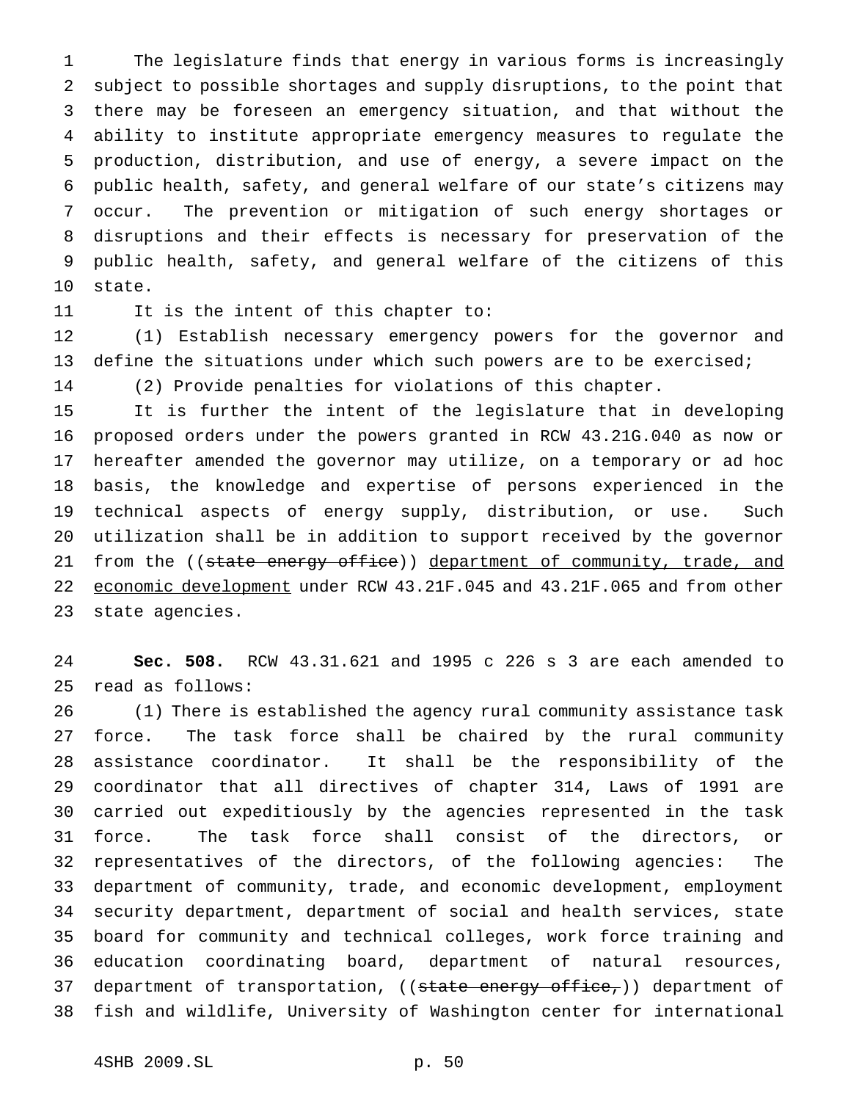The legislature finds that energy in various forms is increasingly subject to possible shortages and supply disruptions, to the point that there may be foreseen an emergency situation, and that without the ability to institute appropriate emergency measures to regulate the production, distribution, and use of energy, a severe impact on the public health, safety, and general welfare of our state's citizens may occur. The prevention or mitigation of such energy shortages or disruptions and their effects is necessary for preservation of the public health, safety, and general welfare of the citizens of this state.

It is the intent of this chapter to:

 (1) Establish necessary emergency powers for the governor and define the situations under which such powers are to be exercised;

(2) Provide penalties for violations of this chapter.

 It is further the intent of the legislature that in developing proposed orders under the powers granted in RCW 43.21G.040 as now or hereafter amended the governor may utilize, on a temporary or ad hoc basis, the knowledge and expertise of persons experienced in the technical aspects of energy supply, distribution, or use. Such utilization shall be in addition to support received by the governor 21 from the ((state energy office)) department of community, trade, and 22 economic development under RCW 43.21F.045 and 43.21F.065 and from other state agencies.

 **Sec. 508.** RCW 43.31.621 and 1995 c 226 s 3 are each amended to read as follows:

 (1) There is established the agency rural community assistance task force. The task force shall be chaired by the rural community assistance coordinator. It shall be the responsibility of the coordinator that all directives of chapter 314, Laws of 1991 are carried out expeditiously by the agencies represented in the task force. The task force shall consist of the directors, or representatives of the directors, of the following agencies: The department of community, trade, and economic development, employment security department, department of social and health services, state board for community and technical colleges, work force training and education coordinating board, department of natural resources, 37 department of transportation, ((state energy office,)) department of fish and wildlife, University of Washington center for international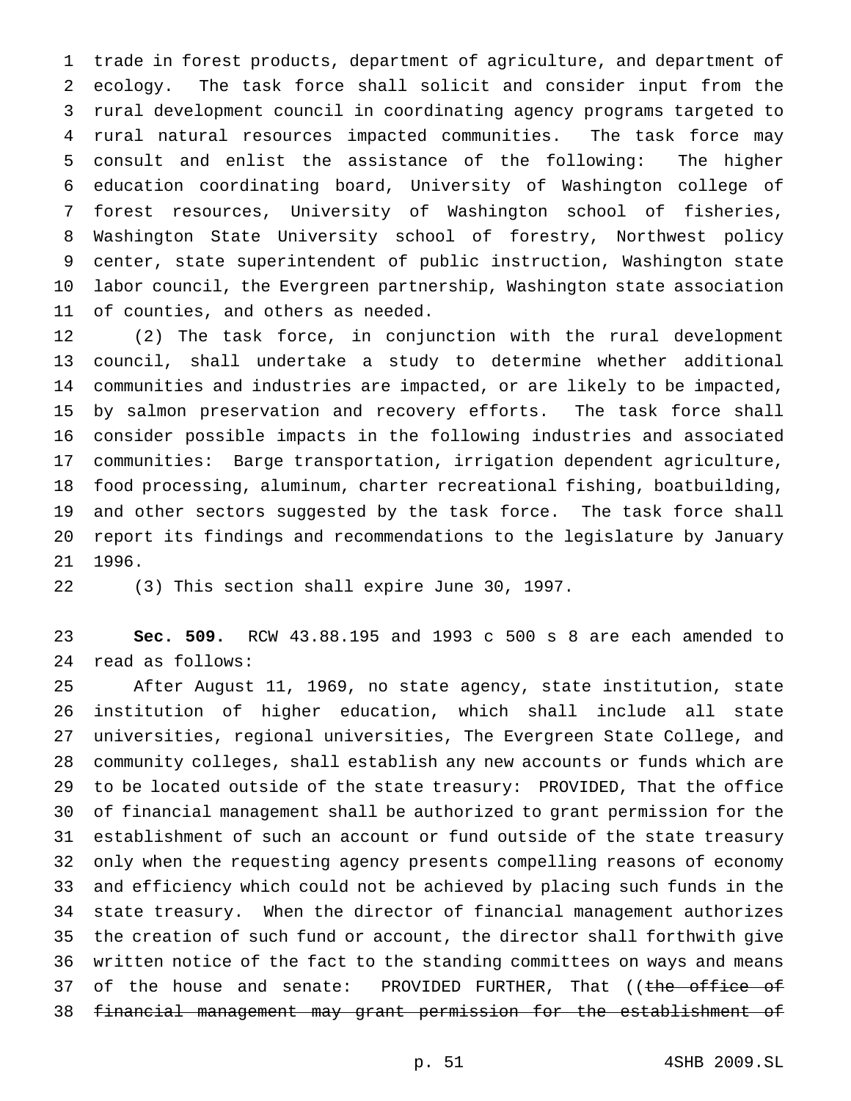trade in forest products, department of agriculture, and department of ecology. The task force shall solicit and consider input from the rural development council in coordinating agency programs targeted to rural natural resources impacted communities. The task force may consult and enlist the assistance of the following: The higher education coordinating board, University of Washington college of forest resources, University of Washington school of fisheries, Washington State University school of forestry, Northwest policy center, state superintendent of public instruction, Washington state labor council, the Evergreen partnership, Washington state association of counties, and others as needed.

 (2) The task force, in conjunction with the rural development council, shall undertake a study to determine whether additional communities and industries are impacted, or are likely to be impacted, by salmon preservation and recovery efforts. The task force shall consider possible impacts in the following industries and associated communities: Barge transportation, irrigation dependent agriculture, food processing, aluminum, charter recreational fishing, boatbuilding, and other sectors suggested by the task force. The task force shall report its findings and recommendations to the legislature by January 1996.

(3) This section shall expire June 30, 1997.

 **Sec. 509.** RCW 43.88.195 and 1993 c 500 s 8 are each amended to read as follows:

 After August 11, 1969, no state agency, state institution, state institution of higher education, which shall include all state universities, regional universities, The Evergreen State College, and community colleges, shall establish any new accounts or funds which are to be located outside of the state treasury: PROVIDED, That the office of financial management shall be authorized to grant permission for the establishment of such an account or fund outside of the state treasury only when the requesting agency presents compelling reasons of economy and efficiency which could not be achieved by placing such funds in the state treasury. When the director of financial management authorizes the creation of such fund or account, the director shall forthwith give written notice of the fact to the standing committees on ways and means 37 of the house and senate: PROVIDED FURTHER, That ((the office of financial management may grant permission for the establishment of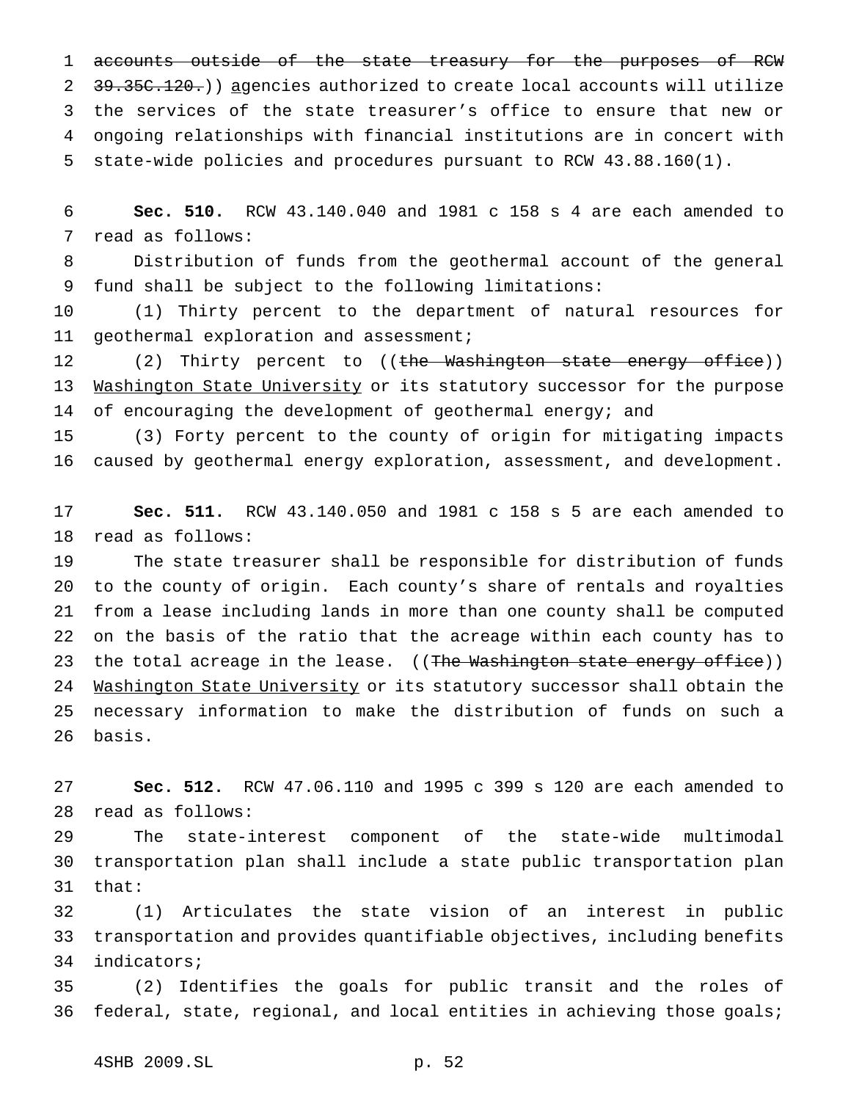1 accounts outside of the state treasury for the purposes of RCW 2 39.35C.120.)) agencies authorized to create local accounts will utilize the services of the state treasurer's office to ensure that new or ongoing relationships with financial institutions are in concert with state-wide policies and procedures pursuant to RCW 43.88.160(1).

 **Sec. 510.** RCW 43.140.040 and 1981 c 158 s 4 are each amended to read as follows:

 Distribution of funds from the geothermal account of the general fund shall be subject to the following limitations:

 (1) Thirty percent to the department of natural resources for 11 geothermal exploration and assessment;

12 (2) Thirty percent to ((the Washington state energy office)) 13 Washington State University or its statutory successor for the purpose 14 of encouraging the development of geothermal energy; and

 (3) Forty percent to the county of origin for mitigating impacts caused by geothermal energy exploration, assessment, and development.

 **Sec. 511.** RCW 43.140.050 and 1981 c 158 s 5 are each amended to read as follows:

 The state treasurer shall be responsible for distribution of funds to the county of origin. Each county's share of rentals and royalties from a lease including lands in more than one county shall be computed on the basis of the ratio that the acreage within each county has to 23 the total acreage in the lease. ((The Washington state energy office)) 24 Washington State University or its statutory successor shall obtain the necessary information to make the distribution of funds on such a basis.

 **Sec. 512.** RCW 47.06.110 and 1995 c 399 s 120 are each amended to read as follows:

 The state-interest component of the state-wide multimodal transportation plan shall include a state public transportation plan that:

 (1) Articulates the state vision of an interest in public transportation and provides quantifiable objectives, including benefits indicators;

 (2) Identifies the goals for public transit and the roles of federal, state, regional, and local entities in achieving those goals;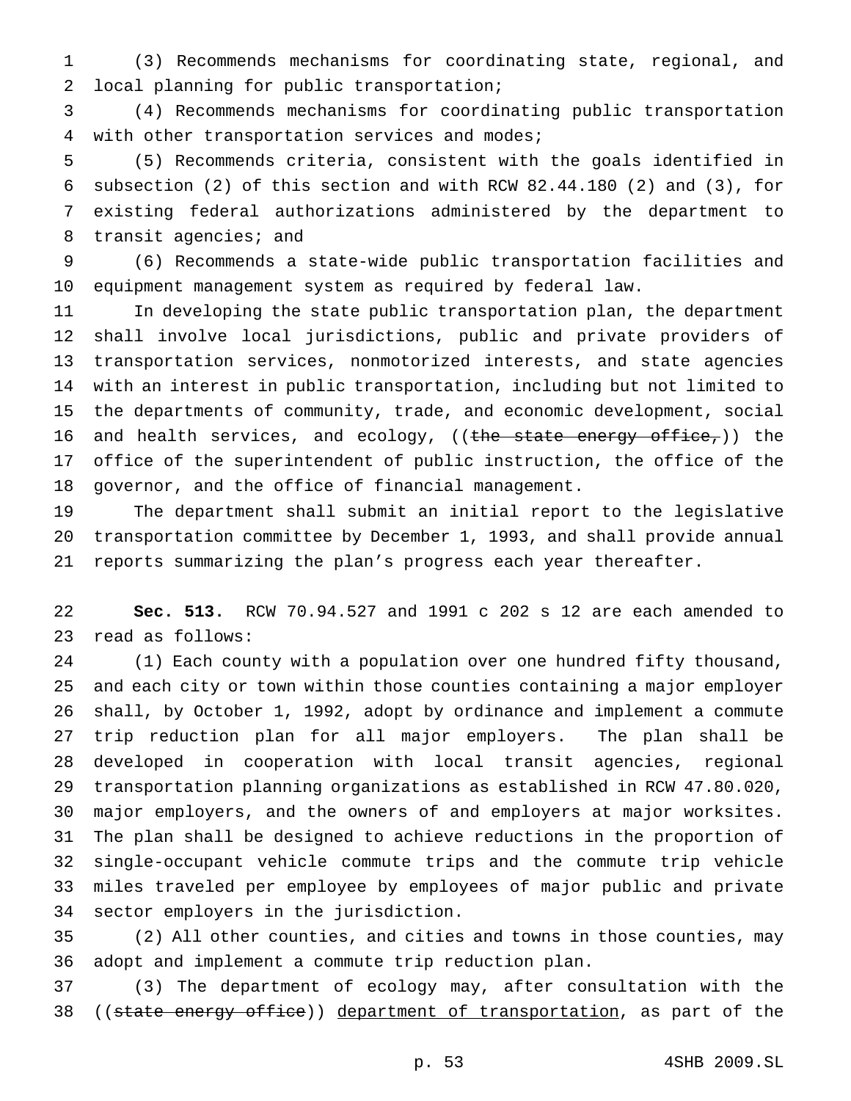(3) Recommends mechanisms for coordinating state, regional, and local planning for public transportation;

 (4) Recommends mechanisms for coordinating public transportation with other transportation services and modes;

 (5) Recommends criteria, consistent with the goals identified in subsection (2) of this section and with RCW 82.44.180 (2) and (3), for existing federal authorizations administered by the department to 8 transit agencies; and

 (6) Recommends a state-wide public transportation facilities and equipment management system as required by federal law.

 In developing the state public transportation plan, the department shall involve local jurisdictions, public and private providers of transportation services, nonmotorized interests, and state agencies with an interest in public transportation, including but not limited to the departments of community, trade, and economic development, social 16 and health services, and ecology, ((the state energy office,)) the office of the superintendent of public instruction, the office of the governor, and the office of financial management.

 The department shall submit an initial report to the legislative transportation committee by December 1, 1993, and shall provide annual reports summarizing the plan's progress each year thereafter.

 **Sec. 513.** RCW 70.94.527 and 1991 c 202 s 12 are each amended to read as follows:

 (1) Each county with a population over one hundred fifty thousand, and each city or town within those counties containing a major employer shall, by October 1, 1992, adopt by ordinance and implement a commute trip reduction plan for all major employers. The plan shall be developed in cooperation with local transit agencies, regional transportation planning organizations as established in RCW 47.80.020, major employers, and the owners of and employers at major worksites. The plan shall be designed to achieve reductions in the proportion of single-occupant vehicle commute trips and the commute trip vehicle miles traveled per employee by employees of major public and private sector employers in the jurisdiction.

 (2) All other counties, and cities and towns in those counties, may adopt and implement a commute trip reduction plan.

 (3) The department of ecology may, after consultation with the 38 ((state energy office)) department of transportation, as part of the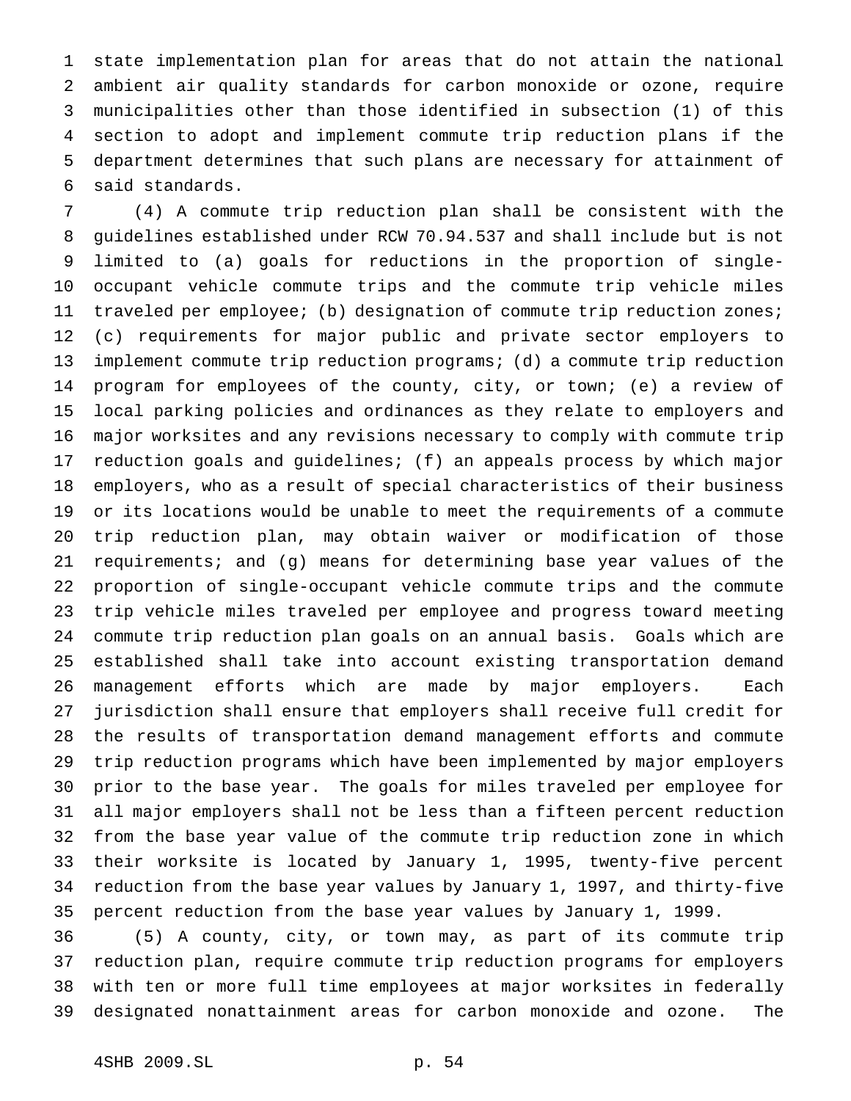state implementation plan for areas that do not attain the national ambient air quality standards for carbon monoxide or ozone, require municipalities other than those identified in subsection (1) of this section to adopt and implement commute trip reduction plans if the department determines that such plans are necessary for attainment of said standards.

 (4) A commute trip reduction plan shall be consistent with the guidelines established under RCW 70.94.537 and shall include but is not limited to (a) goals for reductions in the proportion of single- occupant vehicle commute trips and the commute trip vehicle miles traveled per employee; (b) designation of commute trip reduction zones; (c) requirements for major public and private sector employers to implement commute trip reduction programs; (d) a commute trip reduction program for employees of the county, city, or town; (e) a review of local parking policies and ordinances as they relate to employers and major worksites and any revisions necessary to comply with commute trip reduction goals and guidelines; (f) an appeals process by which major employers, who as a result of special characteristics of their business or its locations would be unable to meet the requirements of a commute trip reduction plan, may obtain waiver or modification of those requirements; and (g) means for determining base year values of the proportion of single-occupant vehicle commute trips and the commute trip vehicle miles traveled per employee and progress toward meeting commute trip reduction plan goals on an annual basis. Goals which are established shall take into account existing transportation demand management efforts which are made by major employers. Each jurisdiction shall ensure that employers shall receive full credit for the results of transportation demand management efforts and commute trip reduction programs which have been implemented by major employers prior to the base year. The goals for miles traveled per employee for all major employers shall not be less than a fifteen percent reduction from the base year value of the commute trip reduction zone in which their worksite is located by January 1, 1995, twenty-five percent reduction from the base year values by January 1, 1997, and thirty-five percent reduction from the base year values by January 1, 1999.

 (5) A county, city, or town may, as part of its commute trip reduction plan, require commute trip reduction programs for employers with ten or more full time employees at major worksites in federally designated nonattainment areas for carbon monoxide and ozone. The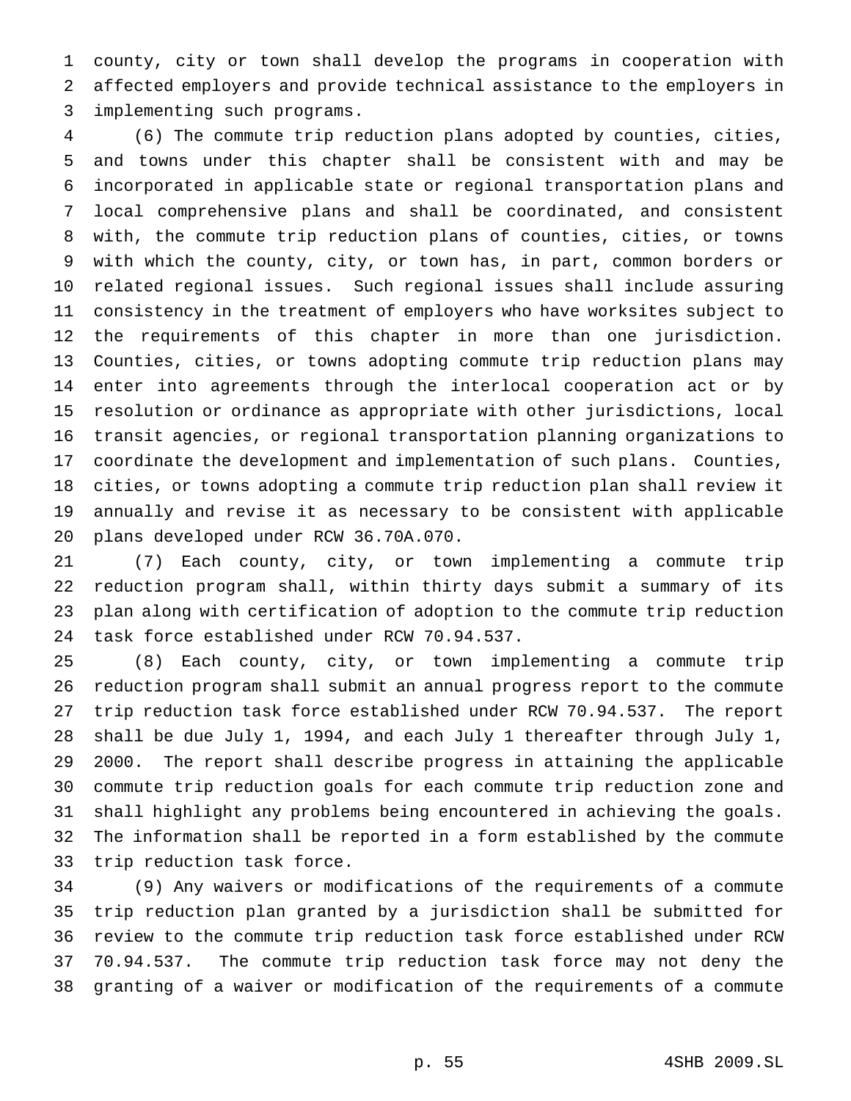county, city or town shall develop the programs in cooperation with affected employers and provide technical assistance to the employers in implementing such programs.

 (6) The commute trip reduction plans adopted by counties, cities, and towns under this chapter shall be consistent with and may be incorporated in applicable state or regional transportation plans and local comprehensive plans and shall be coordinated, and consistent with, the commute trip reduction plans of counties, cities, or towns with which the county, city, or town has, in part, common borders or related regional issues. Such regional issues shall include assuring consistency in the treatment of employers who have worksites subject to the requirements of this chapter in more than one jurisdiction. Counties, cities, or towns adopting commute trip reduction plans may enter into agreements through the interlocal cooperation act or by resolution or ordinance as appropriate with other jurisdictions, local transit agencies, or regional transportation planning organizations to coordinate the development and implementation of such plans. Counties, cities, or towns adopting a commute trip reduction plan shall review it annually and revise it as necessary to be consistent with applicable plans developed under RCW 36.70A.070.

 (7) Each county, city, or town implementing a commute trip reduction program shall, within thirty days submit a summary of its plan along with certification of adoption to the commute trip reduction task force established under RCW 70.94.537.

 (8) Each county, city, or town implementing a commute trip reduction program shall submit an annual progress report to the commute trip reduction task force established under RCW 70.94.537. The report shall be due July 1, 1994, and each July 1 thereafter through July 1, 2000. The report shall describe progress in attaining the applicable commute trip reduction goals for each commute trip reduction zone and shall highlight any problems being encountered in achieving the goals. The information shall be reported in a form established by the commute trip reduction task force.

 (9) Any waivers or modifications of the requirements of a commute trip reduction plan granted by a jurisdiction shall be submitted for review to the commute trip reduction task force established under RCW 70.94.537. The commute trip reduction task force may not deny the granting of a waiver or modification of the requirements of a commute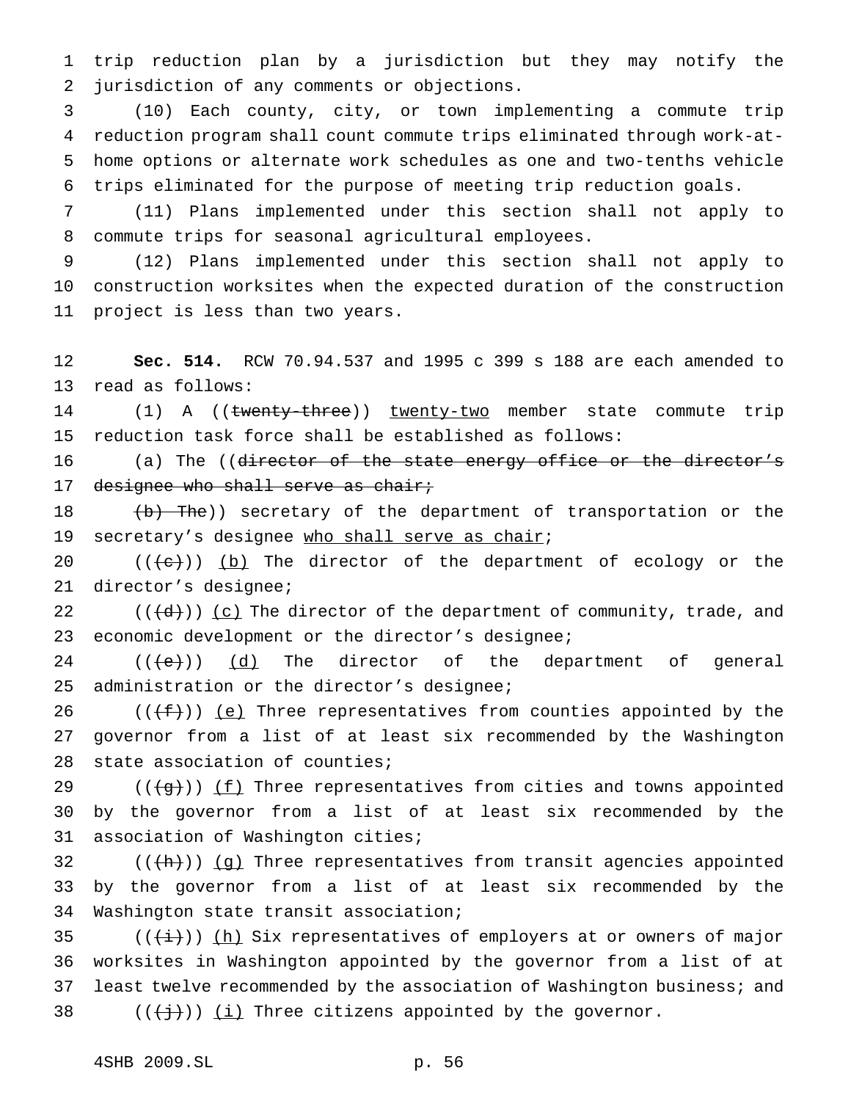trip reduction plan by a jurisdiction but they may notify the jurisdiction of any comments or objections.

 (10) Each county, city, or town implementing a commute trip reduction program shall count commute trips eliminated through work-at- home options or alternate work schedules as one and two-tenths vehicle trips eliminated for the purpose of meeting trip reduction goals.

 (11) Plans implemented under this section shall not apply to commute trips for seasonal agricultural employees.

 (12) Plans implemented under this section shall not apply to construction worksites when the expected duration of the construction project is less than two years.

 **Sec. 514.** RCW 70.94.537 and 1995 c 399 s 188 are each amended to read as follows:

14 (1) A ((twenty-three)) twenty-two member state commute trip reduction task force shall be established as follows:

16 (a) The ((director of the state energy office or the director's 17 designee who shall serve as chair;

18 (b) The)) secretary of the department of transportation or the 19 secretary's designee who shall serve as chair;

20  $((+e))$   $(b)$  The director of the department of ecology or the director's designee;

 $((\{d\})\)$  (c) The director of the department of community, trade, and economic development or the director's designee;

 $((\{e\})$   $(d)$  The director of the department of general administration or the director's designee;

26 ( $(\{\text{f}\})$ ) (e) Three representatives from counties appointed by the governor from a list of at least six recommended by the Washington state association of counties;

29 ( $(\frac{1}{9})$ )  $(f)$  Three representatives from cities and towns appointed by the governor from a list of at least six recommended by the association of Washington cities;

32  $((+h))$   $(g)$  Three representatives from transit agencies appointed by the governor from a list of at least six recommended by the Washington state transit association;

35 ( $(\frac{i}{i})$ ) (h) Six representatives of employers at or owners of major worksites in Washington appointed by the governor from a list of at 37 least twelve recommended by the association of Washington business; and  $((\{\dagger\})\)$  (i) Three citizens appointed by the governor.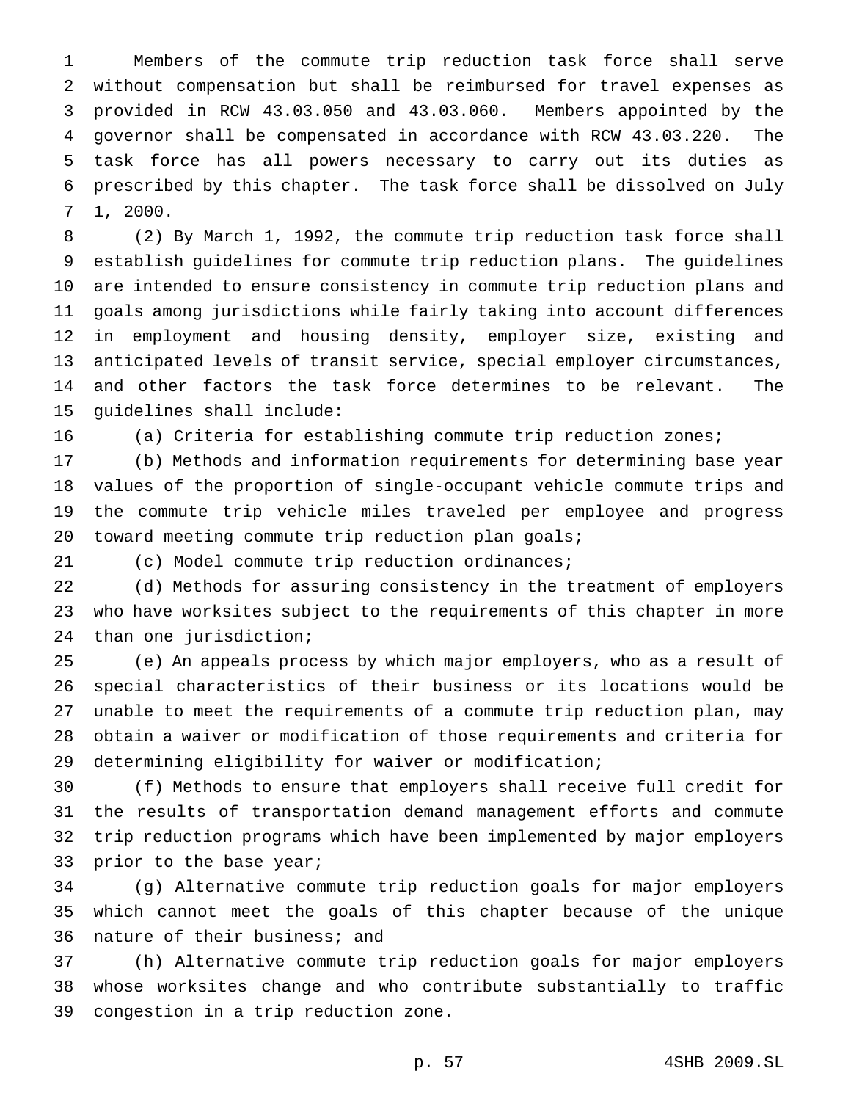Members of the commute trip reduction task force shall serve without compensation but shall be reimbursed for travel expenses as provided in RCW 43.03.050 and 43.03.060. Members appointed by the governor shall be compensated in accordance with RCW 43.03.220. The task force has all powers necessary to carry out its duties as prescribed by this chapter. The task force shall be dissolved on July 1, 2000.

 (2) By March 1, 1992, the commute trip reduction task force shall establish guidelines for commute trip reduction plans. The guidelines are intended to ensure consistency in commute trip reduction plans and goals among jurisdictions while fairly taking into account differences in employment and housing density, employer size, existing and anticipated levels of transit service, special employer circumstances, and other factors the task force determines to be relevant. The guidelines shall include:

(a) Criteria for establishing commute trip reduction zones;

 (b) Methods and information requirements for determining base year values of the proportion of single-occupant vehicle commute trips and the commute trip vehicle miles traveled per employee and progress toward meeting commute trip reduction plan goals;

(c) Model commute trip reduction ordinances;

 (d) Methods for assuring consistency in the treatment of employers who have worksites subject to the requirements of this chapter in more than one jurisdiction;

 (e) An appeals process by which major employers, who as a result of special characteristics of their business or its locations would be unable to meet the requirements of a commute trip reduction plan, may obtain a waiver or modification of those requirements and criteria for determining eligibility for waiver or modification;

 (f) Methods to ensure that employers shall receive full credit for the results of transportation demand management efforts and commute trip reduction programs which have been implemented by major employers 33 prior to the base year;

 (g) Alternative commute trip reduction goals for major employers which cannot meet the goals of this chapter because of the unique nature of their business; and

 (h) Alternative commute trip reduction goals for major employers whose worksites change and who contribute substantially to traffic congestion in a trip reduction zone.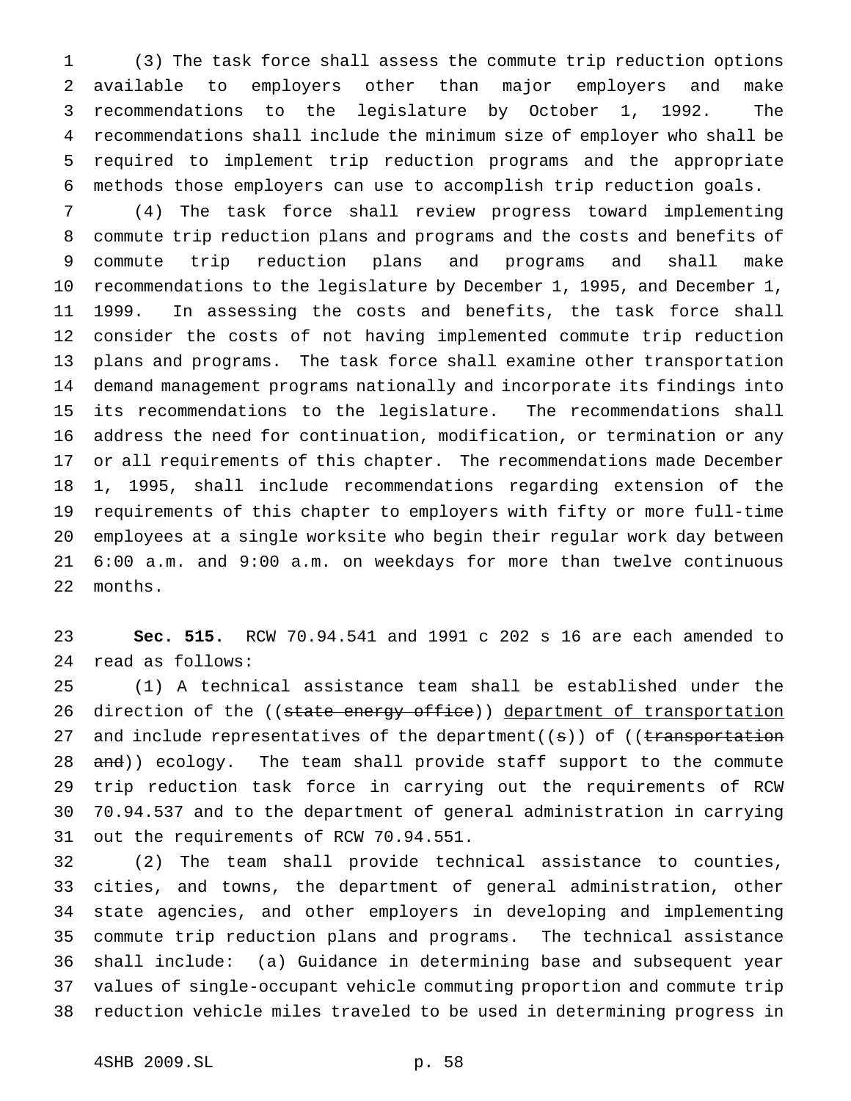(3) The task force shall assess the commute trip reduction options available to employers other than major employers and make recommendations to the legislature by October 1, 1992. The recommendations shall include the minimum size of employer who shall be required to implement trip reduction programs and the appropriate methods those employers can use to accomplish trip reduction goals.

 (4) The task force shall review progress toward implementing commute trip reduction plans and programs and the costs and benefits of commute trip reduction plans and programs and shall make recommendations to the legislature by December 1, 1995, and December 1, 1999. In assessing the costs and benefits, the task force shall consider the costs of not having implemented commute trip reduction plans and programs. The task force shall examine other transportation demand management programs nationally and incorporate its findings into its recommendations to the legislature. The recommendations shall address the need for continuation, modification, or termination or any or all requirements of this chapter. The recommendations made December 1, 1995, shall include recommendations regarding extension of the requirements of this chapter to employers with fifty or more full-time employees at a single worksite who begin their regular work day between 6:00 a.m. and 9:00 a.m. on weekdays for more than twelve continuous months.

 **Sec. 515.** RCW 70.94.541 and 1991 c 202 s 16 are each amended to read as follows:

 (1) A technical assistance team shall be established under the 26 direction of the ((state energy office)) department of transportation 27 and include representatives of the department((s)) of ((transportation 28 and)) ecology. The team shall provide staff support to the commute trip reduction task force in carrying out the requirements of RCW 70.94.537 and to the department of general administration in carrying out the requirements of RCW 70.94.551.

 (2) The team shall provide technical assistance to counties, cities, and towns, the department of general administration, other state agencies, and other employers in developing and implementing commute trip reduction plans and programs. The technical assistance shall include: (a) Guidance in determining base and subsequent year values of single-occupant vehicle commuting proportion and commute trip reduction vehicle miles traveled to be used in determining progress in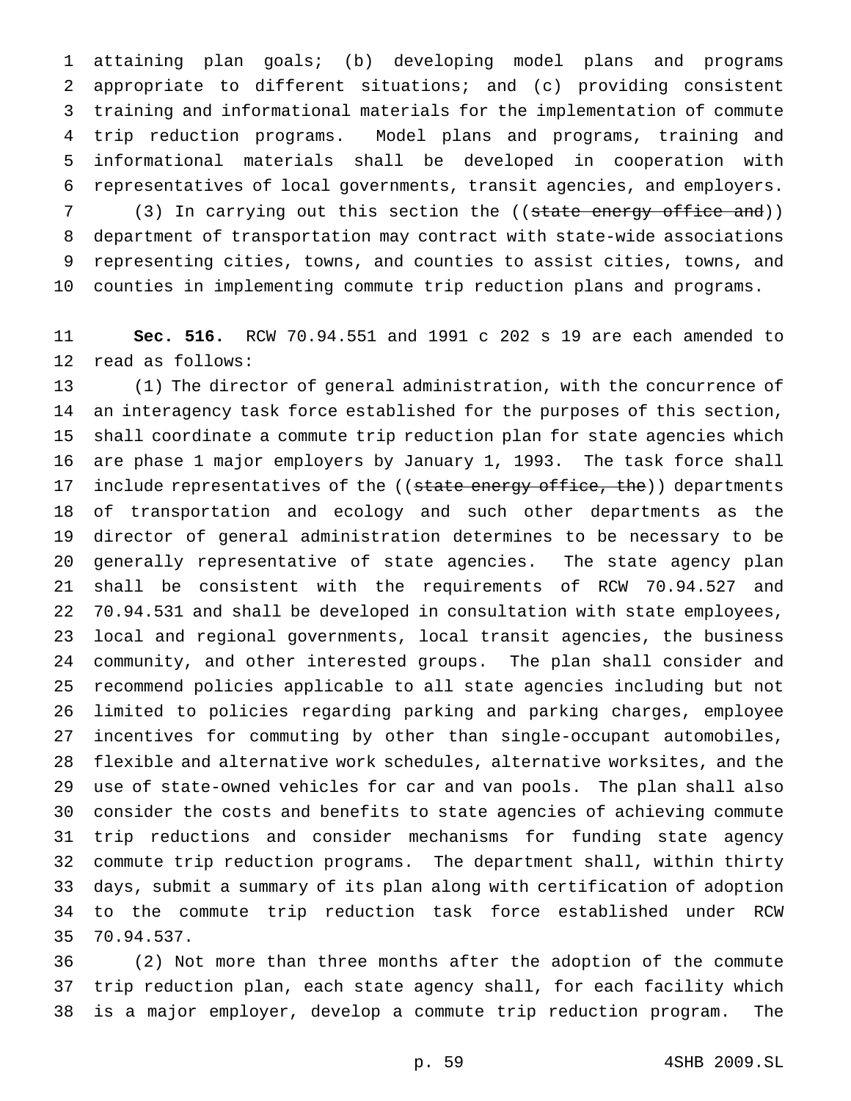attaining plan goals; (b) developing model plans and programs appropriate to different situations; and (c) providing consistent training and informational materials for the implementation of commute trip reduction programs. Model plans and programs, training and informational materials shall be developed in cooperation with representatives of local governments, transit agencies, and employers. 7 (3) In carrying out this section the ((state energy office and))

 department of transportation may contract with state-wide associations representing cities, towns, and counties to assist cities, towns, and counties in implementing commute trip reduction plans and programs.

 **Sec. 516.** RCW 70.94.551 and 1991 c 202 s 19 are each amended to read as follows:

 (1) The director of general administration, with the concurrence of an interagency task force established for the purposes of this section, shall coordinate a commute trip reduction plan for state agencies which are phase 1 major employers by January 1, 1993. The task force shall 17 include representatives of the ((state energy office, the)) departments of transportation and ecology and such other departments as the director of general administration determines to be necessary to be generally representative of state agencies. The state agency plan shall be consistent with the requirements of RCW 70.94.527 and 70.94.531 and shall be developed in consultation with state employees, local and regional governments, local transit agencies, the business community, and other interested groups. The plan shall consider and recommend policies applicable to all state agencies including but not limited to policies regarding parking and parking charges, employee incentives for commuting by other than single-occupant automobiles, flexible and alternative work schedules, alternative worksites, and the use of state-owned vehicles for car and van pools. The plan shall also consider the costs and benefits to state agencies of achieving commute trip reductions and consider mechanisms for funding state agency commute trip reduction programs. The department shall, within thirty days, submit a summary of its plan along with certification of adoption to the commute trip reduction task force established under RCW 70.94.537.

 (2) Not more than three months after the adoption of the commute trip reduction plan, each state agency shall, for each facility which is a major employer, develop a commute trip reduction program. The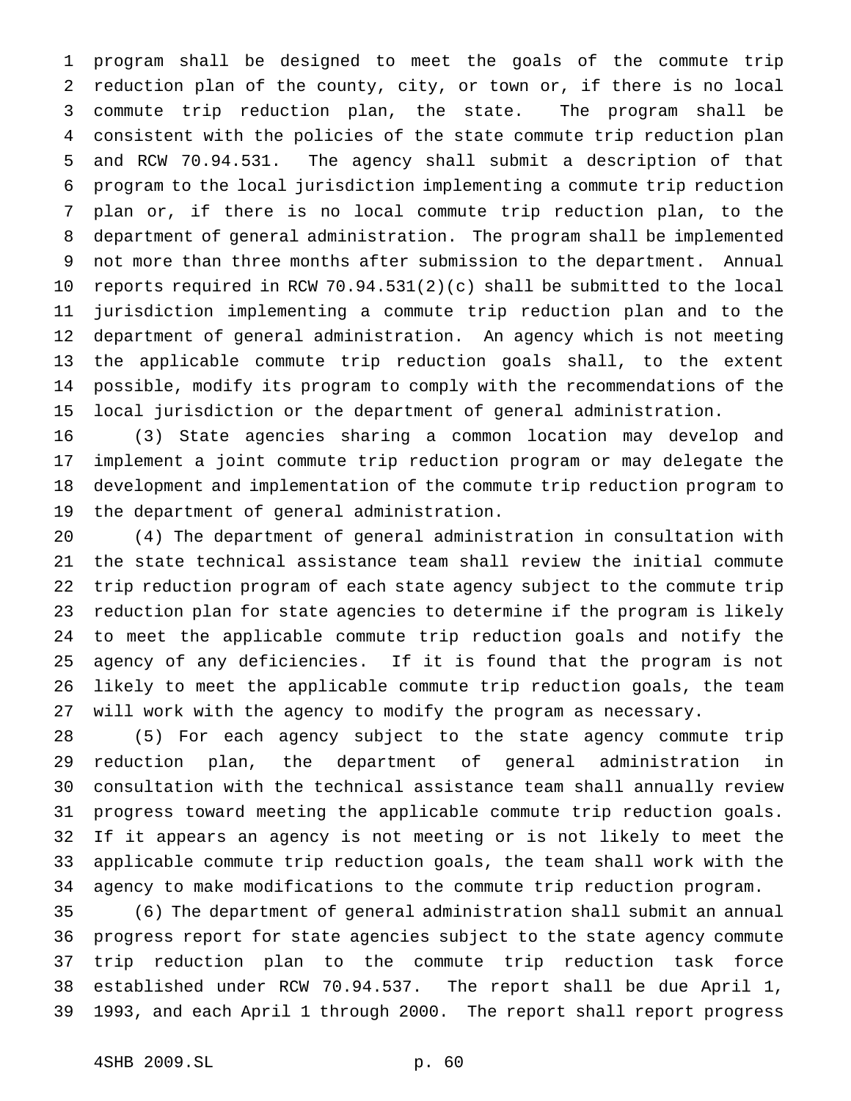program shall be designed to meet the goals of the commute trip reduction plan of the county, city, or town or, if there is no local commute trip reduction plan, the state. The program shall be consistent with the policies of the state commute trip reduction plan and RCW 70.94.531. The agency shall submit a description of that program to the local jurisdiction implementing a commute trip reduction plan or, if there is no local commute trip reduction plan, to the department of general administration. The program shall be implemented not more than three months after submission to the department. Annual reports required in RCW 70.94.531(2)(c) shall be submitted to the local jurisdiction implementing a commute trip reduction plan and to the department of general administration. An agency which is not meeting the applicable commute trip reduction goals shall, to the extent possible, modify its program to comply with the recommendations of the local jurisdiction or the department of general administration.

 (3) State agencies sharing a common location may develop and implement a joint commute trip reduction program or may delegate the development and implementation of the commute trip reduction program to the department of general administration.

 (4) The department of general administration in consultation with the state technical assistance team shall review the initial commute trip reduction program of each state agency subject to the commute trip reduction plan for state agencies to determine if the program is likely to meet the applicable commute trip reduction goals and notify the agency of any deficiencies. If it is found that the program is not likely to meet the applicable commute trip reduction goals, the team will work with the agency to modify the program as necessary.

 (5) For each agency subject to the state agency commute trip reduction plan, the department of general administration in consultation with the technical assistance team shall annually review progress toward meeting the applicable commute trip reduction goals. If it appears an agency is not meeting or is not likely to meet the applicable commute trip reduction goals, the team shall work with the agency to make modifications to the commute trip reduction program.

 (6) The department of general administration shall submit an annual progress report for state agencies subject to the state agency commute trip reduction plan to the commute trip reduction task force established under RCW 70.94.537. The report shall be due April 1, 1993, and each April 1 through 2000. The report shall report progress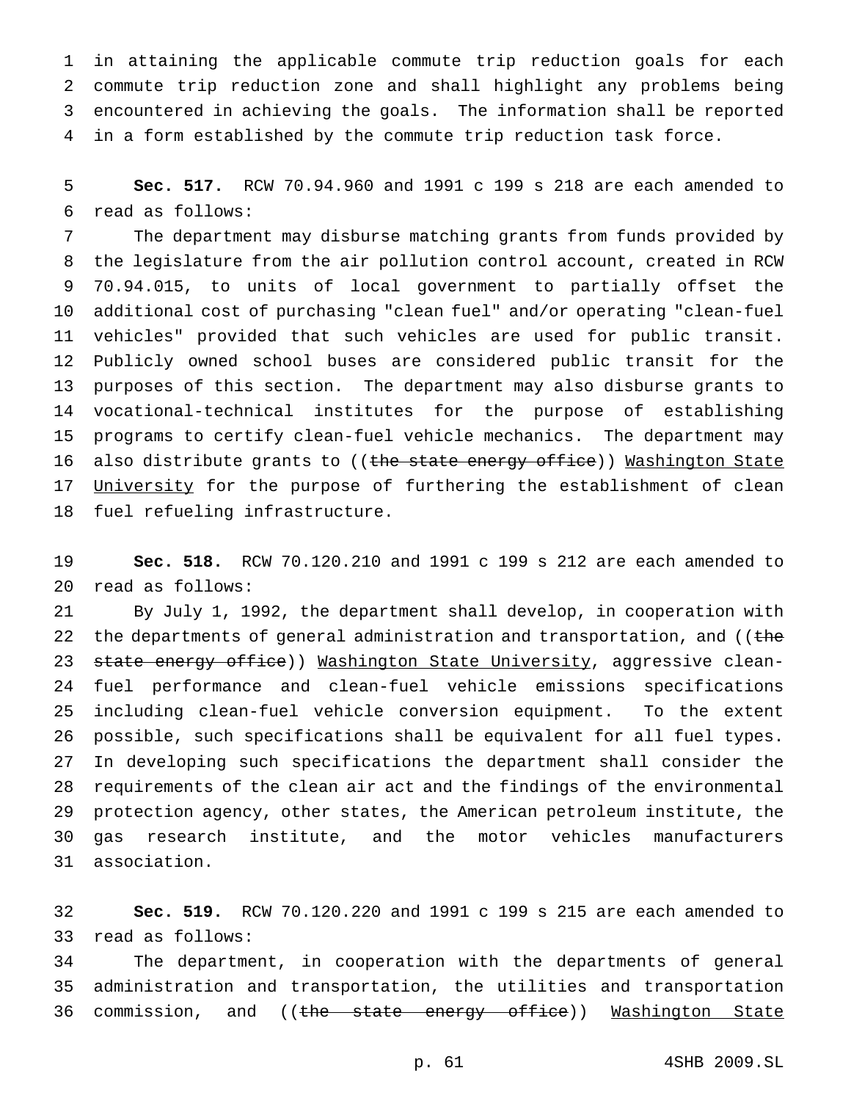in attaining the applicable commute trip reduction goals for each commute trip reduction zone and shall highlight any problems being encountered in achieving the goals. The information shall be reported in a form established by the commute trip reduction task force.

 **Sec. 517.** RCW 70.94.960 and 1991 c 199 s 218 are each amended to read as follows:

 The department may disburse matching grants from funds provided by the legislature from the air pollution control account, created in RCW 70.94.015, to units of local government to partially offset the additional cost of purchasing "clean fuel" and/or operating "clean-fuel vehicles" provided that such vehicles are used for public transit. Publicly owned school buses are considered public transit for the purposes of this section. The department may also disburse grants to vocational-technical institutes for the purpose of establishing programs to certify clean-fuel vehicle mechanics. The department may 16 also distribute grants to ((the state energy office)) Washington State 17 University for the purpose of furthering the establishment of clean fuel refueling infrastructure.

 **Sec. 518.** RCW 70.120.210 and 1991 c 199 s 212 are each amended to read as follows:

 By July 1, 1992, the department shall develop, in cooperation with 22 the departments of general administration and transportation, and ((the 23 state energy office)) Washington State University, aggressive clean- fuel performance and clean-fuel vehicle emissions specifications including clean-fuel vehicle conversion equipment. To the extent possible, such specifications shall be equivalent for all fuel types. In developing such specifications the department shall consider the requirements of the clean air act and the findings of the environmental protection agency, other states, the American petroleum institute, the gas research institute, and the motor vehicles manufacturers association.

 **Sec. 519.** RCW 70.120.220 and 1991 c 199 s 215 are each amended to read as follows:

 The department, in cooperation with the departments of general administration and transportation, the utilities and transportation 36 commission, and ((the state energy office)) Washington State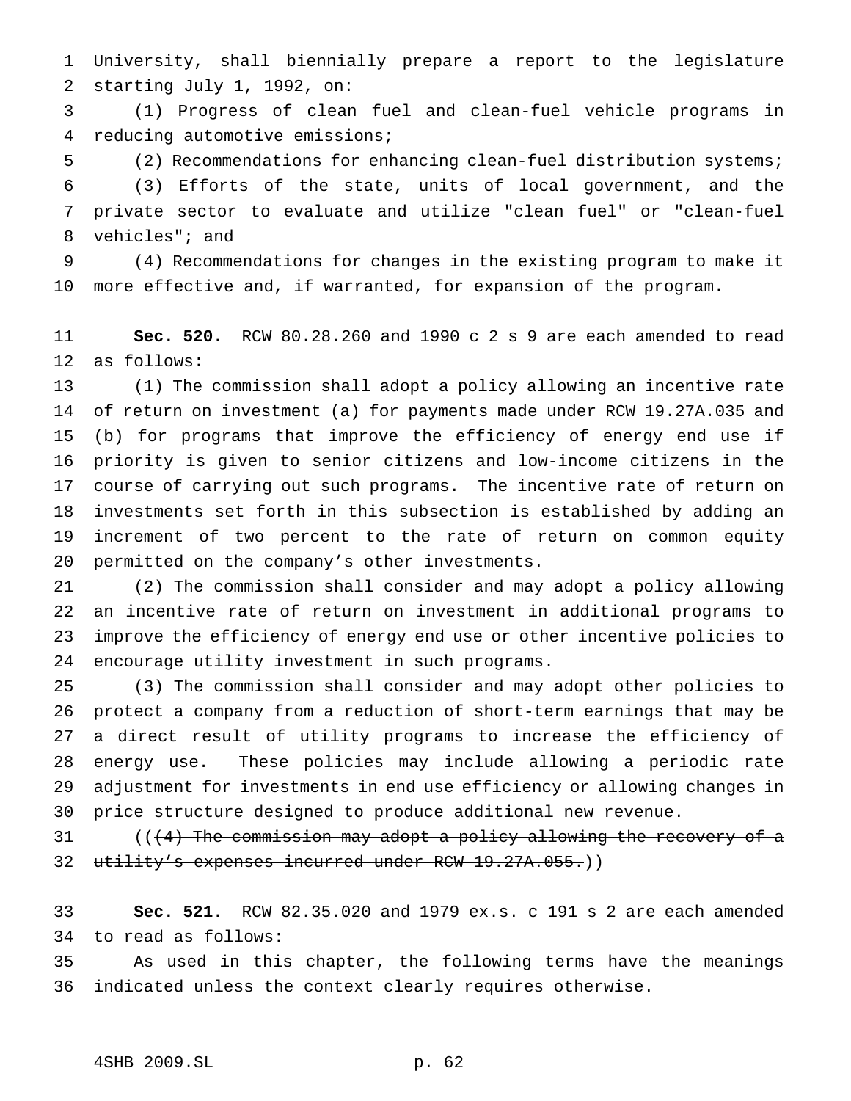1 University, shall biennially prepare a report to the legislature starting July 1, 1992, on:

 (1) Progress of clean fuel and clean-fuel vehicle programs in reducing automotive emissions;

 (2) Recommendations for enhancing clean-fuel distribution systems; (3) Efforts of the state, units of local government, and the private sector to evaluate and utilize "clean fuel" or "clean-fuel vehicles"; and

 (4) Recommendations for changes in the existing program to make it more effective and, if warranted, for expansion of the program.

 **Sec. 520.** RCW 80.28.260 and 1990 c 2 s 9 are each amended to read as follows:

 (1) The commission shall adopt a policy allowing an incentive rate of return on investment (a) for payments made under RCW 19.27A.035 and (b) for programs that improve the efficiency of energy end use if priority is given to senior citizens and low-income citizens in the course of carrying out such programs. The incentive rate of return on investments set forth in this subsection is established by adding an increment of two percent to the rate of return on common equity permitted on the company's other investments.

 (2) The commission shall consider and may adopt a policy allowing an incentive rate of return on investment in additional programs to improve the efficiency of energy end use or other incentive policies to encourage utility investment in such programs.

 (3) The commission shall consider and may adopt other policies to protect a company from a reduction of short-term earnings that may be a direct result of utility programs to increase the efficiency of energy use. These policies may include allowing a periodic rate adjustment for investments in end use efficiency or allowing changes in price structure designed to produce additional new revenue.

31 (((4) The commission may adopt a policy allowing the recovery of a 32 utility's expenses incurred under RCW 19.27A.055.))

 **Sec. 521.** RCW 82.35.020 and 1979 ex.s. c 191 s 2 are each amended to read as follows:

 As used in this chapter, the following terms have the meanings indicated unless the context clearly requires otherwise.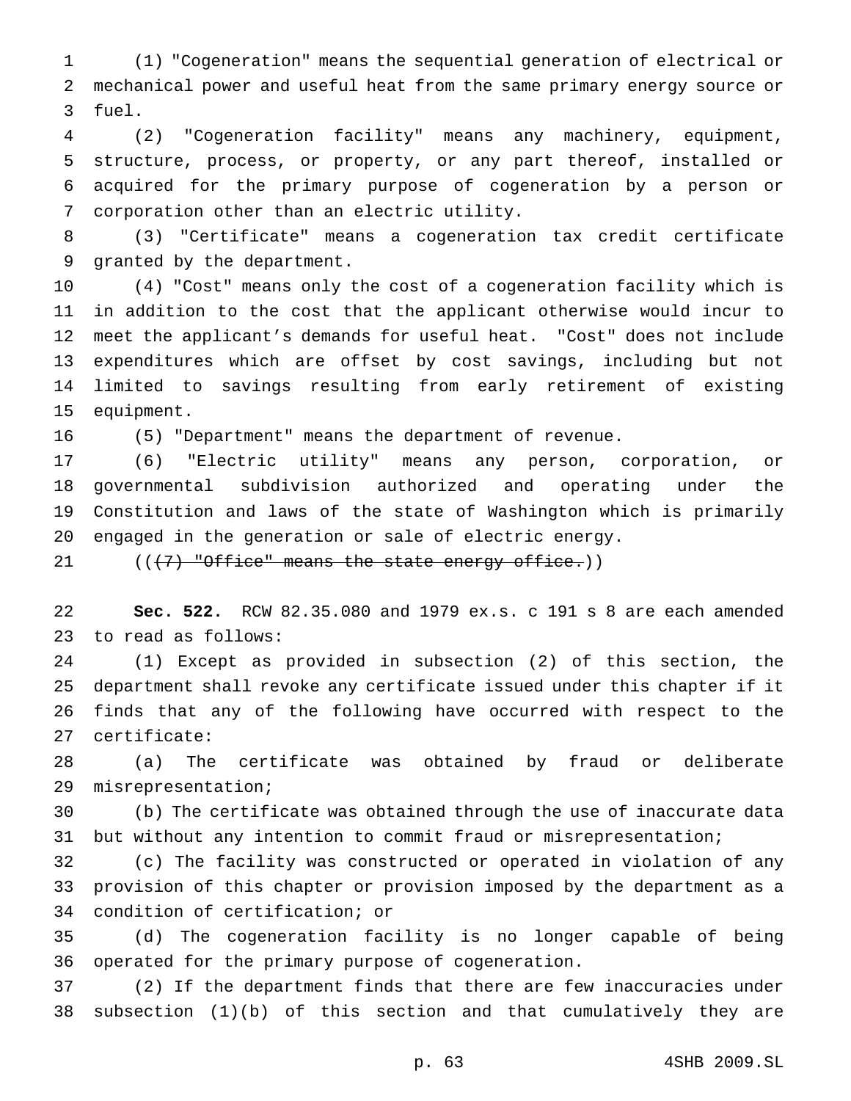(1) "Cogeneration" means the sequential generation of electrical or mechanical power and useful heat from the same primary energy source or fuel.

 (2) "Cogeneration facility" means any machinery, equipment, structure, process, or property, or any part thereof, installed or acquired for the primary purpose of cogeneration by a person or corporation other than an electric utility.

 (3) "Certificate" means a cogeneration tax credit certificate granted by the department.

 (4) "Cost" means only the cost of a cogeneration facility which is in addition to the cost that the applicant otherwise would incur to meet the applicant's demands for useful heat. "Cost" does not include expenditures which are offset by cost savings, including but not limited to savings resulting from early retirement of existing equipment.

(5) "Department" means the department of revenue.

 (6) "Electric utility" means any person, corporation, or governmental subdivision authorized and operating under the Constitution and laws of the state of Washington which is primarily engaged in the generation or sale of electric energy.

 $((+7)$  "Office" means the state energy office.))

 **Sec. 522.** RCW 82.35.080 and 1979 ex.s. c 191 s 8 are each amended to read as follows:

 (1) Except as provided in subsection (2) of this section, the department shall revoke any certificate issued under this chapter if it finds that any of the following have occurred with respect to the certificate:

 (a) The certificate was obtained by fraud or deliberate misrepresentation;

 (b) The certificate was obtained through the use of inaccurate data but without any intention to commit fraud or misrepresentation;

 (c) The facility was constructed or operated in violation of any provision of this chapter or provision imposed by the department as a condition of certification; or

 (d) The cogeneration facility is no longer capable of being operated for the primary purpose of cogeneration.

 (2) If the department finds that there are few inaccuracies under subsection (1)(b) of this section and that cumulatively they are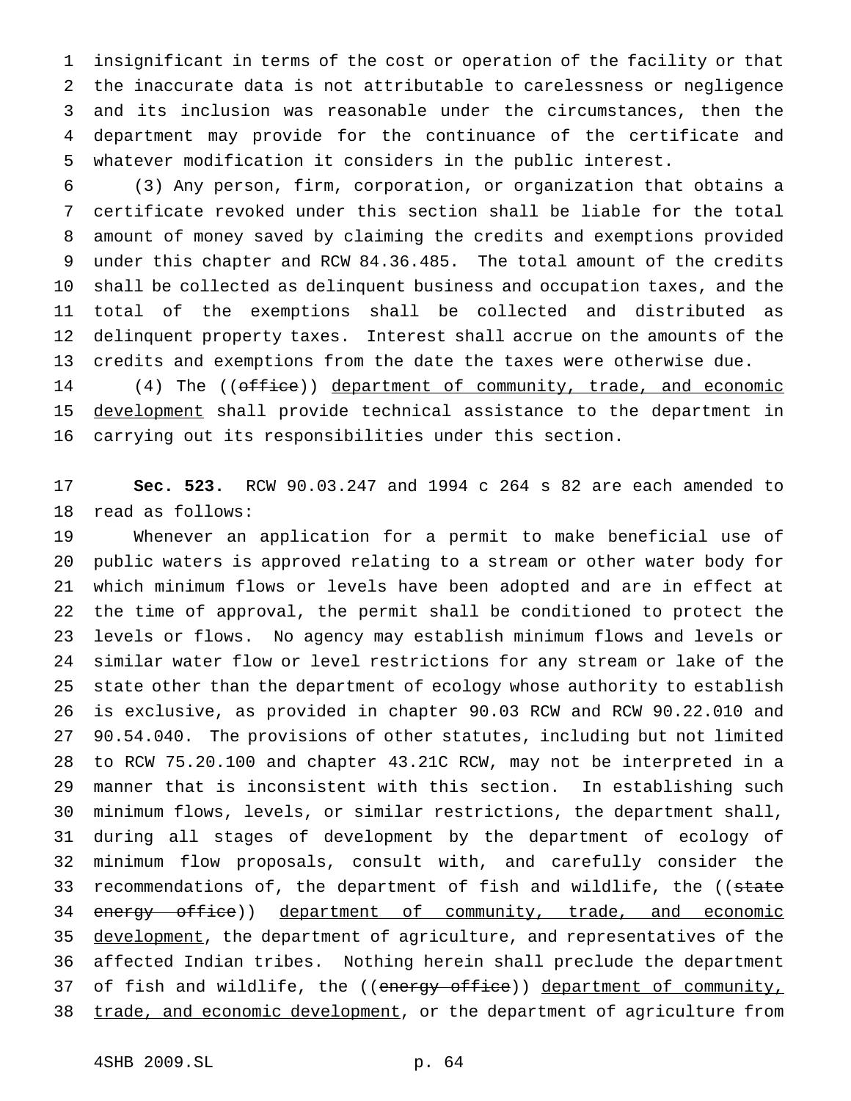insignificant in terms of the cost or operation of the facility or that the inaccurate data is not attributable to carelessness or negligence and its inclusion was reasonable under the circumstances, then the department may provide for the continuance of the certificate and whatever modification it considers in the public interest.

 (3) Any person, firm, corporation, or organization that obtains a certificate revoked under this section shall be liable for the total amount of money saved by claiming the credits and exemptions provided under this chapter and RCW 84.36.485. The total amount of the credits shall be collected as delinquent business and occupation taxes, and the total of the exemptions shall be collected and distributed as delinquent property taxes. Interest shall accrue on the amounts of the credits and exemptions from the date the taxes were otherwise due.

14 (4) The ((office)) department of community, trade, and economic development shall provide technical assistance to the department in carrying out its responsibilities under this section.

 **Sec. 523.** RCW 90.03.247 and 1994 c 264 s 82 are each amended to read as follows:

 Whenever an application for a permit to make beneficial use of public waters is approved relating to a stream or other water body for which minimum flows or levels have been adopted and are in effect at the time of approval, the permit shall be conditioned to protect the levels or flows. No agency may establish minimum flows and levels or similar water flow or level restrictions for any stream or lake of the state other than the department of ecology whose authority to establish is exclusive, as provided in chapter 90.03 RCW and RCW 90.22.010 and 90.54.040. The provisions of other statutes, including but not limited to RCW 75.20.100 and chapter 43.21C RCW, may not be interpreted in a manner that is inconsistent with this section. In establishing such minimum flows, levels, or similar restrictions, the department shall, during all stages of development by the department of ecology of minimum flow proposals, consult with, and carefully consider the 33 recommendations of, the department of fish and wildlife, the ((state 34 energy office)) department of community, trade, and economic 35 development, the department of agriculture, and representatives of the affected Indian tribes. Nothing herein shall preclude the department 37 of fish and wildlife, the ((energy office)) department of community, 38 trade, and economic development, or the department of agriculture from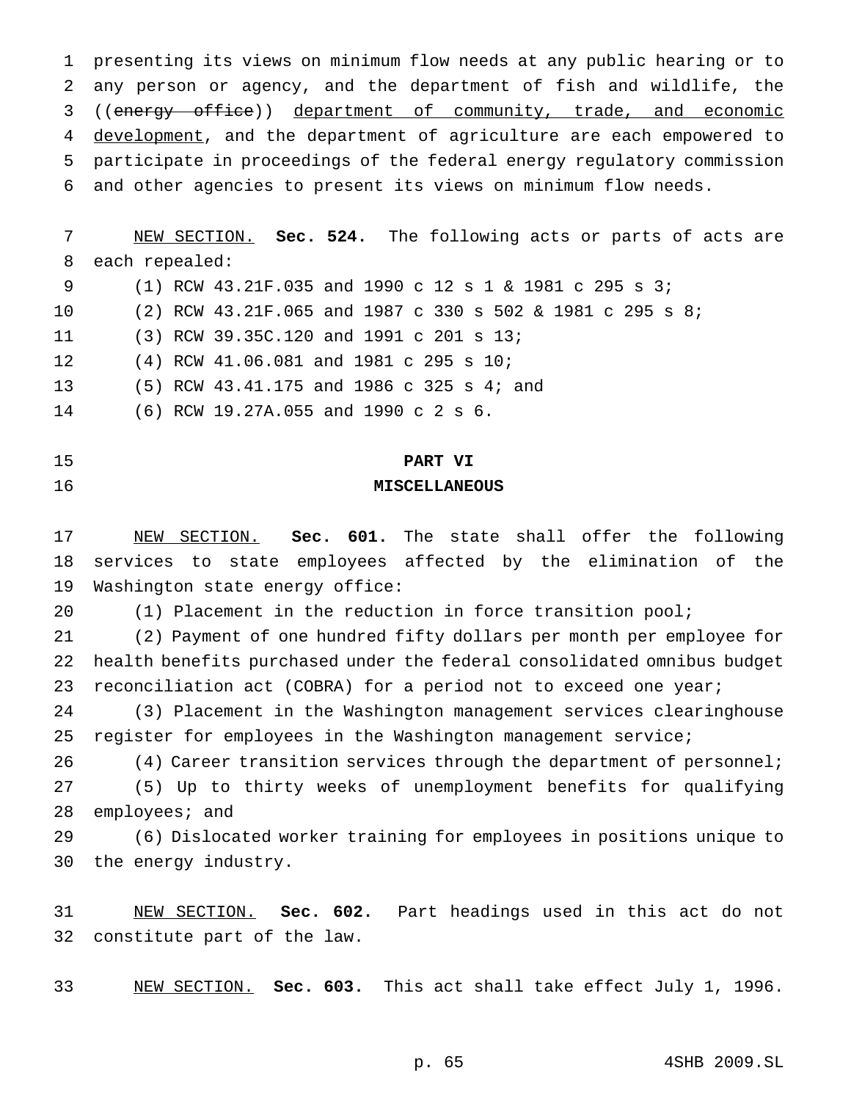presenting its views on minimum flow needs at any public hearing or to any person or agency, and the department of fish and wildlife, the 3 ((energy office)) department of community, trade, and economic 4 development, and the department of agriculture are each empowered to participate in proceedings of the federal energy regulatory commission and other agencies to present its views on minimum flow needs.

 NEW SECTION. **Sec. 524.** The following acts or parts of acts are each repealed: (1) RCW 43.21F.035 and 1990 c 12s1& 1981 c 295 s 3; (2) RCW 43.21F.065 and 1987 c 330 s 502 & 1981 c 295 s 8; (3) RCW 39.35C.120 and 1991 c 201 s 13; (4) RCW 41.06.081 and 1981 c 295 s 10; (5) RCW 43.41.175 and 1986 c 325 s 4; and (6) RCW 19.27A.055 and 1990 c 2 s 6.

### **PART VI**

### **MISCELLANEOUS**

 NEW SECTION. **Sec. 601.** The state shall offer the following services to state employees affected by the elimination of the Washington state energy office:

(1) Placement in the reduction in force transition pool;

 (2) Payment of one hundred fifty dollars per month per employee for health benefits purchased under the federal consolidated omnibus budget 23 reconciliation act (COBRA) for a period not to exceed one year;

 (3) Placement in the Washington management services clearinghouse register for employees in the Washington management service;

 (4) Career transition services through the department of personnel; (5) Up to thirty weeks of unemployment benefits for qualifying employees; and

 (6) Dislocated worker training for employees in positions unique to the energy industry.

 NEW SECTION. **Sec. 602.** Part headings used in this act do not constitute part of the law.

NEW SECTION. **Sec. 603.** This act shall take effect July 1, 1996.